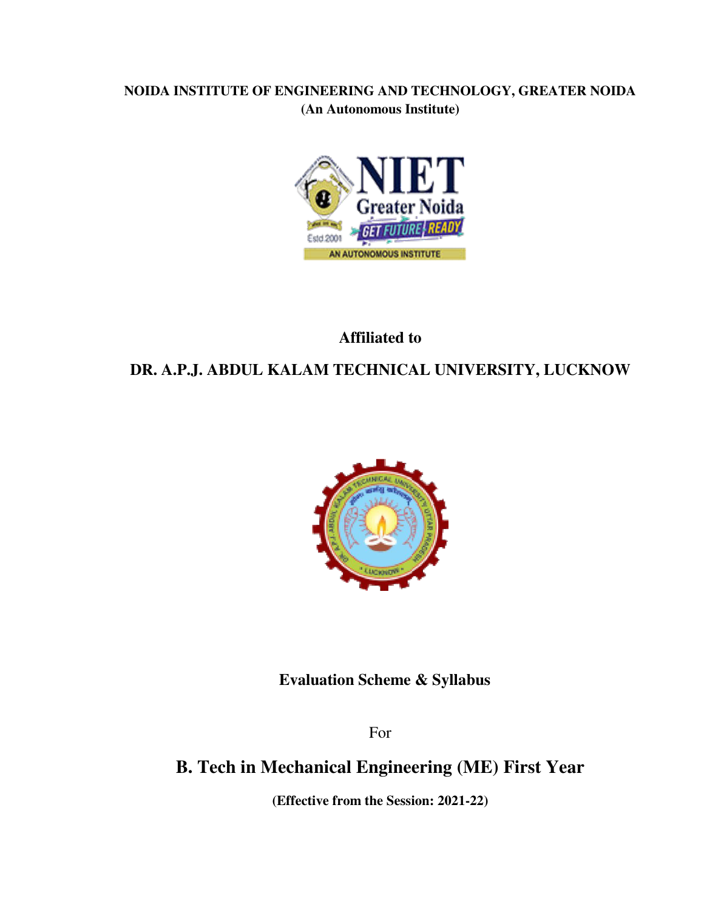## **NOIDA INSTITUTE OF ENGINEERING AND TECHNOLOGY, GREATER NOIDA (An Autonomous Institute)**



## **Affiliated to**

## **DR. A.P.J. ABDUL KALAM TECHNICAL UNIVERSITY, LUCKNOW**



**Evaluation Scheme & Syllabus** 

For

# **B. Tech in Mechanical Engineering (ME) First Year**

**(Effective from the Session: 2021-22)**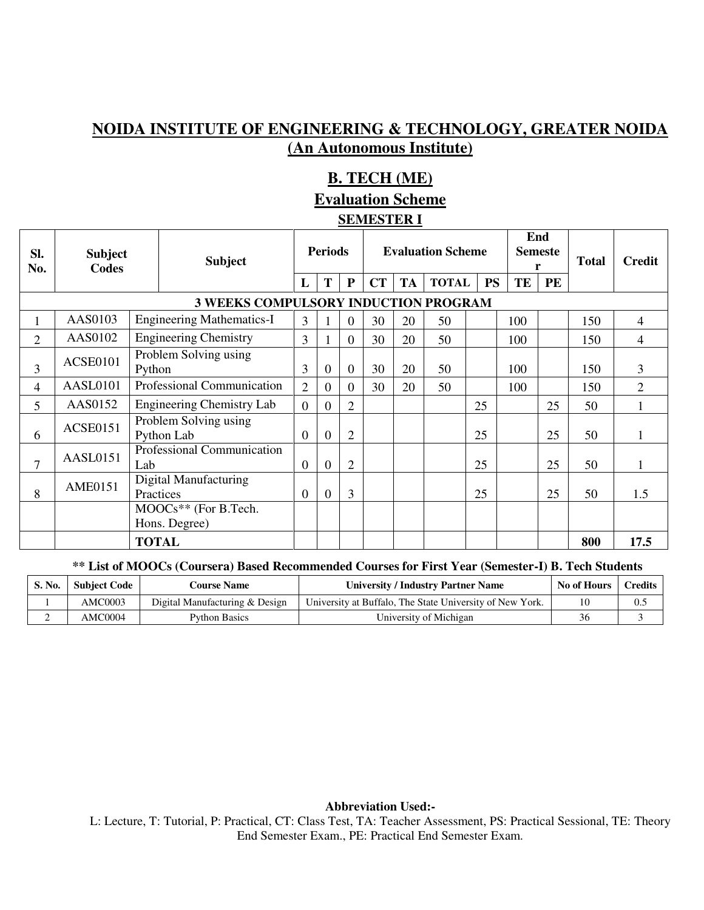## **NOIDA INSTITUTE OF ENGINEERING & TECHNOLOGY, GREATER NOIDA (An Autonomous Institute)**

## **B. TECH (ME)**

#### **Evaluation Scheme**

#### **SEMESTER I**

| SI.<br>No.     | <b>Subject</b><br>Codes |                                 | <b>Subject</b>                              |                | <b>Periods</b>   |                |    | <b>Evaluation Scheme</b> |              |           |     | End<br><b>Semeste</b> | <b>Total</b> | <b>Credit</b>  |
|----------------|-------------------------|---------------------------------|---------------------------------------------|----------------|------------------|----------------|----|--------------------------|--------------|-----------|-----|-----------------------|--------------|----------------|
|                |                         |                                 |                                             | L              | T                | ${\bf P}$      | CT | <b>TA</b>                | <b>TOTAL</b> | <b>PS</b> | TE  | <b>PE</b>             |              |                |
|                |                         |                                 | <b>3 WEEKS COMPULSORY INDUCTION PROGRAM</b> |                |                  |                |    |                          |              |           |     |                       |              |                |
|                | AAS0103                 |                                 | <b>Engineering Mathematics-I</b>            | 3              |                  | $\overline{0}$ | 30 | 20                       | 50           |           | 100 |                       | 150          | 4              |
| $\overline{2}$ | AAS0102                 |                                 | <b>Engineering Chemistry</b>                | 3              |                  | $\overline{0}$ | 30 | 20                       | 50           |           | 100 |                       | 150          | 4              |
| 3              | <b>ACSE0101</b>         | Problem Solving using<br>Python |                                             | 3              | $\overline{0}$   | $\overline{0}$ | 30 | 20                       | 50           |           | 100 |                       | 150          | 3              |
| 4              | AASL0101                |                                 | Professional Communication                  |                | $\theta$         | $\Omega$       | 30 | 20                       | 50           |           | 100 |                       | 150          | $\overline{2}$ |
| 5              | AAS0152                 |                                 | <b>Engineering Chemistry Lab</b>            | $\overline{0}$ | $\overline{0}$   | $\overline{2}$ |    |                          |              | 25        |     | 25                    | 50           |                |
| 6              | <b>ACSE0151</b>         |                                 | Problem Solving using<br>Python Lab         | $\overline{0}$ | $\overline{0}$   | 2              |    |                          |              | 25        |     | 25                    | 50           |                |
| $\mathcal{I}$  | <b>AASL0151</b>         | Lab                             | Professional Communication                  | $\overline{0}$ | $\boldsymbol{0}$ | $\overline{2}$ |    |                          |              | 25        |     | 25                    | 50           |                |
| 8              | <b>AME0151</b>          | Practices                       | Digital Manufacturing                       | $\theta$       | $\overline{0}$   | 3              |    |                          |              | 25        |     | 25                    | 50           | 1.5            |
|                |                         |                                 | MOOCs** (For B.Tech.<br>Hons. Degree)       |                |                  |                |    |                          |              |           |     |                       |              |                |
|                |                         | <b>TOTAL</b>                    |                                             |                |                  |                |    |                          |              |           |     |                       | 800          | 17.5           |

#### **\*\* List of MOOCs (Coursera) Based Recommended Courses for First Year (Semester-I) B. Tech Students**

| S. No. | <b>Subject Code</b> | <b>Course Name</b>             | <b>University / Industry Partner Name</b>                | No of Hours | Credits |
|--------|---------------------|--------------------------------|----------------------------------------------------------|-------------|---------|
|        | AMC0003             | Digital Manufacturing & Design | University at Buffalo, The State University of New York. |             |         |
| ∸      | AMC0004             | <b>Python Basics</b>           | University of Michigan                                   | 36          |         |

**Abbreviation Used:-** 

L: Lecture, T: Tutorial, P: Practical, CT: Class Test, TA: Teacher Assessment, PS: Practical Sessional, TE: Theory End Semester Exam., PE: Practical End Semester Exam.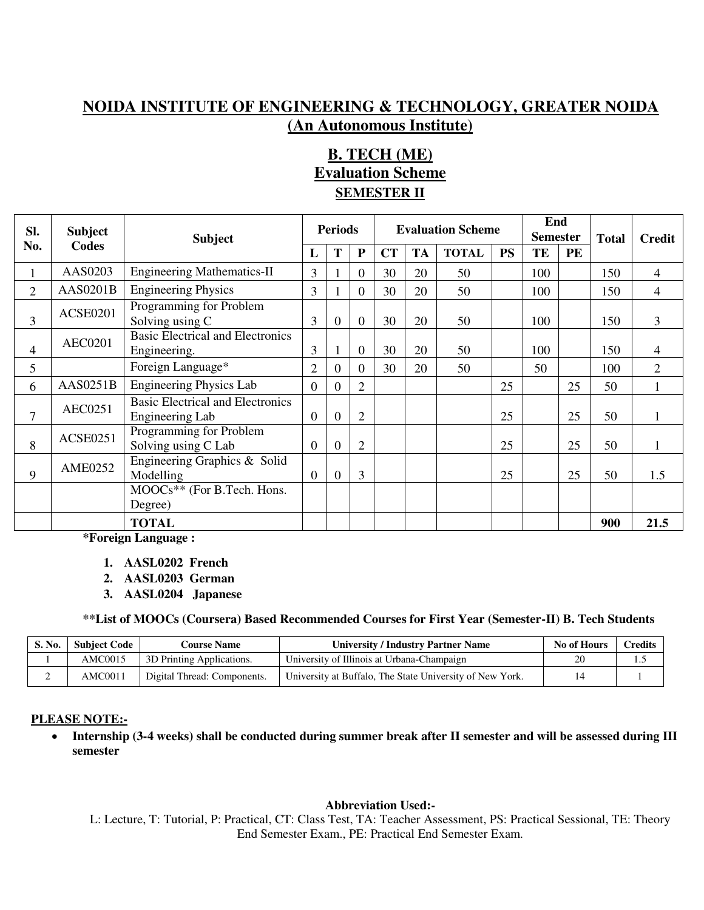## **NOIDA INSTITUTE OF ENGINEERING & TECHNOLOGY, GREATER NOIDA (An Autonomous Institute)**

## **B. TECH (ME) Evaluation Scheme SEMESTER II**

| SI. | <b>Subject</b>  | <b>Subject</b>                                             |                | <b>Periods</b> |                | <b>Evaluation Scheme</b> |           |              |           | End<br><b>Semester</b> |    | <b>Total</b> | <b>Credit</b>  |
|-----|-----------------|------------------------------------------------------------|----------------|----------------|----------------|--------------------------|-----------|--------------|-----------|------------------------|----|--------------|----------------|
| No. | <b>Codes</b>    |                                                            | L              | T              | ${\bf P}$      | <b>CT</b>                | <b>TA</b> | <b>TOTAL</b> | <b>PS</b> | TE                     | PE |              |                |
|     | AAS0203         | <b>Engineering Mathematics-II</b>                          | 3              |                | $\overline{0}$ | 30                       | 20        | 50           |           | 100                    |    | 150          | $\overline{4}$ |
| 2   | <b>AAS0201B</b> | <b>Engineering Physics</b>                                 | 3              |                | $\Omega$       | 30                       | 20        | 50           |           | 100                    |    | 150          | $\overline{4}$ |
| 3   | <b>ACSE0201</b> | Programming for Problem<br>Solving using C                 | 3              | $\overline{0}$ | $\Omega$       | 30                       | 20        | 50           |           | 100                    |    | 150          | $\overline{3}$ |
| 4   | <b>AEC0201</b>  | <b>Basic Electrical and Electronics</b><br>Engineering.    | 3              |                | $\overline{0}$ | 30                       | 20        | 50           |           | 100                    |    | 150          | 4              |
| 5   |                 | Foreign Language*                                          | $\overline{2}$ | $\overline{0}$ | $\Omega$       | 30                       | 20        | 50           |           | 50                     |    | 100          | 2              |
| 6   | AAS0251B        | Engineering Physics Lab                                    | $\Omega$       | $\overline{0}$ | $\overline{2}$ |                          |           |              | 25        |                        | 25 | 50           |                |
| 7   | <b>AEC0251</b>  | <b>Basic Electrical and Electronics</b><br>Engineering Lab | $\overline{0}$ | $\overline{0}$ | $\overline{2}$ |                          |           |              | 25        |                        | 25 | 50           |                |
| 8   | <b>ACSE0251</b> | Programming for Problem<br>Solving using C Lab             | $\Omega$       | $\overline{0}$ | $\overline{2}$ |                          |           |              | 25        |                        | 25 | 50           |                |
| 9   | <b>AME0252</b>  | Engineering Graphics & Solid<br>Modelling                  | $\Omega$       | $\overline{0}$ | 3              |                          |           |              | 25        |                        | 25 | 50           | 1.5            |
|     |                 | MOOCs** (For B.Tech. Hons.<br>Degree)                      |                |                |                |                          |           |              |           |                        |    |              |                |
|     |                 | <b>TOTAL</b>                                               |                |                |                |                          |           |              |           |                        |    | 900          | 21.5           |

**\*Foreign Language :** 

- **1. AASL0202 French**
- **2. AASL0203 German**
- **3. AASL0204 Japanese**

#### **\*\*List of MOOCs (Coursera) Based Recommended Courses for First Year (Semester-II) B. Tech Students**

| S. No. | <b>Subject Code</b> | <b>Course Name</b>          | University / Industry Partner Name                       | No of Hours | <b>Credits</b> |  |
|--------|---------------------|-----------------------------|----------------------------------------------------------|-------------|----------------|--|
|        | AMC0015             | 3D Printing Applications.   | University of Illinois at Urbana-Champaign               |             |                |  |
|        | AMC0011             | Digital Thread: Components. | University at Buffalo, The State University of New York. |             |                |  |

#### **PLEASE NOTE:-**

 **Internship (3-4 weeks) shall be conducted during summer break after II semester and will be assessed during III semester** 

#### **Abbreviation Used:-**

L: Lecture, T: Tutorial, P: Practical, CT: Class Test, TA: Teacher Assessment, PS: Practical Sessional, TE: Theory End Semester Exam., PE: Practical End Semester Exam.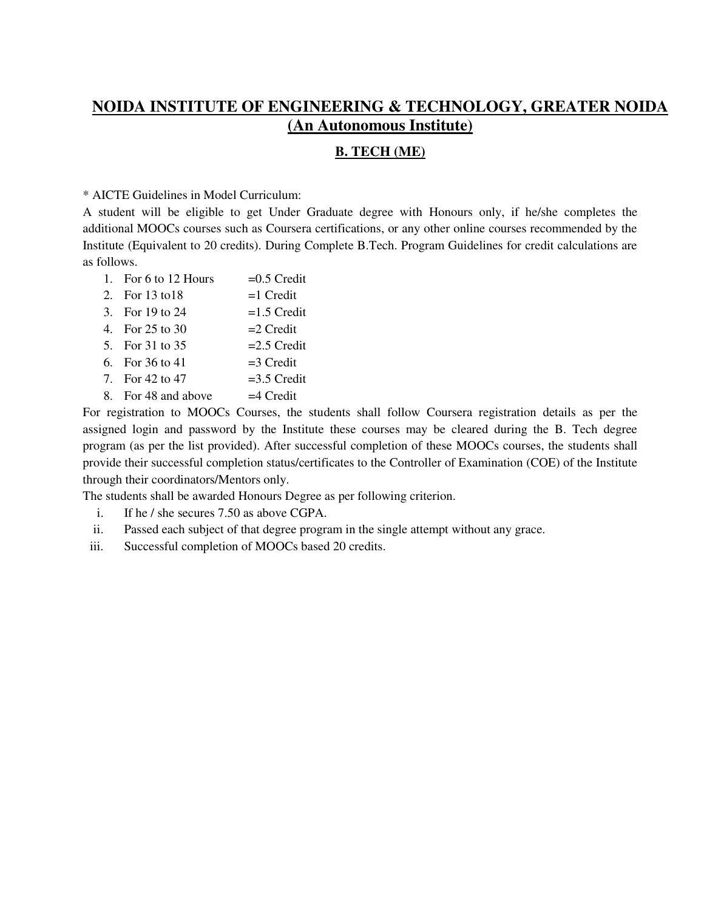## **NOIDA INSTITUTE OF ENGINEERING & TECHNOLOGY, GREATER NOIDA (An Autonomous Institute)**

#### **B. TECH (ME)**

\* AICTE Guidelines in Model Curriculum:

A student will be eligible to get Under Graduate degree with Honours only, if he/she completes the additional MOOCs courses such as Coursera certifications, or any other online courses recommended by the Institute (Equivalent to 20 credits). During Complete B.Tech. Program Guidelines for credit calculations are as follows.

- 1. For 6 to 12 Hours  $=0.5$  Credit
- 2. For  $13 \text{ to } 18$  =1 Credit
- 3. For  $19 \text{ to } 24 = 1.5$  Credit
- 4. For  $25 \text{ to } 30$  = 2 Credit
- 5. For 31 to 35  $=2.5$  Credit
- 6. For  $36 \text{ to } 41$  =3 Credit
- 7. For  $42 \text{ to } 47$  =3.5 Credit
- 8. For 48 and above  $=4$  Credit

For registration to MOOCs Courses, the students shall follow Coursera registration details as per the assigned login and password by the Institute these courses may be cleared during the B. Tech degree program (as per the list provided). After successful completion of these MOOCs courses, the students shall provide their successful completion status/certificates to the Controller of Examination (COE) of the Institute through their coordinators/Mentors only.

The students shall be awarded Honours Degree as per following criterion.

- i. If he / she secures 7.50 as above CGPA.
- ii. Passed each subject of that degree program in the single attempt without any grace.
- iii. Successful completion of MOOCs based 20 credits.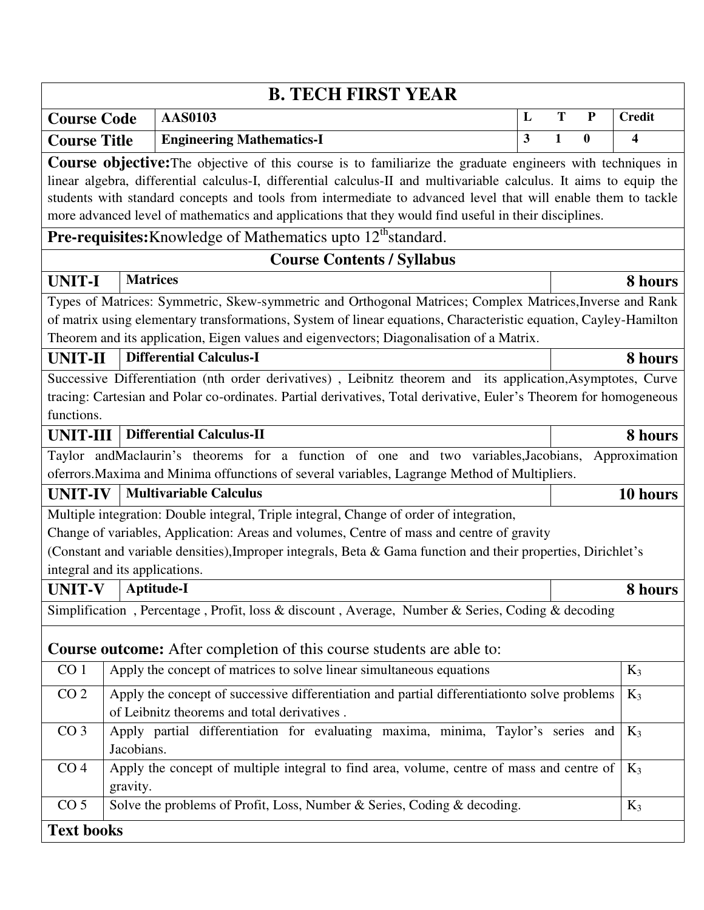| <b>B. TECH FIRST YEAR</b>      |                                                                                                                |                                                                                                                                                                                                                                                                                                                                                                                                                                                                   |   |              |                  |               |  |  |  |
|--------------------------------|----------------------------------------------------------------------------------------------------------------|-------------------------------------------------------------------------------------------------------------------------------------------------------------------------------------------------------------------------------------------------------------------------------------------------------------------------------------------------------------------------------------------------------------------------------------------------------------------|---|--------------|------------------|---------------|--|--|--|
| <b>Course Code</b>             |                                                                                                                | <b>AAS0103</b>                                                                                                                                                                                                                                                                                                                                                                                                                                                    | L | T            | ${\bf P}$        | <b>Credit</b> |  |  |  |
| <b>Course Title</b>            |                                                                                                                | <b>Engineering Mathematics-I</b>                                                                                                                                                                                                                                                                                                                                                                                                                                  | 3 | $\mathbf{1}$ | $\boldsymbol{0}$ | 4             |  |  |  |
|                                |                                                                                                                | <b>Course objective:</b> The objective of this course is to familiarize the graduate engineers with techniques in<br>linear algebra, differential calculus-I, differential calculus-II and multivariable calculus. It aims to equip the<br>students with standard concepts and tools from intermediate to advanced level that will enable them to tackle<br>more advanced level of mathematics and applications that they would find useful in their disciplines. |   |              |                  |               |  |  |  |
|                                | Pre-requisites: Knowledge of Mathematics upto 12 <sup>th</sup> standard.                                       |                                                                                                                                                                                                                                                                                                                                                                                                                                                                   |   |              |                  |               |  |  |  |
|                                |                                                                                                                | <b>Course Contents / Syllabus</b>                                                                                                                                                                                                                                                                                                                                                                                                                                 |   |              |                  |               |  |  |  |
| <b>UNIT-I</b>                  | <b>Matrices</b>                                                                                                |                                                                                                                                                                                                                                                                                                                                                                                                                                                                   |   |              |                  | 8 hours       |  |  |  |
|                                |                                                                                                                | Types of Matrices: Symmetric, Skew-symmetric and Orthogonal Matrices; Complex Matrices, Inverse and Rank<br>of matrix using elementary transformations, System of linear equations, Characteristic equation, Cayley-Hamilton<br>Theorem and its application, Eigen values and eigenvectors; Diagonalisation of a Matrix.                                                                                                                                          |   |              |                  |               |  |  |  |
| <b>UNIT-II</b>                 |                                                                                                                | <b>Differential Calculus-I</b>                                                                                                                                                                                                                                                                                                                                                                                                                                    |   |              |                  | 8 hours       |  |  |  |
| functions.                     |                                                                                                                | Successive Differentiation (nth order derivatives), Leibnitz theorem and its application, Asymptotes, Curve<br>tracing: Cartesian and Polar co-ordinates. Partial derivatives, Total derivative, Euler's Theorem for homogeneous                                                                                                                                                                                                                                  |   |              |                  |               |  |  |  |
| <b>UNIT-III</b>                |                                                                                                                | <b>Differential Calculus-II</b>                                                                                                                                                                                                                                                                                                                                                                                                                                   |   |              |                  | 8 hours       |  |  |  |
|                                |                                                                                                                | Taylor and Maclaurin's theorems for a function of one and two variables, Jacobians,                                                                                                                                                                                                                                                                                                                                                                               |   |              |                  | Approximation |  |  |  |
|                                |                                                                                                                | oferrors. Maxima and Minima offunctions of several variables, Lagrange Method of Multipliers.                                                                                                                                                                                                                                                                                                                                                                     |   |              |                  |               |  |  |  |
| <b>UNIT-IV</b>                 |                                                                                                                | <b>Multivariable Calculus</b>                                                                                                                                                                                                                                                                                                                                                                                                                                     |   |              |                  | 10 hours      |  |  |  |
| integral and its applications. |                                                                                                                | Multiple integration: Double integral, Triple integral, Change of order of integration,<br>Change of variables, Application: Areas and volumes, Centre of mass and centre of gravity<br>(Constant and variable densities), Improper integrals, Beta & Gama function and their properties, Dirichlet's                                                                                                                                                             |   |              |                  |               |  |  |  |
| <b>UNIT-V</b>                  |                                                                                                                | Aptitude-I                                                                                                                                                                                                                                                                                                                                                                                                                                                        |   |              |                  | 8 hours       |  |  |  |
|                                |                                                                                                                | Simplification, Percentage, Profit, loss & discount, Average, Number & Series, Coding & decoding                                                                                                                                                                                                                                                                                                                                                                  |   |              |                  |               |  |  |  |
|                                |                                                                                                                | <b>Course outcome:</b> After completion of this course students are able to:                                                                                                                                                                                                                                                                                                                                                                                      |   |              |                  |               |  |  |  |
| CO <sub>1</sub>                |                                                                                                                | Apply the concept of matrices to solve linear simultaneous equations                                                                                                                                                                                                                                                                                                                                                                                              |   |              |                  | $K_3$         |  |  |  |
| CO <sub>2</sub>                |                                                                                                                | Apply the concept of successive differentiation and partial differentiationto solve problems<br>of Leibnitz theorems and total derivatives.                                                                                                                                                                                                                                                                                                                       |   |              |                  | $K_3$         |  |  |  |
| CO <sub>3</sub>                | Apply partial differentiation for evaluating maxima, minima, Taylor's series and<br>$K_3$<br>Jacobians.        |                                                                                                                                                                                                                                                                                                                                                                                                                                                                   |   |              |                  |               |  |  |  |
| CO <sub>4</sub>                | Apply the concept of multiple integral to find area, volume, centre of mass and centre of<br>$K_3$<br>gravity. |                                                                                                                                                                                                                                                                                                                                                                                                                                                                   |   |              |                  |               |  |  |  |
| CO <sub>5</sub>                |                                                                                                                | Solve the problems of Profit, Loss, Number & Series, Coding & decoding.                                                                                                                                                                                                                                                                                                                                                                                           |   |              |                  | $K_3$         |  |  |  |
| <b>Text books</b>              |                                                                                                                |                                                                                                                                                                                                                                                                                                                                                                                                                                                                   |   |              |                  |               |  |  |  |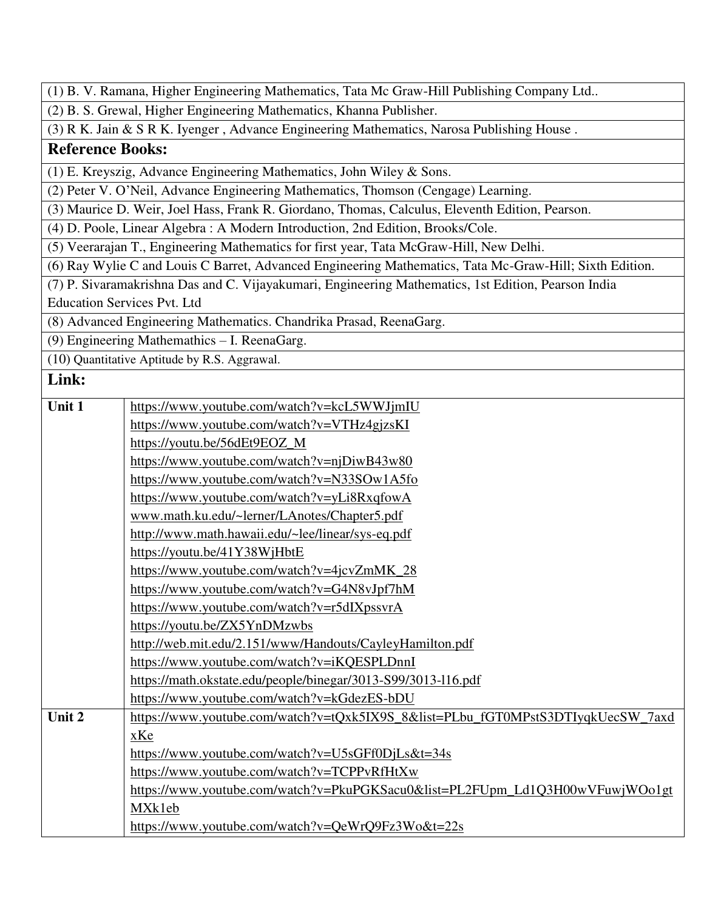|                         | (1) B. V. Ramana, Higher Engineering Mathematics, Tata Mc Graw-Hill Publishing Company Ltd              |  |  |  |  |  |  |  |
|-------------------------|---------------------------------------------------------------------------------------------------------|--|--|--|--|--|--|--|
|                         | (2) B. S. Grewal, Higher Engineering Mathematics, Khanna Publisher.                                     |  |  |  |  |  |  |  |
|                         | (3) R K. Jain & S R K. Iyenger, Advance Engineering Mathematics, Narosa Publishing House.               |  |  |  |  |  |  |  |
| <b>Reference Books:</b> |                                                                                                         |  |  |  |  |  |  |  |
|                         | (1) E. Kreyszig, Advance Engineering Mathematics, John Wiley & Sons.                                    |  |  |  |  |  |  |  |
|                         | (2) Peter V. O'Neil, Advance Engineering Mathematics, Thomson (Cengage) Learning.                       |  |  |  |  |  |  |  |
|                         | (3) Maurice D. Weir, Joel Hass, Frank R. Giordano, Thomas, Calculus, Eleventh Edition, Pearson.         |  |  |  |  |  |  |  |
|                         | (4) D. Poole, Linear Algebra: A Modern Introduction, 2nd Edition, Brooks/Cole.                          |  |  |  |  |  |  |  |
|                         | (5) Veerarajan T., Engineering Mathematics for first year, Tata McGraw-Hill, New Delhi.                 |  |  |  |  |  |  |  |
|                         | (6) Ray Wylie C and Louis C Barret, Advanced Engineering Mathematics, Tata Mc-Graw-Hill; Sixth Edition. |  |  |  |  |  |  |  |
|                         | (7) P. Sivaramakrishna Das and C. Vijayakumari, Engineering Mathematics, 1st Edition, Pearson India     |  |  |  |  |  |  |  |
|                         | <b>Education Services Pvt. Ltd</b>                                                                      |  |  |  |  |  |  |  |
|                         | (8) Advanced Engineering Mathematics. Chandrika Prasad, ReenaGarg.                                      |  |  |  |  |  |  |  |
|                         | (9) Engineering Mathemathics - I. ReenaGarg.                                                            |  |  |  |  |  |  |  |
|                         | (10) Quantitative Aptitude by R.S. Aggrawal.                                                            |  |  |  |  |  |  |  |
| Link:                   |                                                                                                         |  |  |  |  |  |  |  |
|                         |                                                                                                         |  |  |  |  |  |  |  |
| Unit 1                  | https://www.youtube.com/watch?v=kcL5WWJjmIU                                                             |  |  |  |  |  |  |  |
|                         | https://www.youtube.com/watch?v=VTHz4gjzsKI                                                             |  |  |  |  |  |  |  |
|                         | https://youtu.be/56dEt9EOZ_M                                                                            |  |  |  |  |  |  |  |
|                         | https://www.youtube.com/watch?v=njDiwB43w80                                                             |  |  |  |  |  |  |  |
|                         | https://www.youtube.com/watch?v=N33SOw1A5fo                                                             |  |  |  |  |  |  |  |
|                         | https://www.youtube.com/watch?v=yLi8RxqfowA                                                             |  |  |  |  |  |  |  |
|                         | www.math.ku.edu/~lerner/LAnotes/Chapter5.pdf                                                            |  |  |  |  |  |  |  |
|                         | http://www.math.hawaii.edu/~lee/linear/sys-eq.pdf                                                       |  |  |  |  |  |  |  |
|                         | https://youtu.be/41Y38WjHbtE                                                                            |  |  |  |  |  |  |  |
|                         | https://www.youtube.com/watch?v=4jcvZmMK_28                                                             |  |  |  |  |  |  |  |
|                         | https://www.youtube.com/watch?v=G4N8vJpf7hM                                                             |  |  |  |  |  |  |  |
|                         | https://www.youtube.com/watch?v=r5dIXpssvrA                                                             |  |  |  |  |  |  |  |
|                         | https://youtu.be/ZX5YnDMzwbs                                                                            |  |  |  |  |  |  |  |
|                         | http://web.mit.edu/2.151/www/Handouts/CayleyHamilton.pdf                                                |  |  |  |  |  |  |  |
|                         | https://www.youtube.com/watch?v=iKQESPLDnnI                                                             |  |  |  |  |  |  |  |
|                         | https://math.okstate.edu/people/binegar/3013-S99/3013-116.pdf                                           |  |  |  |  |  |  |  |
|                         | https://www.youtube.com/watch?v=kGdezES-bDU                                                             |  |  |  |  |  |  |  |
| Unit 2                  | https://www.youtube.com/watch?v=tQxk5IX9S_8&list=PLbu_fGT0MPstS3DTIyqkUecSW_7axd                        |  |  |  |  |  |  |  |
|                         | xKe                                                                                                     |  |  |  |  |  |  |  |
|                         | https://www.youtube.com/watch?v=U5sGFf0DjLs&t=34s                                                       |  |  |  |  |  |  |  |
|                         | https://www.youtube.com/watch?v=TCPPvRfHtXw                                                             |  |  |  |  |  |  |  |
|                         | https://www.youtube.com/watch?v=PkuPGKSacu0&list=PL2FUpm_Ld1Q3H00wVFuwjWOo1gt                           |  |  |  |  |  |  |  |
|                         | MXk1eb                                                                                                  |  |  |  |  |  |  |  |
|                         | https://www.youtube.com/watch?v=QeWrQ9Fz3Wo&t=22s                                                       |  |  |  |  |  |  |  |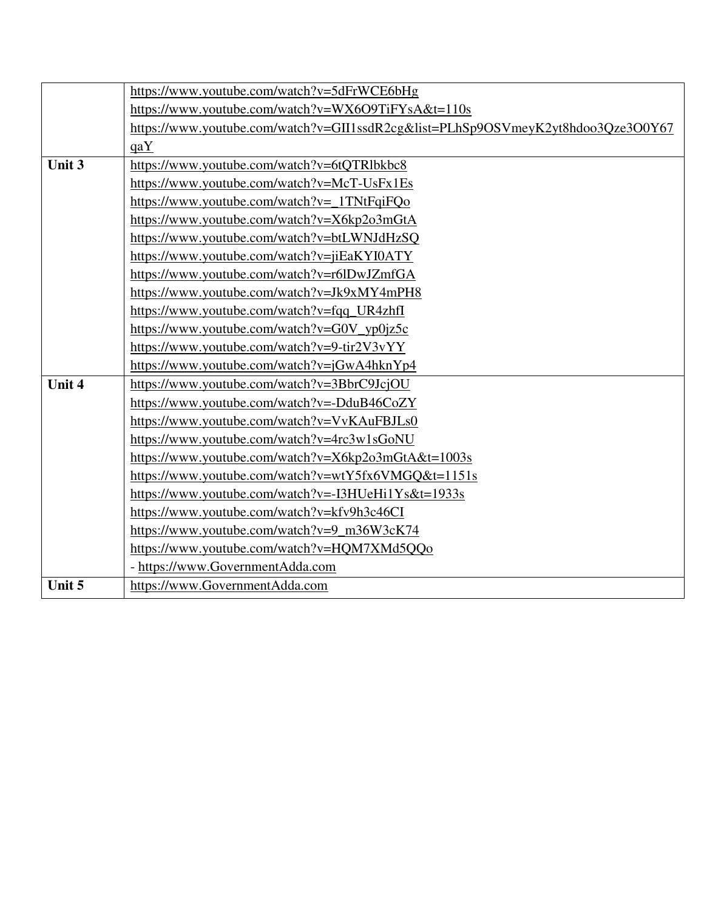|        | https://www.youtube.com/watch?v=5dFrWCE6bHg                                      |
|--------|----------------------------------------------------------------------------------|
|        | https://www.youtube.com/watch?v=WX6O9TiFYsA&t=110s                               |
|        | https://www.youtube.com/watch?v=GII1ssdR2cg&list=PLhSp9OSVmeyK2yt8hdoo3Qze3O0Y67 |
|        | qaY                                                                              |
| Unit 3 | https://www.youtube.com/watch?v=6tQTRlbkbc8                                      |
|        | https://www.youtube.com/watch?v=McT-UsFx1Es                                      |
|        | https://www.youtube.com/watch?v=_1TNtFqiFQo                                      |
|        | https://www.youtube.com/watch?v=X6kp2o3mGtA                                      |
|        | https://www.youtube.com/watch?v=btLWNJdHzSQ                                      |
|        | https://www.youtube.com/watch?v=jiEaKYI0ATY                                      |
|        | https://www.youtube.com/watch?v=r6lDwJZmfGA                                      |
|        | https://www.youtube.com/watch?v=Jk9xMY4mPH8                                      |
|        | https://www.youtube.com/watch?v=fqq_UR4zhfI                                      |
|        | https://www.youtube.com/watch?v=G0V_yp0jz5c                                      |
|        | https://www.youtube.com/watch?v=9-tir2V3vYY                                      |
|        | https://www.youtube.com/watch?v=jGwA4hknYp4                                      |
| Unit 4 | https://www.youtube.com/watch?v=3BbrC9JcjOU                                      |
|        | https://www.youtube.com/watch?v=-DduB46CoZY                                      |
|        | https://www.youtube.com/watch?v=VvKAuFBJLs0                                      |
|        | https://www.youtube.com/watch?v=4rc3w1sGoNU                                      |
|        | https://www.youtube.com/watch?v=X6kp2o3mGtA&t=1003s                              |
|        | https://www.youtube.com/watch?v=wtY5fx6VMGQ&t=1151s                              |
|        | https://www.youtube.com/watch?v=-I3HUeHi1Ys&t=1933s                              |
|        | https://www.youtube.com/watch?v=kfv9h3c46CI                                      |
|        | https://www.youtube.com/watch?v=9_m36W3cK74                                      |
|        | https://www.youtube.com/watch?v=HQM7XMd5QQo                                      |
|        | - https://www.GovernmentAdda.com                                                 |
| Unit 5 | https://www.GovernmentAdda.com                                                   |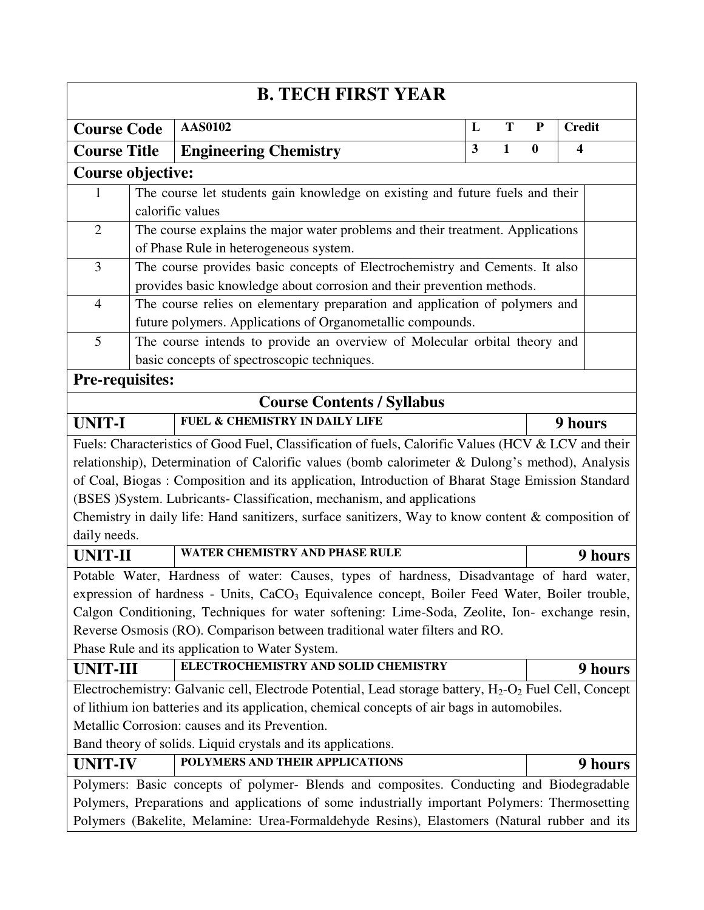| <b>B. TECH FIRST YEAR</b>                                                                      |  |                                                                                                           |   |              |          |                                                                                             |  |  |  |  |  |  |  |
|------------------------------------------------------------------------------------------------|--|-----------------------------------------------------------------------------------------------------------|---|--------------|----------|---------------------------------------------------------------------------------------------|--|--|--|--|--|--|--|
| <b>Course Code</b>                                                                             |  | <b>AAS0102</b>                                                                                            | L | T            | P        | <b>Credit</b>                                                                               |  |  |  |  |  |  |  |
| <b>Course Title</b>                                                                            |  | <b>Engineering Chemistry</b>                                                                              | 3 | $\mathbf{1}$ | $\bf{0}$ | $\overline{\mathbf{4}}$                                                                     |  |  |  |  |  |  |  |
| Course objective:                                                                              |  |                                                                                                           |   |              |          |                                                                                             |  |  |  |  |  |  |  |
| $\mathbf{1}$                                                                                   |  | The course let students gain knowledge on existing and future fuels and their                             |   |              |          |                                                                                             |  |  |  |  |  |  |  |
|                                                                                                |  | calorific values                                                                                          |   |              |          |                                                                                             |  |  |  |  |  |  |  |
| $\overline{2}$                                                                                 |  | The course explains the major water problems and their treatment. Applications                            |   |              |          |                                                                                             |  |  |  |  |  |  |  |
|                                                                                                |  | of Phase Rule in heterogeneous system.                                                                    |   |              |          |                                                                                             |  |  |  |  |  |  |  |
| 3                                                                                              |  | The course provides basic concepts of Electrochemistry and Cements. It also                               |   |              |          |                                                                                             |  |  |  |  |  |  |  |
|                                                                                                |  | provides basic knowledge about corrosion and their prevention methods.                                    |   |              |          |                                                                                             |  |  |  |  |  |  |  |
| $\overline{4}$                                                                                 |  | The course relies on elementary preparation and application of polymers and                               |   |              |          |                                                                                             |  |  |  |  |  |  |  |
|                                                                                                |  | future polymers. Applications of Organometallic compounds.                                                |   |              |          |                                                                                             |  |  |  |  |  |  |  |
| 5                                                                                              |  | The course intends to provide an overview of Molecular orbital theory and                                 |   |              |          |                                                                                             |  |  |  |  |  |  |  |
|                                                                                                |  | basic concepts of spectroscopic techniques.                                                               |   |              |          |                                                                                             |  |  |  |  |  |  |  |
| Pre-requisites:                                                                                |  |                                                                                                           |   |              |          |                                                                                             |  |  |  |  |  |  |  |
|                                                                                                |  | <b>Course Contents / Syllabus</b>                                                                         |   |              |          |                                                                                             |  |  |  |  |  |  |  |
| <b>FUEL &amp; CHEMISTRY IN DAILY LIFE</b><br><b>UNIT-I</b>                                     |  |                                                                                                           |   |              | 9 hours  |                                                                                             |  |  |  |  |  |  |  |
|                                                                                                |  | Fuels: Characteristics of Good Fuel, Classification of fuels, Calorific Values (HCV & LCV and their       |   |              |          |                                                                                             |  |  |  |  |  |  |  |
|                                                                                                |  | relationship), Determination of Calorific values (bomb calorimeter & Dulong's method), Analysis           |   |              |          |                                                                                             |  |  |  |  |  |  |  |
|                                                                                                |  | of Coal, Biogas: Composition and its application, Introduction of Bharat Stage Emission Standard          |   |              |          |                                                                                             |  |  |  |  |  |  |  |
|                                                                                                |  | (BSES )System. Lubricants- Classification, mechanism, and applications                                    |   |              |          |                                                                                             |  |  |  |  |  |  |  |
|                                                                                                |  | Chemistry in daily life: Hand sanitizers, surface sanitizers, Way to know content & composition of        |   |              |          |                                                                                             |  |  |  |  |  |  |  |
| daily needs.                                                                                   |  |                                                                                                           |   |              |          |                                                                                             |  |  |  |  |  |  |  |
| <b>UNIT-II</b>                                                                                 |  | WATER CHEMISTRY AND PHASE RULE                                                                            |   |              |          | 9 hours                                                                                     |  |  |  |  |  |  |  |
|                                                                                                |  | Potable Water, Hardness of water: Causes, types of hardness, Disadvantage of hard water,                  |   |              |          |                                                                                             |  |  |  |  |  |  |  |
|                                                                                                |  | expression of hardness - Units, CaCO <sub>3</sub> Equivalence concept, Boiler Feed Water, Boiler trouble, |   |              |          |                                                                                             |  |  |  |  |  |  |  |
|                                                                                                |  | Calgon Conditioning, Techniques for water softening: Lime-Soda, Zeolite, Ion- exchange resin,             |   |              |          |                                                                                             |  |  |  |  |  |  |  |
|                                                                                                |  | Reverse Osmosis (RO). Comparison between traditional water filters and RO.                                |   |              |          |                                                                                             |  |  |  |  |  |  |  |
|                                                                                                |  | Phase Rule and its application to Water System.                                                           |   |              |          |                                                                                             |  |  |  |  |  |  |  |
| <b>UNIT-III</b>                                                                                |  | ELECTROCHEMISTRY AND SOLID CHEMISTRY                                                                      |   |              |          | 9 hours                                                                                     |  |  |  |  |  |  |  |
|                                                                                                |  | Electrochemistry: Galvanic cell, Electrode Potential, Lead storage battery, $H_2-O_2$ Fuel Cell, Concept  |   |              |          |                                                                                             |  |  |  |  |  |  |  |
|                                                                                                |  | of lithium ion batteries and its application, chemical concepts of air bags in automobiles.               |   |              |          |                                                                                             |  |  |  |  |  |  |  |
|                                                                                                |  | Metallic Corrosion: causes and its Prevention.                                                            |   |              |          |                                                                                             |  |  |  |  |  |  |  |
| Band theory of solids. Liquid crystals and its applications.                                   |  |                                                                                                           |   |              |          |                                                                                             |  |  |  |  |  |  |  |
| <b>UNIT-IV</b>                                                                                 |  | POLYMERS AND THEIR APPLICATIONS                                                                           |   |              |          | <b>9 hours</b>                                                                              |  |  |  |  |  |  |  |
|                                                                                                |  | Polymers: Basic concepts of polymer- Blends and composites. Conducting and Biodegradable                  |   |              |          |                                                                                             |  |  |  |  |  |  |  |
| Polymers, Preparations and applications of some industrially important Polymers: Thermosetting |  |                                                                                                           |   |              |          |                                                                                             |  |  |  |  |  |  |  |
|                                                                                                |  |                                                                                                           |   |              |          | Polymers (Bakelite, Melamine: Urea-Formaldehyde Resins), Elastomers (Natural rubber and its |  |  |  |  |  |  |  |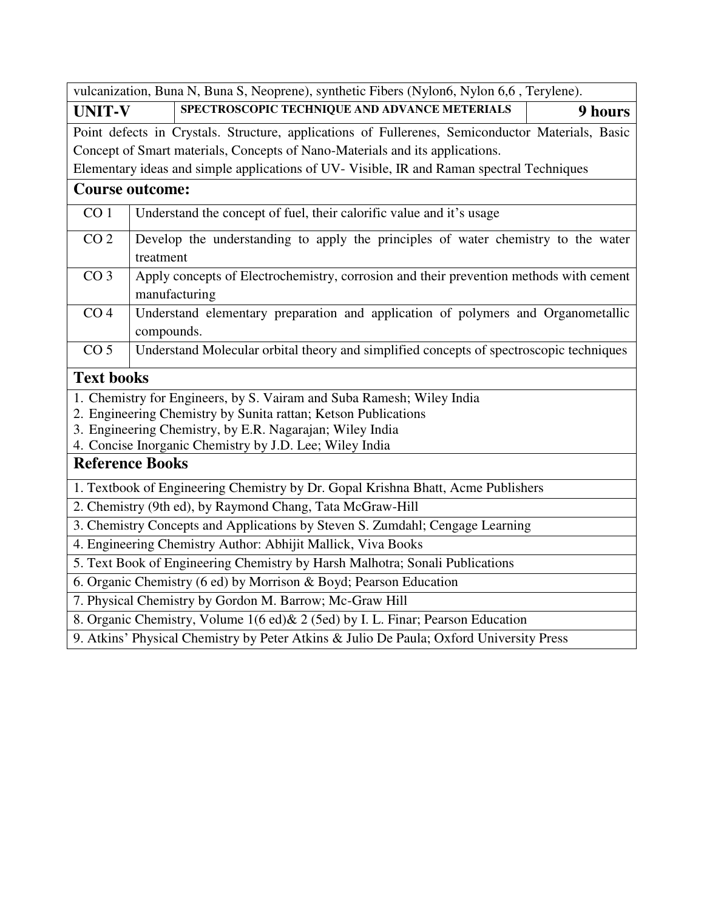| vulcanization, Buna N, Buna S, Neoprene), synthetic Fibers (Nylon6, Nylon 6,6, Terylene). |                                                                                          |                                                                                                  |         |  |  |  |  |
|-------------------------------------------------------------------------------------------|------------------------------------------------------------------------------------------|--------------------------------------------------------------------------------------------------|---------|--|--|--|--|
| <b>UNIT-V</b>                                                                             |                                                                                          | SPECTROSCOPIC TECHNIQUE AND ADVANCE METERIALS                                                    | 9 hours |  |  |  |  |
|                                                                                           |                                                                                          | Point defects in Crystals. Structure, applications of Fullerenes, Semiconductor Materials, Basic |         |  |  |  |  |
|                                                                                           |                                                                                          | Concept of Smart materials, Concepts of Nano-Materials and its applications.                     |         |  |  |  |  |
|                                                                                           | Elementary ideas and simple applications of UV-Visible, IR and Raman spectral Techniques |                                                                                                  |         |  |  |  |  |
| <b>Course outcome:</b>                                                                    |                                                                                          |                                                                                                  |         |  |  |  |  |
| CO <sub>1</sub>                                                                           | Understand the concept of fuel, their calorific value and it's usage                     |                                                                                                  |         |  |  |  |  |
| CO <sub>2</sub>                                                                           |                                                                                          | Develop the understanding to apply the principles of water chemistry to the water                |         |  |  |  |  |
|                                                                                           | treatment                                                                                |                                                                                                  |         |  |  |  |  |
| CO <sub>3</sub>                                                                           |                                                                                          | Apply concepts of Electrochemistry, corrosion and their prevention methods with cement           |         |  |  |  |  |
|                                                                                           |                                                                                          | manufacturing                                                                                    |         |  |  |  |  |
| CO <sub>4</sub>                                                                           |                                                                                          | Understand elementary preparation and application of polymers and Organometallic                 |         |  |  |  |  |
|                                                                                           | compounds.                                                                               |                                                                                                  |         |  |  |  |  |
| CO <sub>5</sub>                                                                           |                                                                                          | Understand Molecular orbital theory and simplified concepts of spectroscopic techniques          |         |  |  |  |  |
| <b>Text books</b>                                                                         |                                                                                          |                                                                                                  |         |  |  |  |  |
|                                                                                           |                                                                                          | 1. Chemistry for Engineers, by S. Vairam and Suba Ramesh; Wiley India                            |         |  |  |  |  |
|                                                                                           |                                                                                          | 2. Engineering Chemistry by Sunita rattan; Ketson Publications                                   |         |  |  |  |  |
|                                                                                           |                                                                                          | 3. Engineering Chemistry, by E.R. Nagarajan; Wiley India                                         |         |  |  |  |  |
|                                                                                           |                                                                                          | 4. Concise Inorganic Chemistry by J.D. Lee; Wiley India                                          |         |  |  |  |  |
| <b>Reference Books</b>                                                                    |                                                                                          |                                                                                                  |         |  |  |  |  |
|                                                                                           |                                                                                          | 1. Textbook of Engineering Chemistry by Dr. Gopal Krishna Bhatt, Acme Publishers                 |         |  |  |  |  |
|                                                                                           |                                                                                          | 2. Chemistry (9th ed), by Raymond Chang, Tata McGraw-Hill                                        |         |  |  |  |  |
|                                                                                           |                                                                                          | 3. Chemistry Concepts and Applications by Steven S. Zumdahl; Cengage Learning                    |         |  |  |  |  |
|                                                                                           |                                                                                          | 4. Engineering Chemistry Author: Abhijit Mallick, Viva Books                                     |         |  |  |  |  |
|                                                                                           |                                                                                          | 5. Text Book of Engineering Chemistry by Harsh Malhotra; Sonali Publications                     |         |  |  |  |  |
|                                                                                           |                                                                                          | 6. Organic Chemistry (6 ed) by Morrison & Boyd; Pearson Education                                |         |  |  |  |  |
|                                                                                           |                                                                                          | 7. Physical Chemistry by Gordon M. Barrow; Mc-Graw Hill                                          |         |  |  |  |  |
| 8. Organic Chemistry, Volume 1(6 ed) & 2 (5ed) by I. L. Finar; Pearson Education          |                                                                                          |                                                                                                  |         |  |  |  |  |
|                                                                                           |                                                                                          | 9. Atkins' Physical Chemistry by Peter Atkins & Julio De Paula; Oxford University Press          |         |  |  |  |  |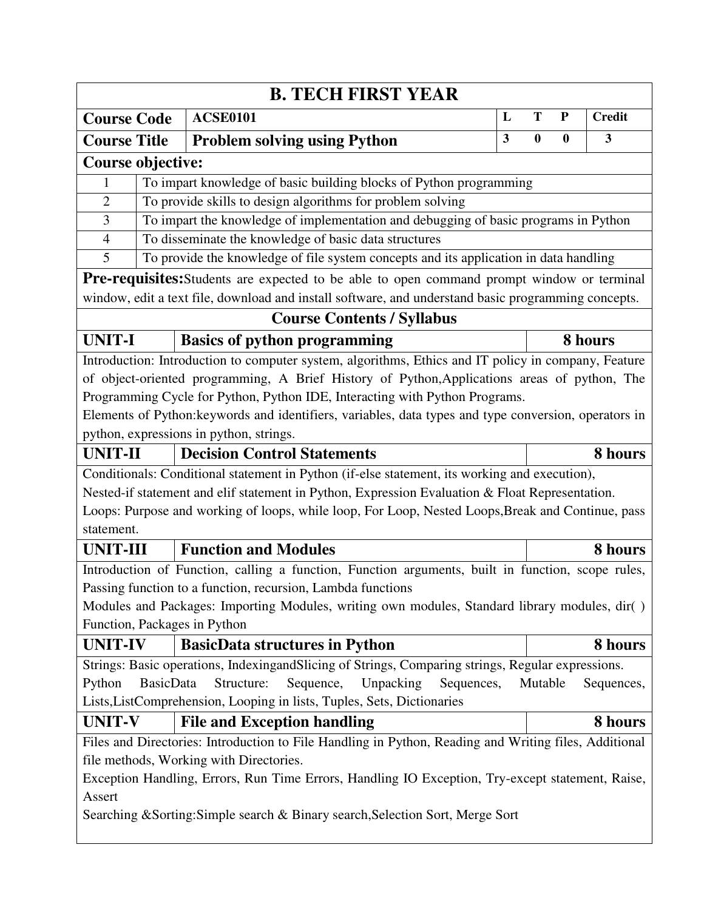|                          |                                                                                                                                                  | <b>B. TECH FIRST YEAR</b>                                                                                                     |   |          |                  |               |  |  |  |
|--------------------------|--------------------------------------------------------------------------------------------------------------------------------------------------|-------------------------------------------------------------------------------------------------------------------------------|---|----------|------------------|---------------|--|--|--|
| <b>Course Code</b>       |                                                                                                                                                  | <b>ACSE0101</b>                                                                                                               | L | T        | ${\bf P}$        | <b>Credit</b> |  |  |  |
| <b>Course Title</b>      |                                                                                                                                                  | <b>Problem solving using Python</b>                                                                                           | 3 | $\bf{0}$ | $\boldsymbol{0}$ | 3             |  |  |  |
| <b>Course objective:</b> |                                                                                                                                                  |                                                                                                                               |   |          |                  |               |  |  |  |
| 1                        | To impart knowledge of basic building blocks of Python programming                                                                               |                                                                                                                               |   |          |                  |               |  |  |  |
| $\overline{2}$           | To provide skills to design algorithms for problem solving                                                                                       |                                                                                                                               |   |          |                  |               |  |  |  |
| 3                        | To impart the knowledge of implementation and debugging of basic programs in Python                                                              |                                                                                                                               |   |          |                  |               |  |  |  |
| $\overline{4}$           | To disseminate the knowledge of basic data structures                                                                                            |                                                                                                                               |   |          |                  |               |  |  |  |
| 5                        |                                                                                                                                                  | To provide the knowledge of file system concepts and its application in data handling                                         |   |          |                  |               |  |  |  |
|                          |                                                                                                                                                  | <b>Pre-requisites:</b> Students are expected to be able to open command prompt window or terminal                             |   |          |                  |               |  |  |  |
|                          |                                                                                                                                                  | window, edit a text file, download and install software, and understand basic programming concepts.                           |   |          |                  |               |  |  |  |
|                          |                                                                                                                                                  | <b>Course Contents / Syllabus</b>                                                                                             |   |          |                  |               |  |  |  |
| <b>UNIT-I</b>            |                                                                                                                                                  | <b>Basics of python programming</b>                                                                                           |   |          |                  | 8 hours       |  |  |  |
|                          |                                                                                                                                                  | Introduction: Introduction to computer system, algorithms, Ethics and IT policy in company, Feature                           |   |          |                  |               |  |  |  |
|                          |                                                                                                                                                  | of object-oriented programming, A Brief History of Python, Applications areas of python, The                                  |   |          |                  |               |  |  |  |
|                          |                                                                                                                                                  | Programming Cycle for Python, Python IDE, Interacting with Python Programs.                                                   |   |          |                  |               |  |  |  |
|                          |                                                                                                                                                  | Elements of Python: keywords and identifiers, variables, data types and type conversion, operators in                         |   |          |                  |               |  |  |  |
|                          |                                                                                                                                                  | python, expressions in python, strings.                                                                                       |   |          |                  |               |  |  |  |
| <b>UNIT-II</b>           |                                                                                                                                                  | <b>Decision Control Statements</b>                                                                                            |   |          |                  | 8 hours       |  |  |  |
|                          |                                                                                                                                                  | Conditionals: Conditional statement in Python (if-else statement, its working and execution),                                 |   |          |                  |               |  |  |  |
|                          |                                                                                                                                                  | Nested-if statement and elif statement in Python, Expression Evaluation & Float Representation.                               |   |          |                  |               |  |  |  |
|                          |                                                                                                                                                  | Loops: Purpose and working of loops, while loop, For Loop, Nested Loops, Break and Continue, pass                             |   |          |                  |               |  |  |  |
| statement.               |                                                                                                                                                  |                                                                                                                               |   |          |                  |               |  |  |  |
| <b>UNIT-III</b>          |                                                                                                                                                  | <b>Function and Modules</b>                                                                                                   |   |          |                  | 8 hours       |  |  |  |
|                          |                                                                                                                                                  | Introduction of Function, calling a function, Function arguments, built in function, scope rules,                             |   |          |                  |               |  |  |  |
|                          |                                                                                                                                                  | Passing function to a function, recursion, Lambda functions                                                                   |   |          |                  |               |  |  |  |
|                          |                                                                                                                                                  | Modules and Packages: Importing Modules, writing own modules, Standard library modules, dir()<br>Function, Packages in Python |   |          |                  |               |  |  |  |
|                          |                                                                                                                                                  |                                                                                                                               |   |          |                  |               |  |  |  |
| <b>UNIT-IV</b>           |                                                                                                                                                  | <b>BasicData structures in Python</b>                                                                                         |   |          |                  | 8 hours       |  |  |  |
|                          |                                                                                                                                                  | Strings: Basic operations, IndexingandSlicing of Strings, Comparing strings, Regular expressions.<br>Structure:               |   |          |                  |               |  |  |  |
| Python                   | <b>BasicData</b>                                                                                                                                 | Sequence,<br>Unpacking<br>Sequences,<br>Lists, ListComprehension, Looping in lists, Tuples, Sets, Dictionaries                |   | Mutable  |                  | Sequences,    |  |  |  |
| <b>UNIT-V</b>            |                                                                                                                                                  | <b>File and Exception handling</b>                                                                                            |   |          |                  | 8 hours       |  |  |  |
|                          |                                                                                                                                                  |                                                                                                                               |   |          |                  |               |  |  |  |
|                          | Files and Directories: Introduction to File Handling in Python, Reading and Writing files, Additional<br>file methods, Working with Directories. |                                                                                                                               |   |          |                  |               |  |  |  |
|                          |                                                                                                                                                  | Exception Handling, Errors, Run Time Errors, Handling IO Exception, Try-except statement, Raise,                              |   |          |                  |               |  |  |  |
| Assert                   |                                                                                                                                                  |                                                                                                                               |   |          |                  |               |  |  |  |
|                          |                                                                                                                                                  | Searching & Sorting: Simple search & Binary search, Selection Sort, Merge Sort                                                |   |          |                  |               |  |  |  |
|                          |                                                                                                                                                  |                                                                                                                               |   |          |                  |               |  |  |  |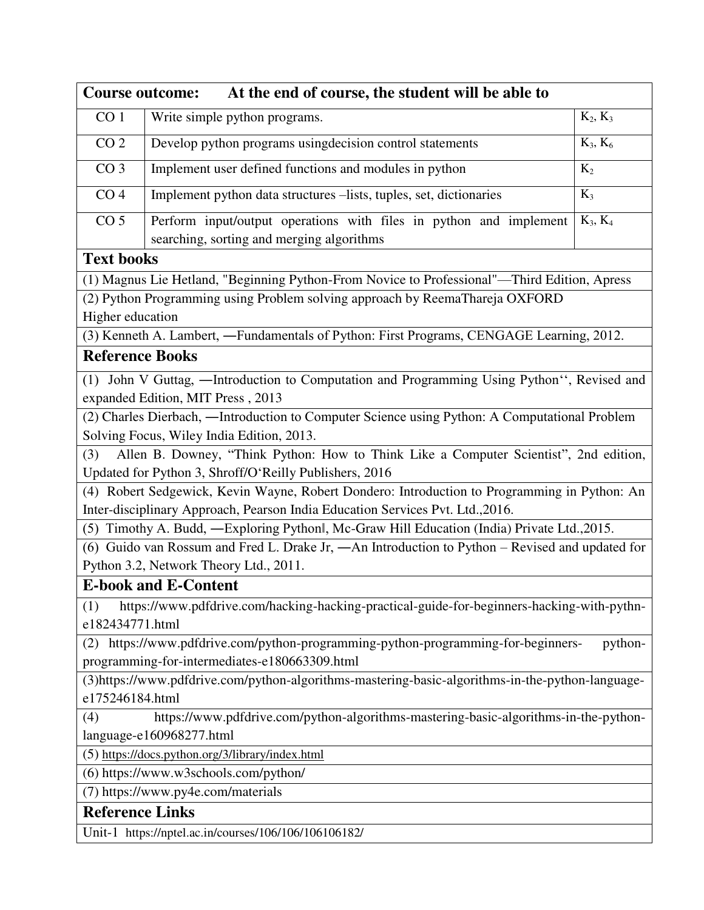| At the end of course, the student will be able to<br><b>Course outcome:</b> |                                                                                                                                 |            |  |  |  |  |  |  |
|-----------------------------------------------------------------------------|---------------------------------------------------------------------------------------------------------------------------------|------------|--|--|--|--|--|--|
| CO <sub>1</sub>                                                             | Write simple python programs.                                                                                                   | $K_2, K_3$ |  |  |  |  |  |  |
| CO <sub>2</sub>                                                             | Develop python programs using decision control statements                                                                       | $K_3, K_6$ |  |  |  |  |  |  |
| CO <sub>3</sub>                                                             | Implement user defined functions and modules in python                                                                          | $K_2$      |  |  |  |  |  |  |
| CO <sub>4</sub>                                                             | Implement python data structures -lists, tuples, set, dictionaries                                                              | $K_3$      |  |  |  |  |  |  |
| CO <sub>5</sub>                                                             | Perform input/output operations with files in python and implement<br>searching, sorting and merging algorithms                 | $K_3, K_4$ |  |  |  |  |  |  |
| <b>Text books</b>                                                           |                                                                                                                                 |            |  |  |  |  |  |  |
|                                                                             | (1) Magnus Lie Hetland, "Beginning Python-From Novice to Professional"-Third Edition, Apress                                    |            |  |  |  |  |  |  |
|                                                                             | (2) Python Programming using Problem solving approach by ReemaThareja OXFORD                                                    |            |  |  |  |  |  |  |
| Higher education                                                            |                                                                                                                                 |            |  |  |  |  |  |  |
|                                                                             | (3) Kenneth A. Lambert, -Fundamentals of Python: First Programs, CENGAGE Learning, 2012.                                        |            |  |  |  |  |  |  |
| <b>Reference Books</b>                                                      |                                                                                                                                 |            |  |  |  |  |  |  |
|                                                                             | (1) John V Guttag, -Introduction to Computation and Programming Using Python", Revised and<br>expanded Edition, MIT Press, 2013 |            |  |  |  |  |  |  |
|                                                                             | (2) Charles Dierbach, -Introduction to Computer Science using Python: A Computational Problem                                   |            |  |  |  |  |  |  |
|                                                                             | Solving Focus, Wiley India Edition, 2013.                                                                                       |            |  |  |  |  |  |  |
| (3)                                                                         | Allen B. Downey, "Think Python: How to Think Like a Computer Scientist", 2nd edition,                                           |            |  |  |  |  |  |  |
|                                                                             | Updated for Python 3, Shroff/O'Reilly Publishers, 2016                                                                          |            |  |  |  |  |  |  |
|                                                                             | (4) Robert Sedgewick, Kevin Wayne, Robert Dondero: Introduction to Programming in Python: An                                    |            |  |  |  |  |  |  |
|                                                                             | Inter-disciplinary Approach, Pearson India Education Services Pvt. Ltd., 2016.                                                  |            |  |  |  |  |  |  |
|                                                                             | (5) Timothy A. Budd, -Exploring Pythonl, Mc-Graw Hill Education (India) Private Ltd., 2015.                                     |            |  |  |  |  |  |  |
|                                                                             | (6) Guido van Rossum and Fred L. Drake Jr, -An Introduction to Python - Revised and updated for                                 |            |  |  |  |  |  |  |
|                                                                             | Python 3.2, Network Theory Ltd., 2011.                                                                                          |            |  |  |  |  |  |  |
|                                                                             | <b>E-book and E-Content</b>                                                                                                     |            |  |  |  |  |  |  |
| (1)<br>e182434771.html                                                      | https://www.pdfdrive.com/hacking-hacking-practical-guide-for-beginners-hacking-with-pythn-                                      |            |  |  |  |  |  |  |
|                                                                             | (2) https://www.pdfdrive.com/python-programming-python-programming-for-beginners-                                               | python-    |  |  |  |  |  |  |
|                                                                             | programming-for-intermediates-e180663309.html                                                                                   |            |  |  |  |  |  |  |
|                                                                             | (3)https://www.pdfdrive.com/python-algorithms-mastering-basic-algorithms-in-the-python-language-                                |            |  |  |  |  |  |  |
| e175246184.html                                                             |                                                                                                                                 |            |  |  |  |  |  |  |
| (4)                                                                         | https://www.pdfdrive.com/python-algorithms-mastering-basic-algorithms-in-the-python-                                            |            |  |  |  |  |  |  |
|                                                                             | language-e160968277.html                                                                                                        |            |  |  |  |  |  |  |
|                                                                             | (5) https://docs.python.org/3/library/index.html                                                                                |            |  |  |  |  |  |  |
|                                                                             | (6) https://www.w3schools.com/python/                                                                                           |            |  |  |  |  |  |  |
| (7) https://www.py4e.com/materials                                          |                                                                                                                                 |            |  |  |  |  |  |  |
| <b>Reference Links</b>                                                      |                                                                                                                                 |            |  |  |  |  |  |  |
|                                                                             | Unit-1 https://nptel.ac.in/courses/106/106/106106182/                                                                           |            |  |  |  |  |  |  |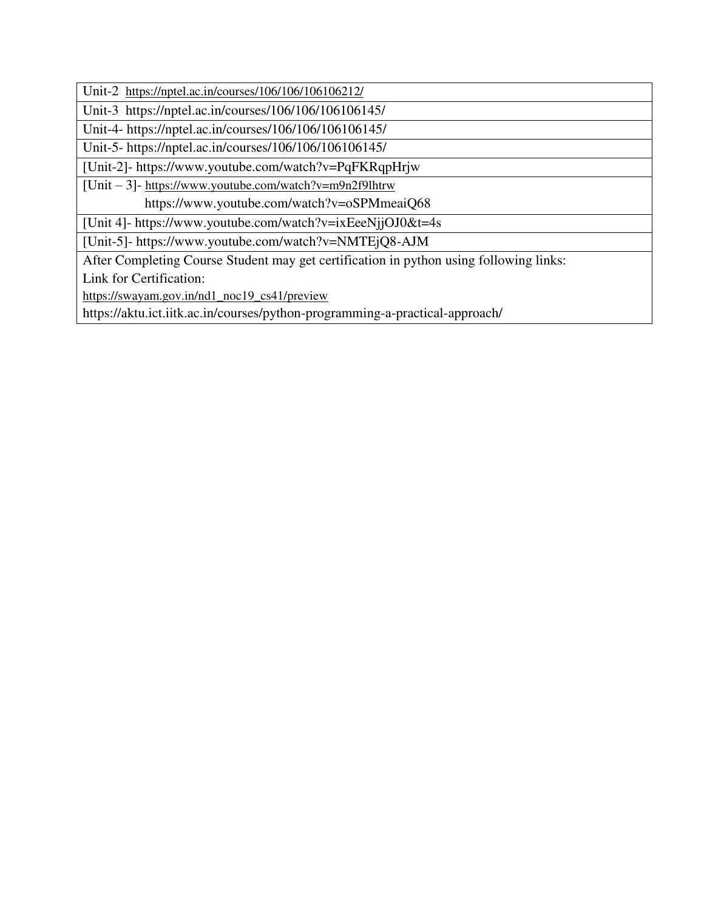Unit-2 [https://nptel.ac.in/courses/106/106/106106212/](https://nptel.ac.in/courses/106/106/106106145/)

Unit-3 https://nptel.ac.in/courses/106/106/106106145/

Unit-4- https://nptel.ac.in/courses/106/106/106106145/

Unit-5- https://nptel.ac.in/courses/106/106/106106145/

[Unit-2]- https://www.youtube.com/watch?v=PqFKRqpHrjw

[Unit – 3]- <https://www.youtube.com/watch?v=m9n2f9lhtrw>

https://www.youtube.com/watch?v=oSPMmeaiQ68

[Unit 4]- https://www.youtube.com/watch?v=ixEeeNjjOJ0&t=4s

[Unit-5]- https://www.youtube.com/watch?v=NMTEjQ8-AJM

After Completing Course Student may get certification in python using following links:

Link for Certification:

[https://swayam.gov.in/nd1\\_noc19\\_cs41/preview](https://swayam.gov.in/nd1_noc19_cs41/preview)

https://aktu.ict.iitk.ac.in/courses/python-programming-a-practical-approach/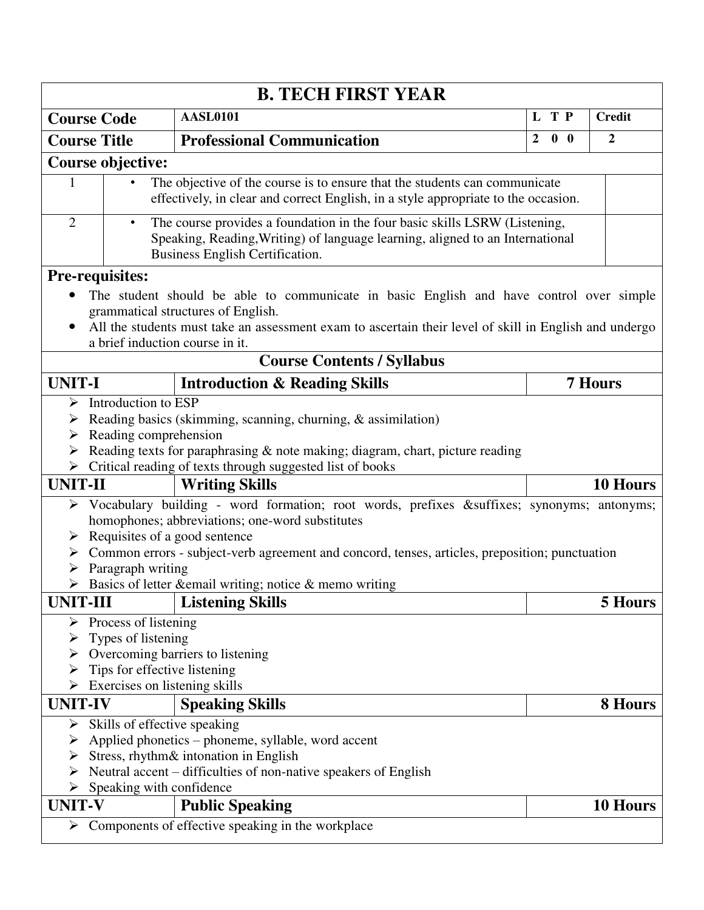|                | <b>B. TECH FIRST YEAR</b>                                                                                                                                                                                   |                                                                                                                                                                  |                |            |                |                 |  |  |  |  |
|----------------|-------------------------------------------------------------------------------------------------------------------------------------------------------------------------------------------------------------|------------------------------------------------------------------------------------------------------------------------------------------------------------------|----------------|------------|----------------|-----------------|--|--|--|--|
|                | <b>Course Code</b>                                                                                                                                                                                          | <b>AASL0101</b>                                                                                                                                                  |                | L T P      |                | <b>Credit</b>   |  |  |  |  |
|                | <b>Course Title</b>                                                                                                                                                                                         | <b>Professional Communication</b>                                                                                                                                | $\overline{2}$ | $0\quad 0$ |                | $\overline{2}$  |  |  |  |  |
|                | Course objective:                                                                                                                                                                                           |                                                                                                                                                                  |                |            |                |                 |  |  |  |  |
| 1              |                                                                                                                                                                                                             | The objective of the course is to ensure that the students can communicate<br>effectively, in clear and correct English, in a style appropriate to the occasion. |                |            |                |                 |  |  |  |  |
| 2              | The course provides a foundation in the four basic skills LSRW (Listening,<br>$\bullet$<br>Speaking, Reading, Writing) of language learning, aligned to an International<br>Business English Certification. |                                                                                                                                                                  |                |            |                |                 |  |  |  |  |
|                | <b>Pre-requisites:</b>                                                                                                                                                                                      |                                                                                                                                                                  |                |            |                |                 |  |  |  |  |
|                |                                                                                                                                                                                                             | The student should be able to communicate in basic English and have control over simple                                                                          |                |            |                |                 |  |  |  |  |
|                |                                                                                                                                                                                                             | grammatical structures of English.                                                                                                                               |                |            |                |                 |  |  |  |  |
|                |                                                                                                                                                                                                             | All the students must take an assessment exam to ascertain their level of skill in English and undergo                                                           |                |            |                |                 |  |  |  |  |
|                | a brief induction course in it.                                                                                                                                                                             | <b>Course Contents / Syllabus</b>                                                                                                                                |                |            |                |                 |  |  |  |  |
|                |                                                                                                                                                                                                             |                                                                                                                                                                  |                |            |                |                 |  |  |  |  |
| <b>UNIT-I</b>  |                                                                                                                                                                                                             | <b>Introduction &amp; Reading Skills</b>                                                                                                                         |                |            | <b>7 Hours</b> |                 |  |  |  |  |
|                | Introduction to ESP                                                                                                                                                                                         |                                                                                                                                                                  |                |            |                |                 |  |  |  |  |
| ➤              |                                                                                                                                                                                                             | Reading basics (skimming, scanning, churning, & assimilation)                                                                                                    |                |            |                |                 |  |  |  |  |
| ➤              | Reading comprehension                                                                                                                                                                                       |                                                                                                                                                                  |                |            |                |                 |  |  |  |  |
|                |                                                                                                                                                                                                             | Reading texts for paraphrasing & note making; diagram, chart, picture reading<br>$\triangleright$ Critical reading of texts through suggested list of books      |                |            |                |                 |  |  |  |  |
| <b>UNIT-II</b> |                                                                                                                                                                                                             | <b>Writing Skills</b>                                                                                                                                            |                |            |                | <b>10 Hours</b> |  |  |  |  |
|                |                                                                                                                                                                                                             |                                                                                                                                                                  |                |            |                |                 |  |  |  |  |
| ➤              |                                                                                                                                                                                                             | Vocabulary building - word formation; root words, prefixes &suffixes synonyms; antonyms;<br>homophones; abbreviations; one-word substitutes                      |                |            |                |                 |  |  |  |  |
| ➤              | Requisites of a good sentence                                                                                                                                                                               |                                                                                                                                                                  |                |            |                |                 |  |  |  |  |
|                |                                                                                                                                                                                                             | $\triangleright$ Common errors - subject-verb agreement and concord, tenses, articles, preposition; punctuation                                                  |                |            |                |                 |  |  |  |  |
|                | Paragraph writing                                                                                                                                                                                           |                                                                                                                                                                  |                |            |                |                 |  |  |  |  |
| ≻              |                                                                                                                                                                                                             | Basics of letter & email writing; notice & memo writing                                                                                                          |                |            |                |                 |  |  |  |  |
| UNIT-III       |                                                                                                                                                                                                             | <b>Listening Skills</b>                                                                                                                                          |                |            |                | 5 Hours         |  |  |  |  |
| ➤              | Process of listening                                                                                                                                                                                        |                                                                                                                                                                  |                |            |                |                 |  |  |  |  |
| ➤              | Types of listening                                                                                                                                                                                          |                                                                                                                                                                  |                |            |                |                 |  |  |  |  |
|                |                                                                                                                                                                                                             | Overcoming barriers to listening                                                                                                                                 |                |            |                |                 |  |  |  |  |
|                | Tips for effective listening                                                                                                                                                                                |                                                                                                                                                                  |                |            |                |                 |  |  |  |  |
|                | Exercises on listening skills                                                                                                                                                                               |                                                                                                                                                                  |                |            |                |                 |  |  |  |  |
| <b>UNIT-IV</b> |                                                                                                                                                                                                             | <b>Speaking Skills</b>                                                                                                                                           |                |            |                | 8 Hours         |  |  |  |  |
| ➤              | Skills of effective speaking                                                                                                                                                                                |                                                                                                                                                                  |                |            |                |                 |  |  |  |  |
| ➤              |                                                                                                                                                                                                             | Applied phonetics – phoneme, syllable, word accent                                                                                                               |                |            |                |                 |  |  |  |  |
|                |                                                                                                                                                                                                             | Stress, rhythm& intonation in English                                                                                                                            |                |            |                |                 |  |  |  |  |
|                |                                                                                                                                                                                                             | Neutral accent – difficulties of non-native speakers of English                                                                                                  |                |            |                |                 |  |  |  |  |
|                | Speaking with confidence                                                                                                                                                                                    |                                                                                                                                                                  |                |            |                |                 |  |  |  |  |
| <b>UNIT-V</b>  |                                                                                                                                                                                                             | <b>Public Speaking</b>                                                                                                                                           |                |            |                | 10 Hours        |  |  |  |  |
| ➤              |                                                                                                                                                                                                             | Components of effective speaking in the workplace                                                                                                                |                |            |                |                 |  |  |  |  |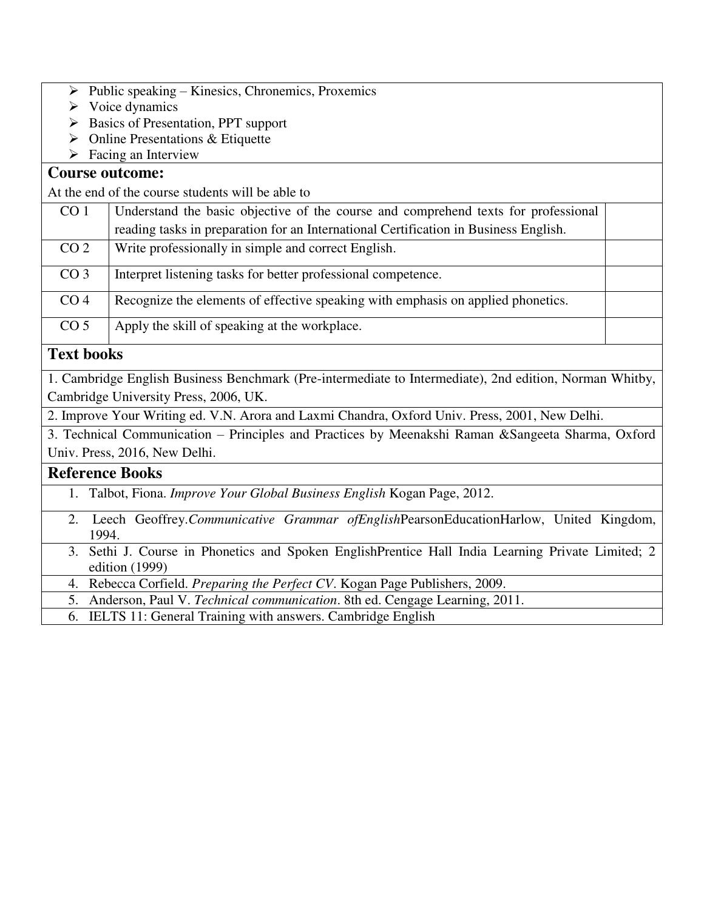- $\triangleright$  Public speaking Kinesics, Chronemics, Proxemics
- $\triangleright$  Voice dynamics
- $\triangleright$  Basics of Presentation, PPT support
- $\triangleright$  Online Presentations & Etiquette
- $\triangleright$  Facing an Interview

#### **Course outcome:**

At the end of the course students will be able to

| CO <sub>1</sub> | Understand the basic objective of the course and comprehend texts for professional   |  |
|-----------------|--------------------------------------------------------------------------------------|--|
|                 | reading tasks in preparation for an International Certification in Business English. |  |
| CO <sub>2</sub> | Write professionally in simple and correct English.                                  |  |
| CO <sub>3</sub> | Interpret listening tasks for better professional competence.                        |  |
| CO <sub>4</sub> | Recognize the elements of effective speaking with emphasis on applied phonetics.     |  |
| CO <sub>5</sub> | Apply the skill of speaking at the workplace.                                        |  |

### **Text books**

1. Cambridge English Business Benchmark (Pre-intermediate to Intermediate), 2nd edition, Norman Whitby, Cambridge University Press, 2006, UK.

2. Improve Your Writing ed. V.N. Arora and Laxmi Chandra, Oxford Univ. Press, 2001, New Delhi.

3. Technical Communication – Principles and Practices by Meenakshi Raman &Sangeeta Sharma, Oxford Univ. Press, 2016, New Delhi.

#### **Reference Books**

- 1. Talbot, Fiona. *Improve Your Global Business English* Kogan Page, 2012.
- 2. Leech Geoffrey.*Communicative Grammar ofEnglish*PearsonEducationHarlow, United Kingdom, 1994.
- 3. Sethi J. Course in Phonetics and Spoken EnglishPrentice Hall India Learning Private Limited; 2 edition (1999)

4. Rebecca Corfield. *Preparing the Perfect CV*. Kogan Page Publishers, 2009.

5. Anderson, Paul V. *Technical communication*. 8th ed. Cengage Learning, 2011.

6. IELTS 11: General Training with answers. Cambridge English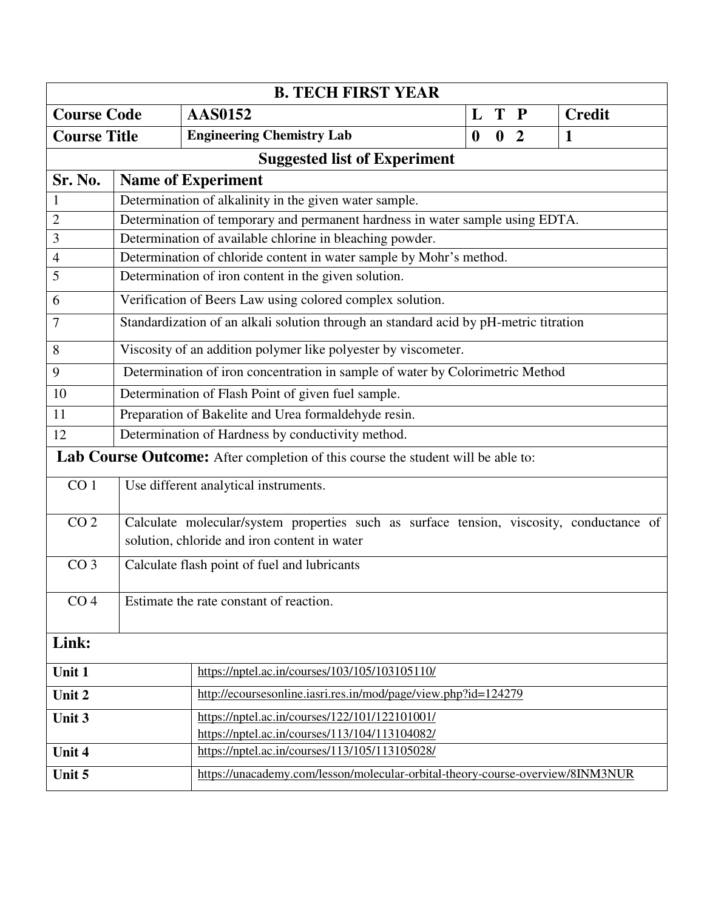| <b>B. TECH FIRST YEAR</b> |                                         |                                                                                          |                                                                |  |                |  |               |  |  |  |  |
|---------------------------|-----------------------------------------|------------------------------------------------------------------------------------------|----------------------------------------------------------------|--|----------------|--|---------------|--|--|--|--|
| <b>Course Code</b>        |                                         | <b>AAS0152</b>                                                                           | L                                                              |  | T P            |  | <b>Credit</b> |  |  |  |  |
| <b>Course Title</b>       |                                         | <b>Engineering Chemistry Lab</b>                                                         | $\boldsymbol{0}$                                               |  | 0 <sub>2</sub> |  | $\mathbf{1}$  |  |  |  |  |
|                           |                                         | <b>Suggested list of Experiment</b>                                                      |                                                                |  |                |  |               |  |  |  |  |
| Sr. No.                   | <b>Name of Experiment</b>               |                                                                                          |                                                                |  |                |  |               |  |  |  |  |
|                           |                                         | Determination of alkalinity in the given water sample.                                   |                                                                |  |                |  |               |  |  |  |  |
| $\overline{2}$            |                                         | Determination of temporary and permanent hardness in water sample using EDTA.            |                                                                |  |                |  |               |  |  |  |  |
| 3                         |                                         | Determination of available chlorine in bleaching powder.                                 |                                                                |  |                |  |               |  |  |  |  |
| $\overline{4}$            |                                         | Determination of chloride content in water sample by Mohr's method.                      |                                                                |  |                |  |               |  |  |  |  |
| 5                         |                                         | Determination of iron content in the given solution.                                     |                                                                |  |                |  |               |  |  |  |  |
| 6                         |                                         | Verification of Beers Law using colored complex solution.                                |                                                                |  |                |  |               |  |  |  |  |
| 7                         |                                         | Standardization of an alkali solution through an standard acid by pH-metric titration    |                                                                |  |                |  |               |  |  |  |  |
| 8                         |                                         | Viscosity of an addition polymer like polyester by viscometer.                           |                                                                |  |                |  |               |  |  |  |  |
| 9                         |                                         | Determination of iron concentration in sample of water by Colorimetric Method            |                                                                |  |                |  |               |  |  |  |  |
| 10                        |                                         | Determination of Flash Point of given fuel sample.                                       |                                                                |  |                |  |               |  |  |  |  |
| 11                        |                                         | Preparation of Bakelite and Urea formaldehyde resin.                                     |                                                                |  |                |  |               |  |  |  |  |
| 12                        |                                         | Determination of Hardness by conductivity method.                                        |                                                                |  |                |  |               |  |  |  |  |
|                           |                                         | Lab Course Outcome: After completion of this course the student will be able to:         |                                                                |  |                |  |               |  |  |  |  |
| CO <sub>1</sub>           |                                         | Use different analytical instruments.                                                    |                                                                |  |                |  |               |  |  |  |  |
| $\overline{CO}$ 2         |                                         | Calculate molecular/system properties such as surface tension, viscosity, conductance of |                                                                |  |                |  |               |  |  |  |  |
|                           |                                         | solution, chloride and iron content in water                                             |                                                                |  |                |  |               |  |  |  |  |
| CO <sub>3</sub>           |                                         | Calculate flash point of fuel and lubricants                                             |                                                                |  |                |  |               |  |  |  |  |
|                           |                                         |                                                                                          |                                                                |  |                |  |               |  |  |  |  |
| CO <sub>4</sub>           | Estimate the rate constant of reaction. |                                                                                          |                                                                |  |                |  |               |  |  |  |  |
| Link:                     |                                         |                                                                                          |                                                                |  |                |  |               |  |  |  |  |
| Unit 1                    |                                         | https://nptel.ac.in/courses/103/105/103105110/                                           |                                                                |  |                |  |               |  |  |  |  |
| Unit 2                    |                                         |                                                                                          | http://ecoursesonline.iasri.res.in/mod/page/view.php?id=124279 |  |                |  |               |  |  |  |  |
| Unit 3                    |                                         | https://nptel.ac.in/courses/122/101/122101001/                                           |                                                                |  |                |  |               |  |  |  |  |
|                           |                                         | https://nptel.ac.in/courses/113/104/113104082/                                           |                                                                |  |                |  |               |  |  |  |  |
| Unit 4                    |                                         | https://nptel.ac.in/courses/113/105/113105028/                                           |                                                                |  |                |  |               |  |  |  |  |
| Unit 5                    |                                         | https://unacademy.com/lesson/molecular-orbital-theory-course-overview/8INM3NUR           |                                                                |  |                |  |               |  |  |  |  |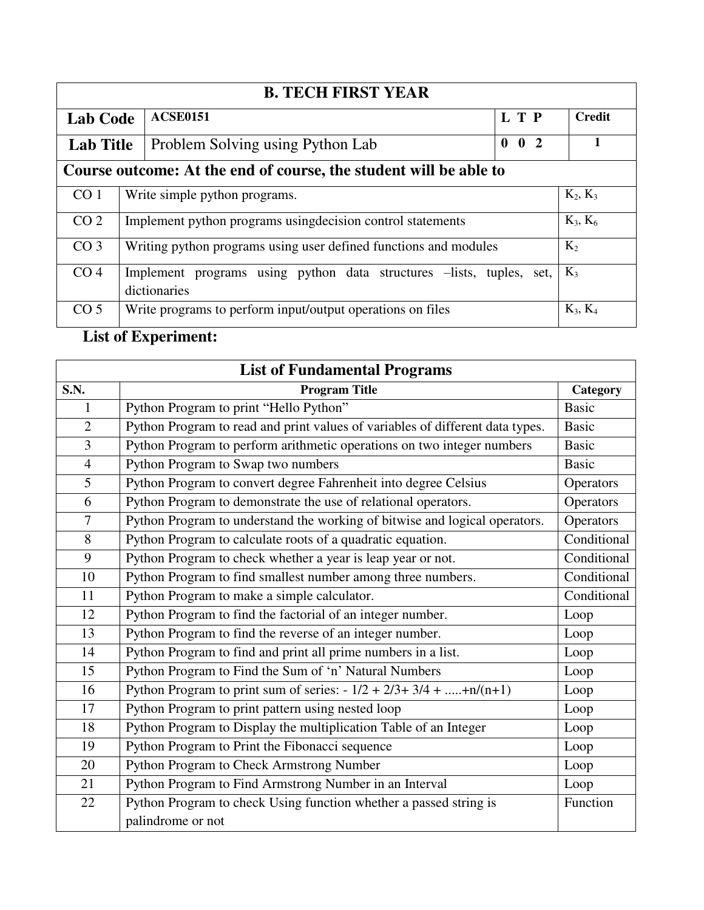| <b>B. TECH FIRST YEAR</b> |                                                                                               |  |  |  |            |  |  |
|---------------------------|-----------------------------------------------------------------------------------------------|--|--|--|------------|--|--|
|                           | L T P<br><b>ACSE0151</b><br><b>Lab Code</b>                                                   |  |  |  |            |  |  |
|                           | 0 <sub>2</sub><br>$\mathbf{0}$<br>Problem Solving using Python Lab<br><b>Lab Title</b>        |  |  |  |            |  |  |
|                           | Course outcome: At the end of course, the student will be able to                             |  |  |  |            |  |  |
| CO <sub>1</sub>           | Write simple python programs.<br>$K_2, K_3$                                                   |  |  |  |            |  |  |
| CO <sub>2</sub>           | Implement python programs using decision control statements<br>$K_3, K_6$                     |  |  |  |            |  |  |
| CO <sub>3</sub>           | Writing python programs using user defined functions and modules<br>$K_2$                     |  |  |  |            |  |  |
| CO <sub>4</sub>           | Implement programs using python data structures -lists, tuples, set,<br>$K_3$<br>dictionaries |  |  |  |            |  |  |
| CO <sub>5</sub>           | Write programs to perform input/output operations on files                                    |  |  |  | $K_3, K_4$ |  |  |

# **List of Experiment:**

| <b>List of Fundamental Programs</b> |                                                                               |              |  |  |
|-------------------------------------|-------------------------------------------------------------------------------|--------------|--|--|
| $\overline{S}$ .N.                  | <b>Program Title</b>                                                          | Category     |  |  |
| $\mathbf{1}$                        | Python Program to print "Hello Python"                                        | <b>Basic</b> |  |  |
| $\overline{2}$                      | Python Program to read and print values of variables of different data types. | <b>Basic</b> |  |  |
| 3                                   | Python Program to perform arithmetic operations on two integer numbers        | <b>Basic</b> |  |  |
| $\overline{4}$                      | Python Program to Swap two numbers                                            | <b>Basic</b> |  |  |
| 5                                   | Python Program to convert degree Fahrenheit into degree Celsius               | Operators    |  |  |
| 6                                   | Python Program to demonstrate the use of relational operators.                | Operators    |  |  |
| $\overline{7}$                      | Python Program to understand the working of bitwise and logical operators.    | Operators    |  |  |
| 8                                   | Python Program to calculate roots of a quadratic equation.                    | Conditional  |  |  |
| 9                                   | Python Program to check whether a year is leap year or not.                   | Conditional  |  |  |
| 10                                  | Python Program to find smallest number among three numbers.                   | Conditional  |  |  |
| 11                                  | Python Program to make a simple calculator.                                   | Conditional  |  |  |
| 12                                  | Python Program to find the factorial of an integer number.                    | Loop         |  |  |
| 13                                  | Python Program to find the reverse of an integer number.                      | Loop         |  |  |
| 14                                  | Python Program to find and print all prime numbers in a list.                 | Loop         |  |  |
| 15                                  | Python Program to Find the Sum of 'n' Natural Numbers                         | Loop         |  |  |
| 16                                  | Python Program to print sum of series: $-1/2 + 2/3 + 3/4 + \dots + n/(n+1)$   | Loop         |  |  |
| 17                                  | Python Program to print pattern using nested loop                             | Loop         |  |  |
| 18                                  | Python Program to Display the multiplication Table of an Integer              | Loop         |  |  |
| 19                                  | Python Program to Print the Fibonacci sequence                                | Loop         |  |  |
| 20                                  | Python Program to Check Armstrong Number                                      | Loop         |  |  |
| 21                                  | Python Program to Find Armstrong Number in an Interval                        | Loop         |  |  |
| 22                                  | Python Program to check Using function whether a passed string is             | Function     |  |  |
|                                     | palindrome or not                                                             |              |  |  |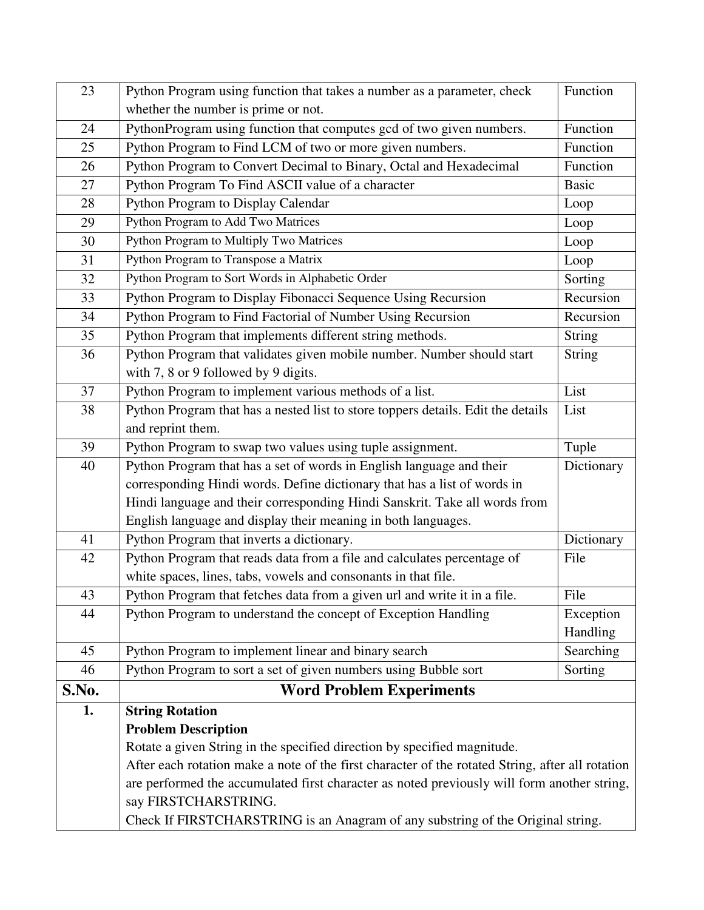| 23    | Python Program using function that takes a number as a parameter, check                          | Function      |
|-------|--------------------------------------------------------------------------------------------------|---------------|
|       | whether the number is prime or not.                                                              |               |
| 24    | PythonProgram using function that computes gcd of two given numbers.                             | Function      |
| 25    | Python Program to Find LCM of two or more given numbers.                                         | Function      |
| 26    | Python Program to Convert Decimal to Binary, Octal and Hexadecimal                               | Function      |
| 27    | Python Program To Find ASCII value of a character                                                | <b>Basic</b>  |
| 28    | Python Program to Display Calendar                                                               | Loop          |
| 29    | Python Program to Add Two Matrices                                                               | Loop          |
| 30    | Python Program to Multiply Two Matrices                                                          | Loop          |
| 31    | Python Program to Transpose a Matrix                                                             | Loop          |
| 32    | Python Program to Sort Words in Alphabetic Order                                                 | Sorting       |
| 33    | Python Program to Display Fibonacci Sequence Using Recursion                                     | Recursion     |
| 34    | Python Program to Find Factorial of Number Using Recursion                                       | Recursion     |
| 35    | Python Program that implements different string methods.                                         | <b>String</b> |
| 36    | Python Program that validates given mobile number. Number should start                           | <b>String</b> |
|       | with 7, 8 or 9 followed by 9 digits.                                                             |               |
| 37    | Python Program to implement various methods of a list.                                           | List          |
| 38    | Python Program that has a nested list to store toppers details. Edit the details                 | List          |
|       | and reprint them.                                                                                |               |
| 39    | Python Program to swap two values using tuple assignment.                                        | Tuple         |
| 40    | Python Program that has a set of words in English language and their                             | Dictionary    |
|       | corresponding Hindi words. Define dictionary that has a list of words in                         |               |
|       | Hindi language and their corresponding Hindi Sanskrit. Take all words from                       |               |
|       | English language and display their meaning in both languages.                                    |               |
| 41    | Python Program that inverts a dictionary.                                                        | Dictionary    |
| 42    | Python Program that reads data from a file and calculates percentage of                          | File          |
|       | white spaces, lines, tabs, vowels and consonants in that file.                                   |               |
| 43    | Python Program that fetches data from a given url and write it in a file.                        | File          |
| 44    | Python Program to understand the concept of Exception Handling                                   | Exception     |
|       |                                                                                                  | Handling      |
| 45    | Python Program to implement linear and binary search                                             | Searching     |
| 46    | Python Program to sort a set of given numbers using Bubble sort                                  | Sorting       |
| S.No. | <b>Word Problem Experiments</b>                                                                  |               |
| 1.    | <b>String Rotation</b>                                                                           |               |
|       | <b>Problem Description</b>                                                                       |               |
|       | Rotate a given String in the specified direction by specified magnitude.                         |               |
|       | After each rotation make a note of the first character of the rotated String, after all rotation |               |
|       | are performed the accumulated first character as noted previously will form another string,      |               |
|       | say FIRSTCHARSTRING.                                                                             |               |
|       | Check If FIRSTCHARSTRING is an Anagram of any substring of the Original string.                  |               |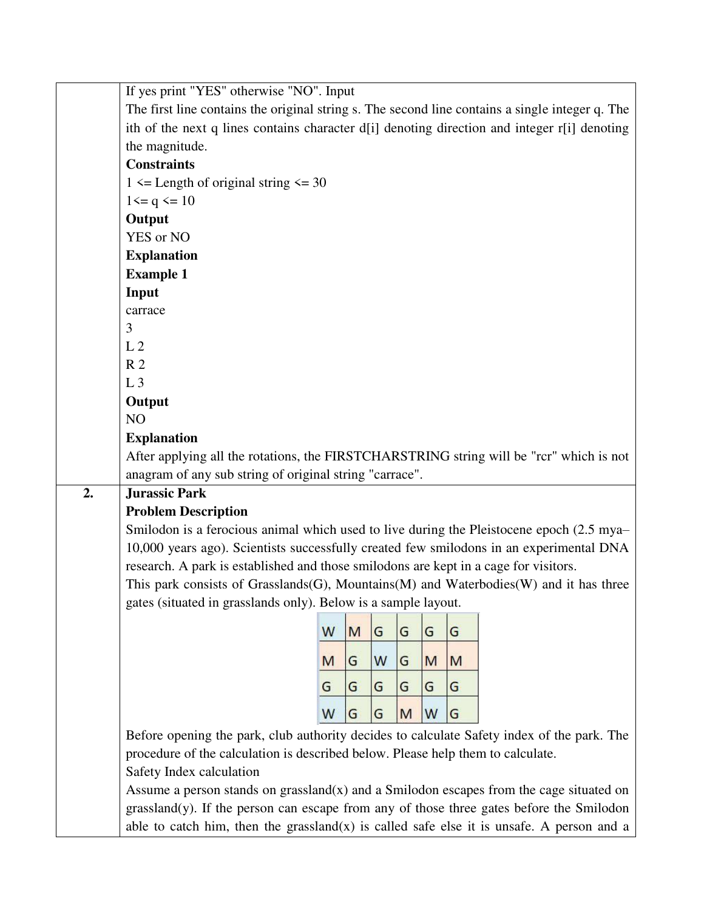|    | If yes print "YES" otherwise "NO". Input                                                        |   |   |   |   |   |   |  |
|----|-------------------------------------------------------------------------------------------------|---|---|---|---|---|---|--|
|    | The first line contains the original string s. The second line contains a single integer q. The |   |   |   |   |   |   |  |
|    | ith of the next q lines contains character d[i] denoting direction and integer r[i] denoting    |   |   |   |   |   |   |  |
|    | the magnitude.                                                                                  |   |   |   |   |   |   |  |
|    | <b>Constraints</b>                                                                              |   |   |   |   |   |   |  |
|    | $1 \leq$ Length of original string $\leq$ 30                                                    |   |   |   |   |   |   |  |
|    | $1 \leq q \leq 10$                                                                              |   |   |   |   |   |   |  |
|    | Output                                                                                          |   |   |   |   |   |   |  |
|    | YES or NO                                                                                       |   |   |   |   |   |   |  |
|    | <b>Explanation</b>                                                                              |   |   |   |   |   |   |  |
|    | <b>Example 1</b>                                                                                |   |   |   |   |   |   |  |
|    | Input                                                                                           |   |   |   |   |   |   |  |
|    | carrace                                                                                         |   |   |   |   |   |   |  |
|    | 3                                                                                               |   |   |   |   |   |   |  |
|    | L <sub>2</sub>                                                                                  |   |   |   |   |   |   |  |
|    | R <sub>2</sub>                                                                                  |   |   |   |   |   |   |  |
|    | L <sub>3</sub>                                                                                  |   |   |   |   |   |   |  |
|    | Output                                                                                          |   |   |   |   |   |   |  |
|    | NO                                                                                              |   |   |   |   |   |   |  |
|    | <b>Explanation</b>                                                                              |   |   |   |   |   |   |  |
|    | After applying all the rotations, the FIRSTCHARSTRING string will be "rcr" which is not         |   |   |   |   |   |   |  |
|    | anagram of any sub string of original string "carrace".                                         |   |   |   |   |   |   |  |
| 2. | <b>Jurassic Park</b>                                                                            |   |   |   |   |   |   |  |
|    | <b>Problem Description</b>                                                                      |   |   |   |   |   |   |  |
|    | Smilodon is a ferocious animal which used to live during the Pleistocene epoch (2.5 mya-        |   |   |   |   |   |   |  |
|    | 10,000 years ago). Scientists successfully created few smilodons in an experimental DNA         |   |   |   |   |   |   |  |
|    | research. A park is established and those smilodons are kept in a cage for visitors.            |   |   |   |   |   |   |  |
|    | This park consists of Grasslands(G), Mountains(M) and Waterbodies(W) and it has three           |   |   |   |   |   |   |  |
|    | gates (situated in grasslands only). Below is a sample layout.                                  |   |   |   |   |   |   |  |
|    |                                                                                                 | W | M | G | G | G | G |  |
|    |                                                                                                 |   |   |   |   |   |   |  |
|    |                                                                                                 | M | G | W | G | M | M |  |
|    |                                                                                                 | G | G | G | G | G | G |  |
|    |                                                                                                 |   |   |   |   |   |   |  |
|    |                                                                                                 | W | G | G | M | W | G |  |
|    | Before opening the park, club authority decides to calculate Safety index of the park. The      |   |   |   |   |   |   |  |
|    | procedure of the calculation is described below. Please help them to calculate.                 |   |   |   |   |   |   |  |
|    | Safety Index calculation                                                                        |   |   |   |   |   |   |  |
|    | Assume a person stands on grassland $(x)$ and a Smilodon escapes from the cage situated on      |   |   |   |   |   |   |  |
|    | grassland(y). If the person can escape from any of those three gates before the Smilodon        |   |   |   |   |   |   |  |
|    | able to catch him, then the grassland $(x)$ is called safe else it is unsafe. A person and a    |   |   |   |   |   |   |  |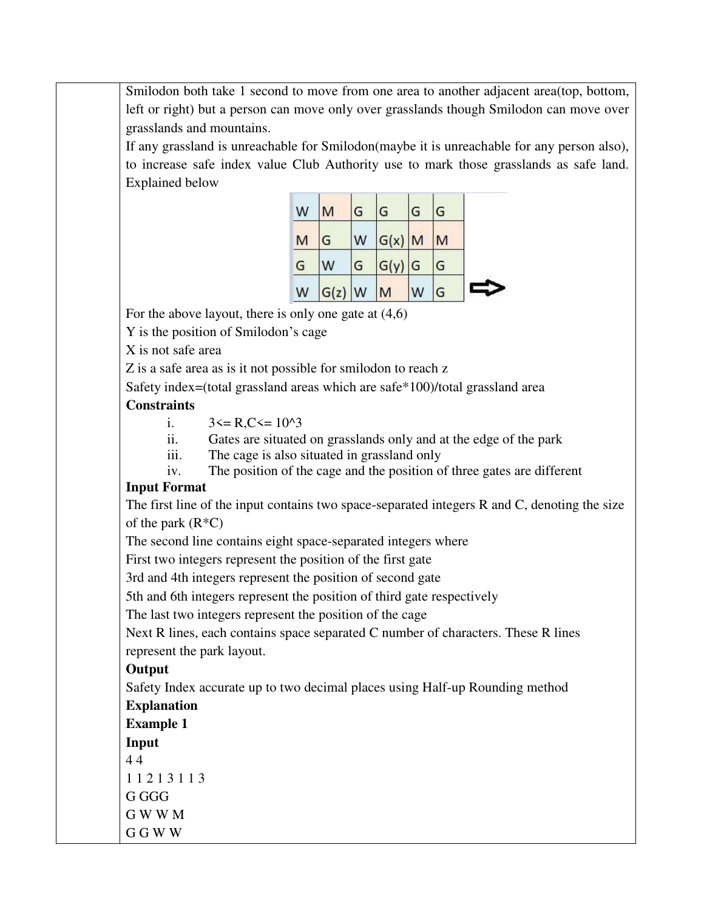Smilodon both take 1 second to move from one area to another adjacent area(top, bottom, left or right) but a person can move only over grasslands though Smilodon can move over grasslands and mountains.

If any grassland is unreachable for Smilodon(maybe it is unreachable for any person also), to increase safe index value Club Authority use to mark those grasslands as safe land. Explained below

| W | M        | G | G        | G | G |  |
|---|----------|---|----------|---|---|--|
| M | G        | W | $G(x)$ M |   | M |  |
| G | W        | G | $G(y)$ G |   | G |  |
| W | $G(z)$ W |   | M        | W | G |  |

For the above layout, there is only one gate at (4,6)

Y is the position of Smilodon's cage

X is not safe area

Z is a safe area as is it not possible for smilodon to reach z

Safety index=(total grassland areas which are safe\*100)/total grassland area

#### **Constraints**

- i.  $3 \leq R$ ,  $C \leq 10^{3}$
- ii. Gates are situated on grasslands only and at the edge of the park
- iii. The cage is also situated in grassland only
- iv. The position of the cage and the position of three gates are different

### **Input Format**

The first line of the input contains two space-separated integers R and C, denoting the size of the park  $(R^*C)$ 

The second line contains eight space-separated integers where

First two integers represent the position of the first gate

3rd and 4th integers represent the position of second gate

5th and 6th integers represent the position of third gate respectively

The last two integers represent the position of the cage

Next R lines, each contains space separated C number of characters. These R lines represent the park layout.

### **Output**

Safety Index accurate up to two decimal places using Half-up Rounding method **Explanation** 

**Example 1 Input**  4 4 1 1 2 1 3 1 1 3 G GGG G W W M G G W W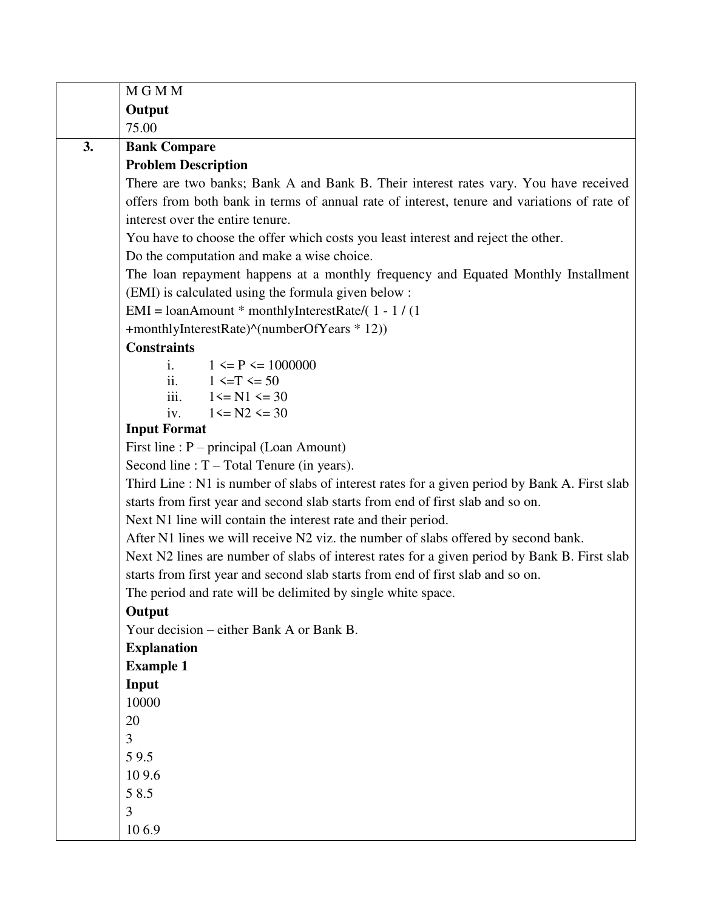|    | M G M M                                                                                       |
|----|-----------------------------------------------------------------------------------------------|
|    | Output                                                                                        |
|    | 75.00                                                                                         |
| 3. | <b>Bank Compare</b>                                                                           |
|    | <b>Problem Description</b>                                                                    |
|    | There are two banks; Bank A and Bank B. Their interest rates vary. You have received          |
|    | offers from both bank in terms of annual rate of interest, tenure and variations of rate of   |
|    | interest over the entire tenure.                                                              |
|    | You have to choose the offer which costs you least interest and reject the other.             |
|    | Do the computation and make a wise choice.                                                    |
|    | The loan repayment happens at a monthly frequency and Equated Monthly Installment             |
|    | (EMI) is calculated using the formula given below :                                           |
|    | EMI = $\text{IoanAmount}$ * monthlyInterestRate/(1 - 1/(1)                                    |
|    | +monthlyInterestRate)^(numberOfYears * 12))                                                   |
|    | <b>Constraints</b>                                                                            |
|    | $1 \le P \le 1000000$<br>$\mathbf{i}$ .                                                       |
|    | ii.<br>$1 \le T \le 50$<br>iii.                                                               |
|    | $1 \le N1 \le 30$<br>$1 \leq N2 \leq 30$<br>iv.                                               |
|    | <b>Input Format</b>                                                                           |
|    | First line : $P$ – principal (Loan Amount)                                                    |
|    | Second line : $T - Total T$ enure (in years).                                                 |
|    | Third Line : N1 is number of slabs of interest rates for a given period by Bank A. First slab |
|    | starts from first year and second slab starts from end of first slab and so on.               |
|    | Next N1 line will contain the interest rate and their period.                                 |
|    | After N1 lines we will receive N2 viz. the number of slabs offered by second bank.            |
|    | Next N2 lines are number of slabs of interest rates for a given period by Bank B. First slab  |
|    | starts from first year and second slab starts from end of first slab and so on.               |
|    | The period and rate will be delimited by single white space.                                  |
|    | Output                                                                                        |
|    | Your decision – either Bank A or Bank B.                                                      |
|    | <b>Explanation</b>                                                                            |
|    | <b>Example 1</b>                                                                              |
|    | Input                                                                                         |
|    | 10000                                                                                         |
|    | 20                                                                                            |
|    | 3                                                                                             |
|    | 59.5                                                                                          |
|    | 109.6                                                                                         |
|    | 58.5                                                                                          |
|    | 3                                                                                             |
|    | 106.9                                                                                         |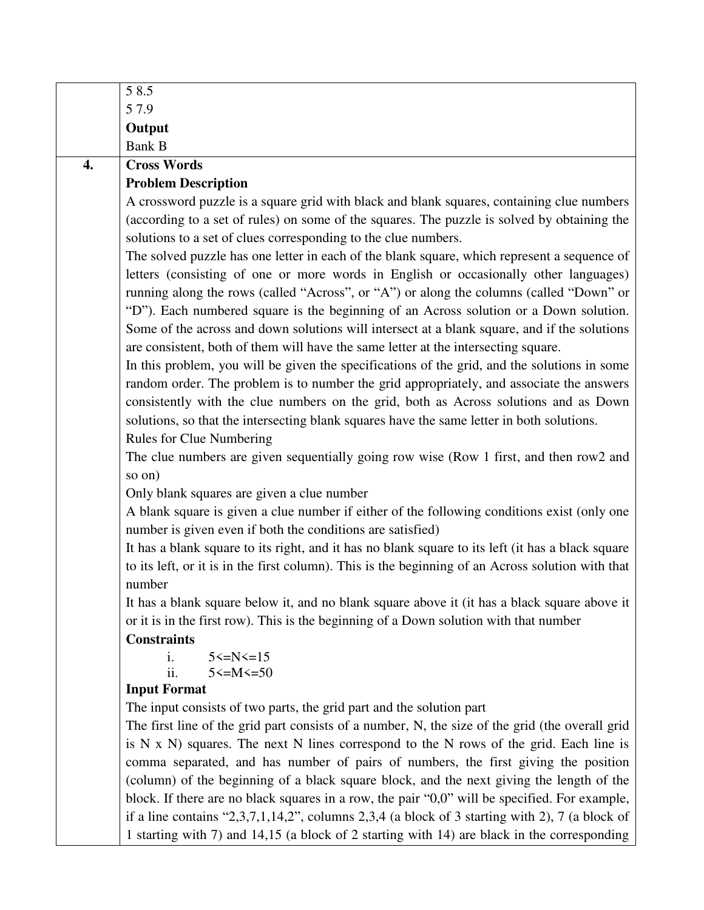|    | 58.5                                                                                               |
|----|----------------------------------------------------------------------------------------------------|
|    | 57.9                                                                                               |
|    | Output                                                                                             |
|    | <b>Bank B</b>                                                                                      |
| 4. | <b>Cross Words</b>                                                                                 |
|    | <b>Problem Description</b>                                                                         |
|    | A crossword puzzle is a square grid with black and blank squares, containing clue numbers          |
|    | (according to a set of rules) on some of the squares. The puzzle is solved by obtaining the        |
|    | solutions to a set of clues corresponding to the clue numbers.                                     |
|    | The solved puzzle has one letter in each of the blank square, which represent a sequence of        |
|    | letters (consisting of one or more words in English or occasionally other languages)               |
|    | running along the rows (called "Across", or "A") or along the columns (called "Down" or            |
|    | "D"). Each numbered square is the beginning of an Across solution or a Down solution.              |
|    | Some of the across and down solutions will intersect at a blank square, and if the solutions       |
|    | are consistent, both of them will have the same letter at the intersecting square.                 |
|    | In this problem, you will be given the specifications of the grid, and the solutions in some       |
|    | random order. The problem is to number the grid appropriately, and associate the answers           |
|    | consistently with the clue numbers on the grid, both as Across solutions and as Down               |
|    | solutions, so that the intersecting blank squares have the same letter in both solutions.          |
|    | <b>Rules for Clue Numbering</b>                                                                    |
|    | The clue numbers are given sequentially going row wise (Row 1 first, and then row2 and             |
|    | so on)                                                                                             |
|    | Only blank squares are given a clue number                                                         |
|    | A blank square is given a clue number if either of the following conditions exist (only one        |
|    | number is given even if both the conditions are satisfied)                                         |
|    | It has a blank square to its right, and it has no blank square to its left (it has a black square  |
|    | to its left, or it is in the first column). This is the beginning of an Across solution with that  |
|    | number                                                                                             |
|    | It has a blank square below it, and no blank square above it (it has a black square above it       |
|    | or it is in the first row). This is the beginning of a Down solution with that number              |
|    | <b>Constraints</b><br>$5 \le N \le 15$                                                             |
|    | i.<br>ii.<br>$5 < = M < 50$                                                                        |
|    | <b>Input Format</b>                                                                                |
|    | The input consists of two parts, the grid part and the solution part                               |
|    | The first line of the grid part consists of a number, N, the size of the grid (the overall grid    |
|    | is $N \times N$ ) squares. The next $N$ lines correspond to the $N$ rows of the grid. Each line is |
|    | comma separated, and has number of pairs of numbers, the first giving the position                 |
|    | (column) of the beginning of a black square block, and the next giving the length of the           |
|    | block. If there are no black squares in a row, the pair "0,0" will be specified. For example,      |
|    | if a line contains "2,3,7,1,14,2", columns 2,3,4 (a block of 3 starting with 2), 7 (a block of     |
|    | 1 starting with 7) and 14,15 (a block of 2 starting with 14) are black in the corresponding        |
|    |                                                                                                    |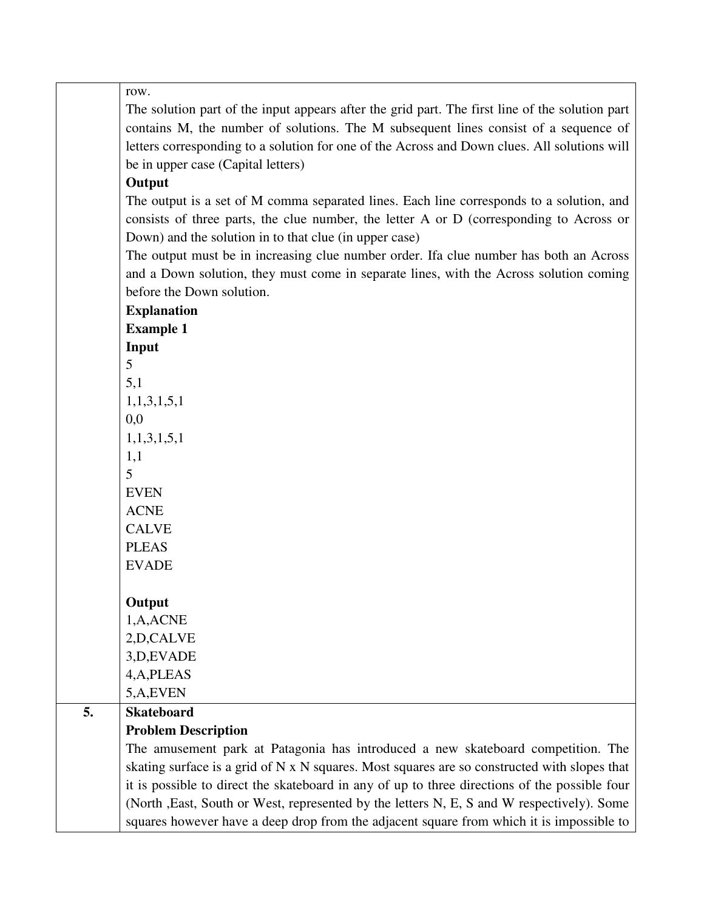row.

The solution part of the input appears after the grid part. The first line of the solution part contains M, the number of solutions. The M subsequent lines consist of a sequence of letters corresponding to a solution for one of the Across and Down clues. All solutions will be in upper case (Capital letters)

### **Output**

The output is a set of M comma separated lines. Each line corresponds to a solution, and consists of three parts, the clue number, the letter A or D (corresponding to Across or Down) and the solution in to that clue (in upper case)

The output must be in increasing clue number order. Ifa clue number has both an Across and a Down solution, they must come in separate lines, with the Across solution coming before the Down solution.

|    | <b>Explanation</b>         |
|----|----------------------------|
|    | <b>Example 1</b>           |
|    | Input                      |
|    | 5                          |
|    | 5,1                        |
|    | 1,1,3,1,5,1                |
|    | 0,0                        |
|    | 1,1,3,1,5,1                |
|    | 1,1                        |
|    | 5                          |
|    | <b>EVEN</b>                |
|    | <b>ACNE</b>                |
|    | <b>CALVE</b>               |
|    | <b>PLEAS</b>               |
|    | <b>EVADE</b>               |
|    |                            |
|    | Output                     |
|    | 1,A,ACNE                   |
|    | 2, D, CALVE                |
|    | 3, D, EVADE                |
|    | 4, A, PLEAS                |
|    | 5,A,EVEN                   |
| 5. | <b>Skateboard</b>          |
|    | <b>Problem Description</b> |
|    | The amusement park         |
|    | skatino surface is a ori   |

park at Patagonia has introduced a new skateboard competition. The skating surface is a grid of N x N squares. Most squares are so constructed with slopes that it is possible to direct the skateboard in any of up to three directions of the possible four (North ,East, South or West, represented by the letters N, E, S and W respectively). Some squares however have a deep drop from the adjacent square from which it is impossible to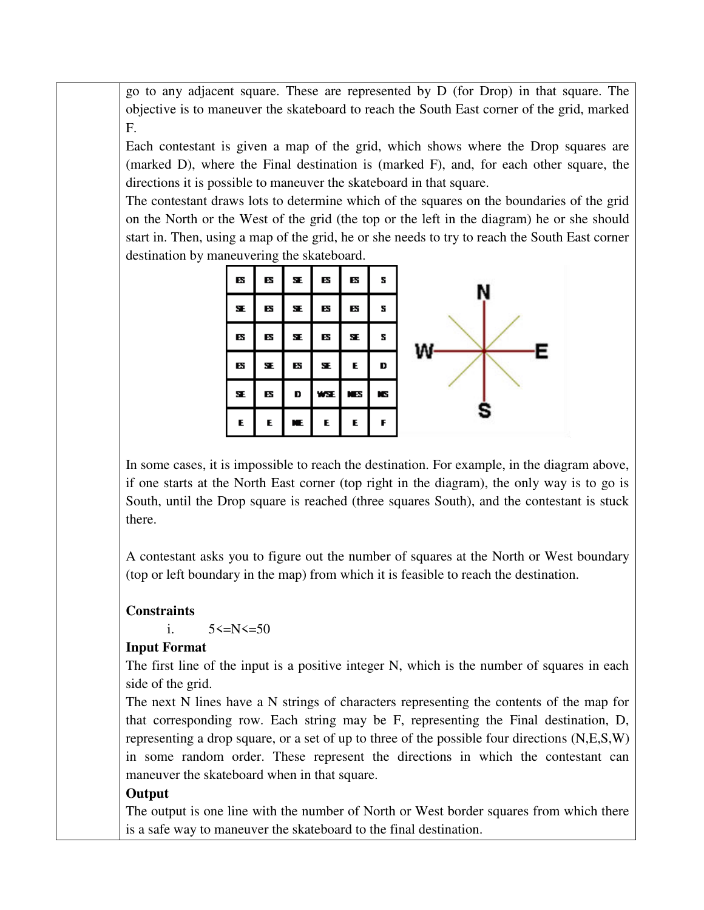go to any adjacent square. These are represented by D (for Drop) in that square. The objective is to maneuver the skateboard to reach the South East corner of the grid, marked F.

Each contestant is given a map of the grid, which shows where the Drop squares are (marked D), where the Final destination is (marked F), and, for each other square, the directions it is possible to maneuver the skateboard in that square.

The contestant draws lots to determine which of the squares on the boundaries of the grid on the North or the West of the grid (the top or the left in the diagram) he or she should start in. Then, using a map of the grid, he or she needs to try to reach the South East corner destination by maneuvering the skateboard.

| B   | ES  | $\mathbf{SE}$ | $\mathbf{g}$ | ES  | s  |  |
|-----|-----|---------------|--------------|-----|----|--|
| SE. | BS  | SE.           | ES           | B   | s  |  |
| в   | в   | SE.           | в            | SE. | s  |  |
| в   | SE. | в             | SE.          | E.  | D  |  |
| SE. | ES  | D             | WSE          | ИB  | N. |  |
| E   | E   |               | E.           | E   | F  |  |

In some cases, it is impossible to reach the destination. For example, in the diagram above, if one starts at the North East corner (top right in the diagram), the only way is to go is South, until the Drop square is reached (three squares South), and the contestant is stuck there.

A contestant asks you to figure out the number of squares at the North or West boundary (top or left boundary in the map) from which it is feasible to reach the destination.

### **Constraints**

i.  $5 \le N \le 50$ 

### **Input Format**

The first line of the input is a positive integer N, which is the number of squares in each side of the grid.

The next N lines have a N strings of characters representing the contents of the map for that corresponding row. Each string may be F, representing the Final destination, D, representing a drop square, or a set of up to three of the possible four directions (N,E,S,W) in some random order. These represent the directions in which the contestant can maneuver the skateboard when in that square.

### **Output**

The output is one line with the number of North or West border squares from which there is a safe way to maneuver the skateboard to the final destination.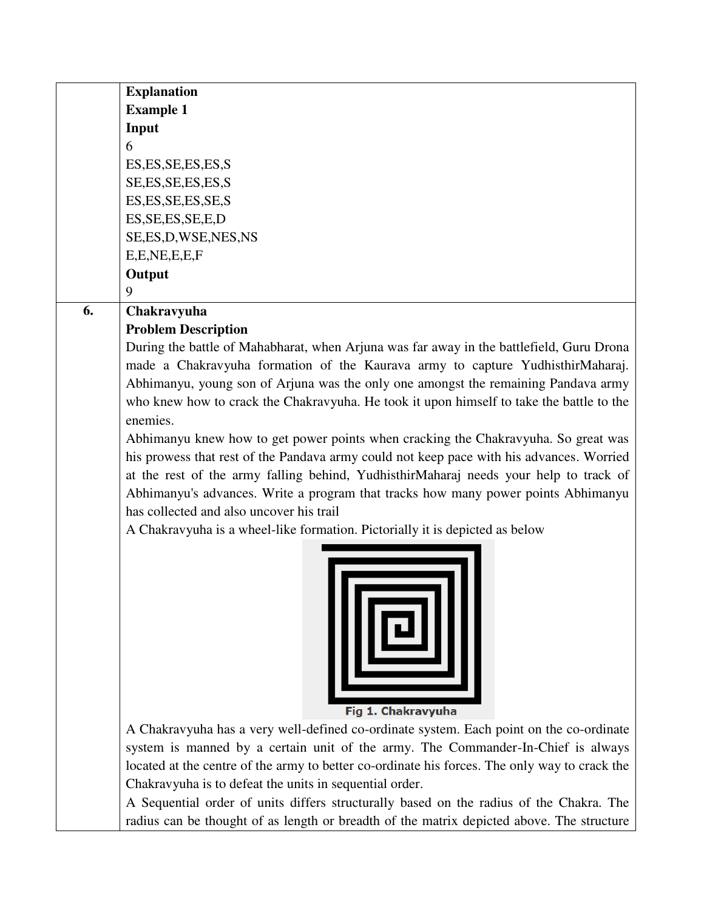|    | <b>Explanation</b>                                                                       |
|----|------------------------------------------------------------------------------------------|
|    | <b>Example 1</b>                                                                         |
|    | Input                                                                                    |
|    | 6                                                                                        |
|    | ES, ES, SE, ES, ES, S                                                                    |
|    | SE, ES, SE, ES, ES, S                                                                    |
|    | ES, ES, SE, ES, SE, S                                                                    |
|    | ES, SE, ES, SE, E, D                                                                     |
|    | SE, ES, D, WSE, NES, NS                                                                  |
|    | E, E, NE, E, E, F                                                                        |
|    | Output                                                                                   |
|    | 9                                                                                        |
| 6. | Chakravyuha                                                                              |
|    | <b>Problem Description</b>                                                               |
|    | During the battle of Mahabharat, when Arjuna was far away in the battlefield, Guru Drona |
|    | made a Chakravyuha formation of the Kaurava army to capture YudhisthirMaharaj.           |
|    | Abhimanyu, young son of Arjuna was the only one amongst the remaining Pandava army       |
|    | who knew how to crack the Chakravyuha. He took it upon himself to take the battle to the |

enemies.

Abhimanyu knew how to get power points when cracking the Chakravyuha. So great was his prowess that rest of the Pandava army could not keep pace with his advances. Worried at the rest of the army falling behind, YudhisthirMaharaj needs your help to track of Abhimanyu's advances. Write a program that tracks how many power points Abhimanyu has collected and also uncover his trail

A Chakravyuha is a wheel-like formation. Pictorially it is depicted as below



Fig 1. Chakravyuha

A Chakravyuha has a very well-defined co-ordinate system. Each point on the co-ordinate system is manned by a certain unit of the army. The Commander-In-Chief is always located at the centre of the army to better co-ordinate his forces. The only way to crack the Chakravyuha is to defeat the units in sequential order.

A Sequential order of units differs structurally based on the radius of the Chakra. The radius can be thought of as length or breadth of the matrix depicted above. The structure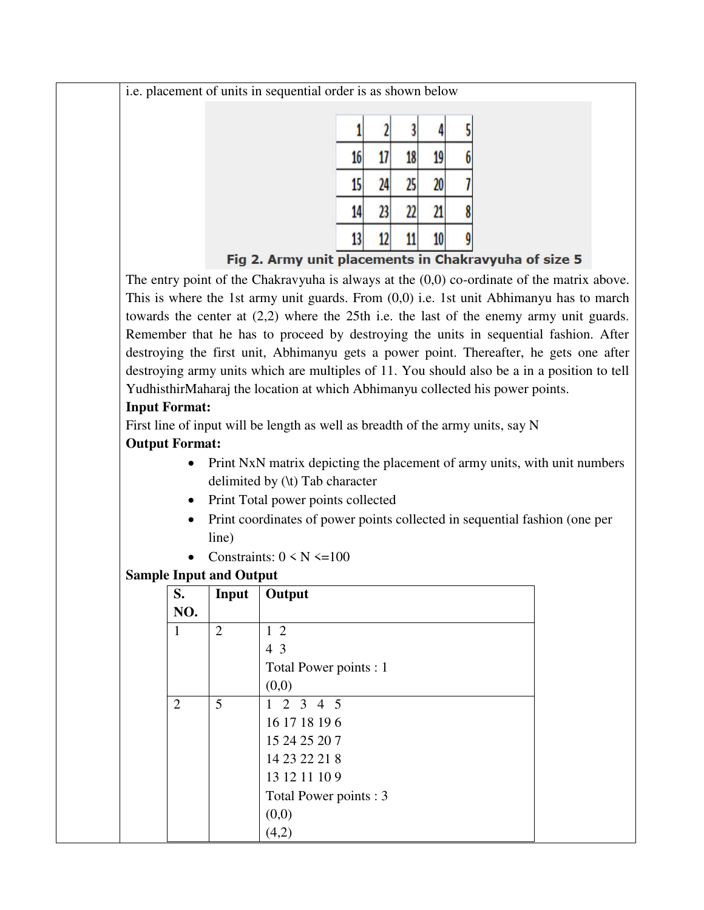i.e. placement of units in sequential order is as shown below

| 16 <sub>1</sub> | 17             | 18 | 19 |   |
|-----------------|----------------|----|----|---|
| 15              | 24             | 25 | 20 |   |
| 14              | 23             | 22 | 21 | 8 |
| 13              | $\mathfrak{p}$ | 11 | 10 |   |

Fig 2. Army unit placements in Chakravyuha of size 5

The entry point of the Chakravyuha is always at the  $(0,0)$  co-ordinate of the matrix above. This is where the 1st army unit guards. From (0,0) i.e. 1st unit Abhimanyu has to march towards the center at (2,2) where the 25th i.e. the last of the enemy army unit guards. Remember that he has to proceed by destroying the units in sequential fashion. After destroying the first unit, Abhimanyu gets a power point. Thereafter, he gets one after destroying army units which are multiples of 11. You should also be a in a position to tell YudhisthirMaharaj the location at which Abhimanyu collected his power points.

### **Input Format:**

First line of input will be length as well as breadth of the army units, say N

## **Output Format:**

- Print NxN matrix depicting the placement of army units, with unit numbers delimited by (\t) Tab character
- Print Total power points collected
- Print coordinates of power points collected in sequential fashion (one per line)
- Constraints:  $0 \le N \le 100$

## **Sample Input and Output**

| S.             | Input          | Output                 |
|----------------|----------------|------------------------|
| NO.            |                |                        |
| 1              | $\overline{2}$ | $1\,2$                 |
|                |                | 43                     |
|                |                | Total Power points : 1 |
|                |                | (0,0)                  |
| $\overline{2}$ | 5              | $1 \t2 \t3 \t4 \t5$    |
|                |                | 16 17 18 19 6          |
|                |                | 15 24 25 20 7          |
|                |                | 14 23 22 21 8          |
|                |                | 13 12 11 10 9          |
|                |                | Total Power points : 3 |
|                |                | (0,0)                  |
|                |                | (4,2)                  |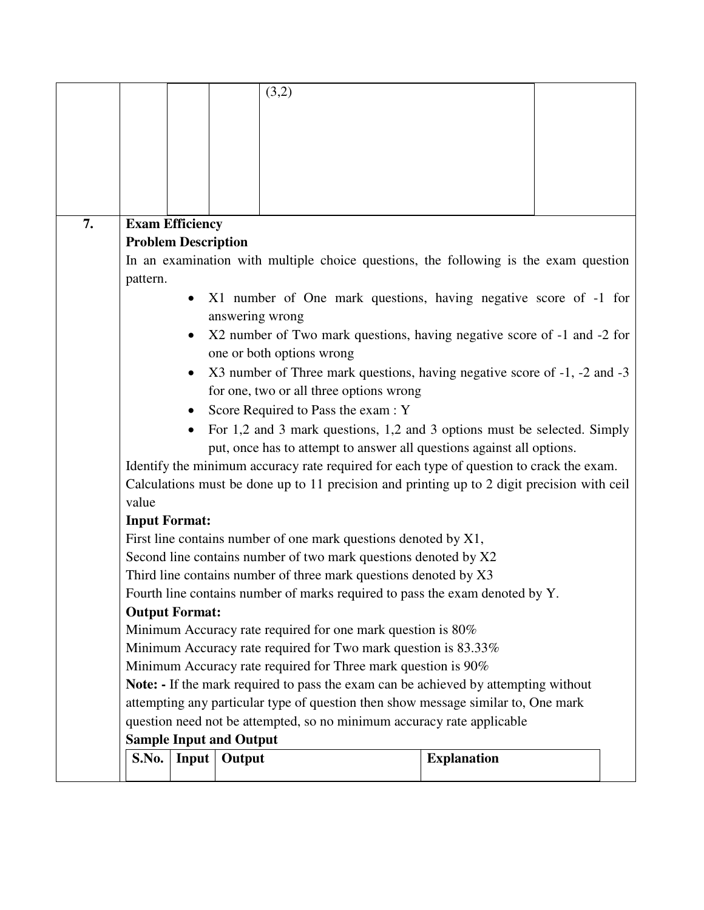|    |                                                                                                                                                   |                            | (3,2)                                                                                       |  |                    |  |  |
|----|---------------------------------------------------------------------------------------------------------------------------------------------------|----------------------------|---------------------------------------------------------------------------------------------|--|--------------------|--|--|
|    |                                                                                                                                                   |                            |                                                                                             |  |                    |  |  |
|    |                                                                                                                                                   |                            |                                                                                             |  |                    |  |  |
|    |                                                                                                                                                   |                            |                                                                                             |  |                    |  |  |
|    |                                                                                                                                                   |                            |                                                                                             |  |                    |  |  |
|    |                                                                                                                                                   |                            |                                                                                             |  |                    |  |  |
|    |                                                                                                                                                   |                            |                                                                                             |  |                    |  |  |
| 7. |                                                                                                                                                   | <b>Exam Efficiency</b>     |                                                                                             |  |                    |  |  |
|    |                                                                                                                                                   | <b>Problem Description</b> |                                                                                             |  |                    |  |  |
|    |                                                                                                                                                   |                            | In an examination with multiple choice questions, the following is the exam question        |  |                    |  |  |
|    | pattern.                                                                                                                                          |                            |                                                                                             |  |                    |  |  |
|    |                                                                                                                                                   |                            | X1 number of One mark questions, having negative score of -1 for                            |  |                    |  |  |
|    |                                                                                                                                                   |                            | answering wrong                                                                             |  |                    |  |  |
|    |                                                                                                                                                   | $\bullet$                  | X2 number of Two mark questions, having negative score of -1 and -2 for                     |  |                    |  |  |
|    |                                                                                                                                                   |                            | one or both options wrong                                                                   |  |                    |  |  |
|    |                                                                                                                                                   |                            | X3 number of Three mark questions, having negative score of -1, -2 and -3                   |  |                    |  |  |
|    |                                                                                                                                                   |                            | for one, two or all three options wrong                                                     |  |                    |  |  |
|    |                                                                                                                                                   |                            | Score Required to Pass the exam : Y                                                         |  |                    |  |  |
|    |                                                                                                                                                   |                            |                                                                                             |  |                    |  |  |
|    | For 1,2 and 3 mark questions, 1,2 and 3 options must be selected. Simply<br>put, once has to attempt to answer all questions against all options. |                            |                                                                                             |  |                    |  |  |
|    |                                                                                                                                                   |                            | Identify the minimum accuracy rate required for each type of question to crack the exam.    |  |                    |  |  |
|    |                                                                                                                                                   |                            | Calculations must be done up to 11 precision and printing up to 2 digit precision with ceil |  |                    |  |  |
|    | value                                                                                                                                             |                            |                                                                                             |  |                    |  |  |
|    | <b>Input Format:</b>                                                                                                                              |                            |                                                                                             |  |                    |  |  |
|    |                                                                                                                                                   |                            | First line contains number of one mark questions denoted by X1,                             |  |                    |  |  |
|    |                                                                                                                                                   |                            | Second line contains number of two mark questions denoted by X2                             |  |                    |  |  |
|    |                                                                                                                                                   |                            | Third line contains number of three mark questions denoted by X3                            |  |                    |  |  |
|    |                                                                                                                                                   |                            | Fourth line contains number of marks required to pass the exam denoted by Y.                |  |                    |  |  |
|    |                                                                                                                                                   | <b>Output Format:</b>      |                                                                                             |  |                    |  |  |
|    |                                                                                                                                                   |                            | Minimum Accuracy rate required for one mark question is 80%                                 |  |                    |  |  |
|    | Minimum Accuracy rate required for Two mark question is 83.33%                                                                                    |                            |                                                                                             |  |                    |  |  |
|    |                                                                                                                                                   |                            | Minimum Accuracy rate required for Three mark question is 90%                               |  |                    |  |  |
|    |                                                                                                                                                   |                            | Note: - If the mark required to pass the exam can be achieved by attempting without         |  |                    |  |  |
|    |                                                                                                                                                   |                            | attempting any particular type of question then show message similar to, One mark           |  |                    |  |  |
|    | question need not be attempted, so no minimum accuracy rate applicable                                                                            |                            |                                                                                             |  |                    |  |  |
|    |                                                                                                                                                   |                            | <b>Sample Input and Output</b>                                                              |  |                    |  |  |
|    | S.No.                                                                                                                                             | Input                      | Output                                                                                      |  | <b>Explanation</b> |  |  |
|    |                                                                                                                                                   |                            |                                                                                             |  |                    |  |  |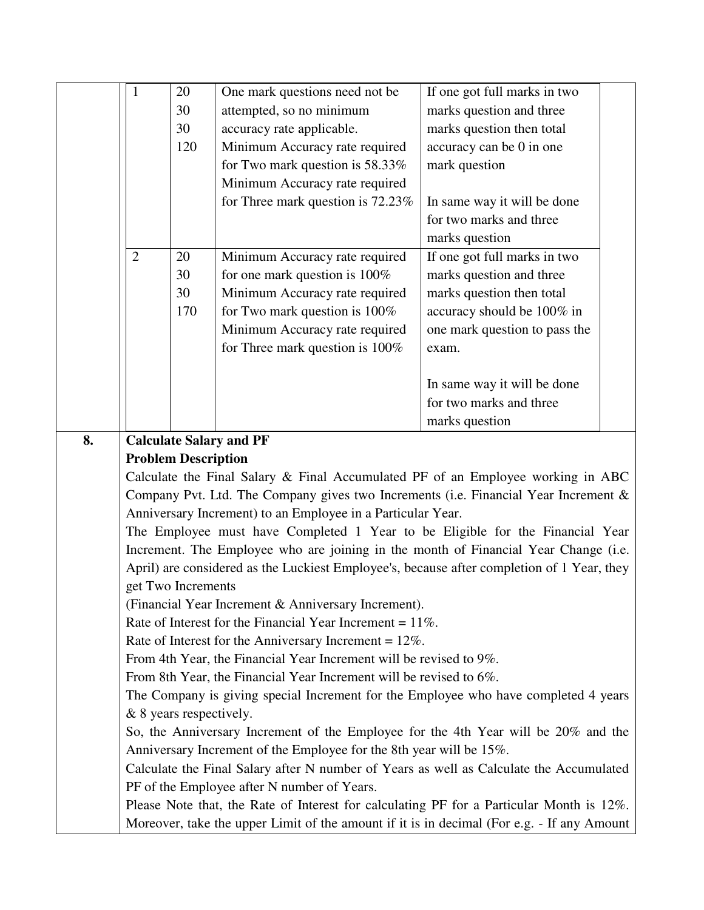|    | $\mathbf{1}$                                                                        | 20                         | One mark questions need not be                                      | If one got full marks in two                                                               |  |  |
|----|-------------------------------------------------------------------------------------|----------------------------|---------------------------------------------------------------------|--------------------------------------------------------------------------------------------|--|--|
|    |                                                                                     | 30                         | attempted, so no minimum                                            | marks question and three                                                                   |  |  |
|    |                                                                                     | 30                         | accuracy rate applicable.                                           | marks question then total                                                                  |  |  |
|    |                                                                                     | 120                        | Minimum Accuracy rate required                                      | accuracy can be 0 in one                                                                   |  |  |
|    |                                                                                     |                            | for Two mark question is 58.33%                                     | mark question                                                                              |  |  |
|    |                                                                                     |                            | Minimum Accuracy rate required                                      |                                                                                            |  |  |
|    |                                                                                     |                            | for Three mark question is 72.23%                                   | In same way it will be done                                                                |  |  |
|    |                                                                                     |                            |                                                                     | for two marks and three                                                                    |  |  |
|    |                                                                                     |                            |                                                                     | marks question                                                                             |  |  |
|    | $\overline{2}$                                                                      | 20                         | Minimum Accuracy rate required                                      | If one got full marks in two                                                               |  |  |
|    |                                                                                     | 30                         | for one mark question is 100%                                       | marks question and three                                                                   |  |  |
|    |                                                                                     | 30                         | Minimum Accuracy rate required                                      | marks question then total                                                                  |  |  |
|    |                                                                                     | 170                        | for Two mark question is $100\%$                                    | accuracy should be 100% in                                                                 |  |  |
|    |                                                                                     |                            | Minimum Accuracy rate required                                      | one mark question to pass the                                                              |  |  |
|    |                                                                                     |                            | for Three mark question is 100%                                     | exam.                                                                                      |  |  |
|    |                                                                                     |                            |                                                                     |                                                                                            |  |  |
|    |                                                                                     |                            |                                                                     | In same way it will be done                                                                |  |  |
|    |                                                                                     |                            |                                                                     | for two marks and three                                                                    |  |  |
|    |                                                                                     |                            |                                                                     | marks question                                                                             |  |  |
| 8. |                                                                                     |                            | <b>Calculate Salary and PF</b>                                      |                                                                                            |  |  |
|    |                                                                                     | <b>Problem Description</b> |                                                                     |                                                                                            |  |  |
|    |                                                                                     |                            |                                                                     | Calculate the Final Salary & Final Accumulated PF of an Employee working in ABC            |  |  |
|    | Company Pvt. Ltd. The Company gives two Increments (i.e. Financial Year Increment & |                            |                                                                     |                                                                                            |  |  |
|    | Anniversary Increment) to an Employee in a Particular Year.                         |                            |                                                                     |                                                                                            |  |  |
|    | The Employee must have Completed 1 Year to be Eligible for the Financial Year       |                            |                                                                     |                                                                                            |  |  |
|    | Increment. The Employee who are joining in the month of Financial Year Change (i.e. |                            |                                                                     |                                                                                            |  |  |
|    |                                                                                     |                            |                                                                     | April) are considered as the Luckiest Employee's, because after completion of 1 Year, they |  |  |
|    |                                                                                     | get Two Increments         |                                                                     |                                                                                            |  |  |
|    |                                                                                     |                            | (Financial Year Increment & Anniversary Increment).                 |                                                                                            |  |  |
|    |                                                                                     |                            | Rate of Interest for the Financial Year Increment = $11\%$ .        |                                                                                            |  |  |
|    |                                                                                     |                            | Rate of Interest for the Anniversary Increment = $12\%$ .           |                                                                                            |  |  |
|    |                                                                                     |                            | From 4th Year, the Financial Year Increment will be revised to 9%.  |                                                                                            |  |  |
|    | From 8th Year, the Financial Year Increment will be revised to 6%.                  |                            |                                                                     |                                                                                            |  |  |
|    |                                                                                     |                            |                                                                     | The Company is giving special Increment for the Employee who have completed 4 years        |  |  |
|    |                                                                                     | & 8 years respectively.    |                                                                     |                                                                                            |  |  |
|    |                                                                                     |                            |                                                                     | So, the Anniversary Increment of the Employee for the 4th Year will be 20% and the         |  |  |
|    |                                                                                     |                            | Anniversary Increment of the Employee for the 8th year will be 15%. |                                                                                            |  |  |
|    |                                                                                     |                            |                                                                     | Calculate the Final Salary after N number of Years as well as Calculate the Accumulated    |  |  |
|    | PF of the Employee after N number of Years.                                         |                            |                                                                     |                                                                                            |  |  |

Please Note that, the Rate of Interest for calculating PF for a Particular Month is 12%. Moreover, take the upper Limit of the amount if it is in decimal (For e.g. - If any Amount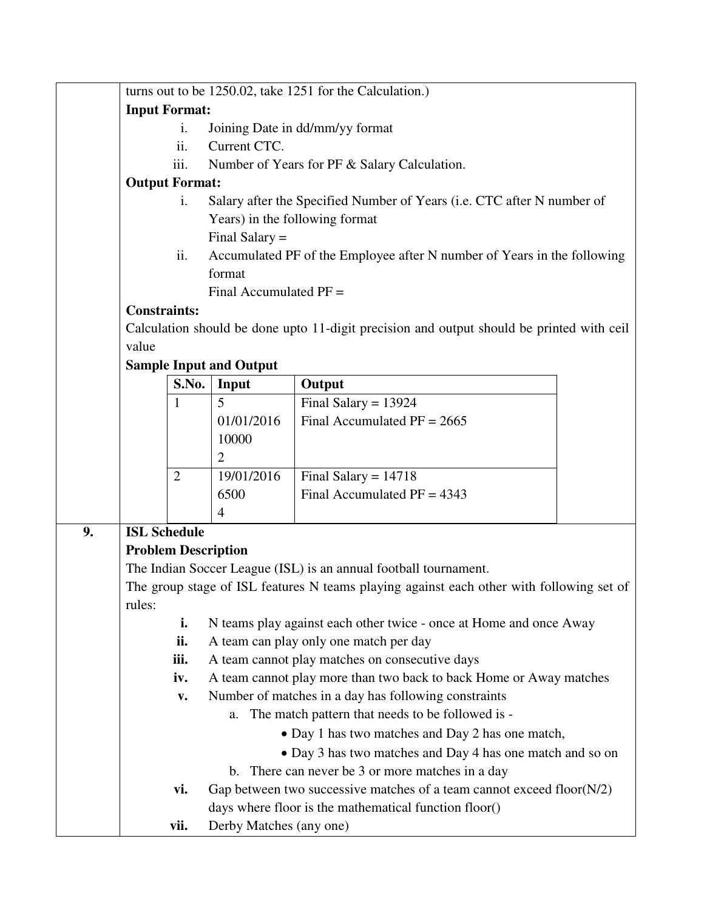|    |                            |                      |                                                                        | turns out to be 1250.02, take 1251 for the Calculation.)                                  |  |  |  |
|----|----------------------------|----------------------|------------------------------------------------------------------------|-------------------------------------------------------------------------------------------|--|--|--|
|    |                            | <b>Input Format:</b> |                                                                        |                                                                                           |  |  |  |
|    |                            | i.                   |                                                                        | Joining Date in dd/mm/yy format                                                           |  |  |  |
|    |                            | ii.                  | Current CTC.                                                           |                                                                                           |  |  |  |
|    |                            | iii.                 |                                                                        | Number of Years for PF & Salary Calculation.                                              |  |  |  |
|    | <b>Output Format:</b>      |                      |                                                                        |                                                                                           |  |  |  |
|    |                            | i.                   | Salary after the Specified Number of Years (i.e. CTC after N number of |                                                                                           |  |  |  |
|    |                            |                      | Years) in the following format                                         |                                                                                           |  |  |  |
|    |                            |                      | Final Salary $=$                                                       |                                                                                           |  |  |  |
|    |                            | ii.                  |                                                                        | Accumulated PF of the Employee after N number of Years in the following                   |  |  |  |
|    |                            |                      | format                                                                 |                                                                                           |  |  |  |
|    |                            |                      | Final Accumulated $PF =$                                               |                                                                                           |  |  |  |
|    | <b>Constraints:</b>        |                      |                                                                        |                                                                                           |  |  |  |
|    |                            |                      |                                                                        | Calculation should be done upto 11-digit precision and output should be printed with ceil |  |  |  |
|    | value                      |                      |                                                                        |                                                                                           |  |  |  |
|    |                            |                      | <b>Sample Input and Output</b>                                         |                                                                                           |  |  |  |
|    |                            | S.No.                | Input                                                                  | Output                                                                                    |  |  |  |
|    |                            | 1                    | 5                                                                      | Final Salary = $13924$                                                                    |  |  |  |
|    |                            |                      | 01/01/2016                                                             | Final Accumulated $PF = 2665$                                                             |  |  |  |
|    |                            |                      | 10000                                                                  |                                                                                           |  |  |  |
|    |                            |                      | $\overline{2}$                                                         |                                                                                           |  |  |  |
|    |                            | $\overline{2}$       | 19/01/2016                                                             | Final Salary = $14718$                                                                    |  |  |  |
|    |                            |                      | 6500                                                                   | Final Accumulated $PF = 4343$                                                             |  |  |  |
|    |                            |                      | $\overline{4}$                                                         |                                                                                           |  |  |  |
| 9. | <b>ISL Schedule</b>        |                      |                                                                        |                                                                                           |  |  |  |
|    | <b>Problem Description</b> |                      |                                                                        |                                                                                           |  |  |  |
|    |                            |                      |                                                                        | The Indian Soccer League (ISL) is an annual football tournament.                          |  |  |  |
|    |                            |                      |                                                                        | The group stage of ISL features N teams playing against each other with following set of  |  |  |  |
|    | rules:                     |                      |                                                                        |                                                                                           |  |  |  |
|    |                            | i.                   |                                                                        | N teams play against each other twice - once at Home and once Away                        |  |  |  |
|    |                            | ii.                  |                                                                        | A team can play only one match per day                                                    |  |  |  |
|    |                            | iii.                 |                                                                        | A team cannot play matches on consecutive days                                            |  |  |  |
|    |                            | iv.                  |                                                                        | A team cannot play more than two back to back Home or Away matches                        |  |  |  |
|    |                            | V.                   |                                                                        | Number of matches in a day has following constraints                                      |  |  |  |
|    |                            |                      | a.                                                                     | The match pattern that needs to be followed is -                                          |  |  |  |
|    |                            |                      |                                                                        | • Day 1 has two matches and Day 2 has one match,                                          |  |  |  |
|    |                            |                      |                                                                        | • Day 3 has two matches and Day 4 has one match and so on                                 |  |  |  |
|    |                            |                      |                                                                        | b. There can never be 3 or more matches in a day                                          |  |  |  |
|    |                            | vi.                  |                                                                        | Gap between two successive matches of a team cannot exceed floor(N/2)                     |  |  |  |
|    |                            |                      |                                                                        | days where floor is the mathematical function floor()                                     |  |  |  |
|    |                            | vii.                 | Derby Matches (any one)                                                |                                                                                           |  |  |  |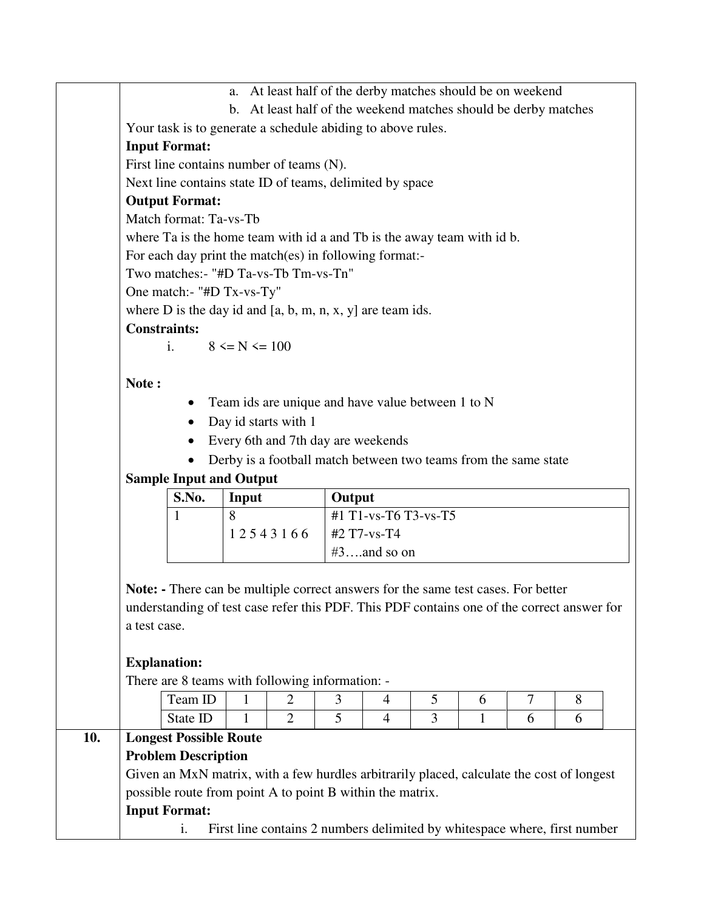a. At least half of the derby matches should be on weekend b. At least half of the weekend matches should be derby matches Your task is to generate a schedule abiding to above rules. **Input Format:**  First line contains number of teams (N). Next line contains state ID of teams, delimited by space **Output Format:**  Match format: Ta-vs-Tb where Ta is the home team with id a and Tb is the away team with id b. For each day print the match(es) in following format:- Two matches:- "#D Ta-vs-Tb Tm-vs-Tn" One match:- "#D Tx-vs-Ty" where  $D$  is the day id and  $[a, b, m, n, x, y]$  are team ids. **Constraints:**  i.  $8 \le N \le 100$ **Note :**  • Team ids are unique and have value between 1 to N • Day id starts with 1 Every 6th and 7th day are weekends • Derby is a football match between two teams from the same state **Sample Input and Output S.No. Input Output**  1 8 1 2 5 4 3 1 6 6 #1 T1-vs-T6 T3-vs-T5 #2 T7-vs-T4  $#3$ ….and so on **Note: -** There can be multiple correct answers for the same test cases. For better understanding of test case refer this PDF. This PDF contains one of the correct answer for a test case. **Explanation:**  There are 8 teams with following information: - Team ID | 1 | 2 | 3 | 4 | 5 | 6 | 7 | 8 State ID | 1 | 2 | 5 | 4 | 3 | 1 | 6 | 6 **10. Longest Possible Route Problem Description**  Given an MxN matrix, with a few hurdles arbitrarily placed, calculate the cost of longest possible route from point A to point B within the matrix. **Input Format:**  i. First line contains 2 numbers delimited by whitespace where, first number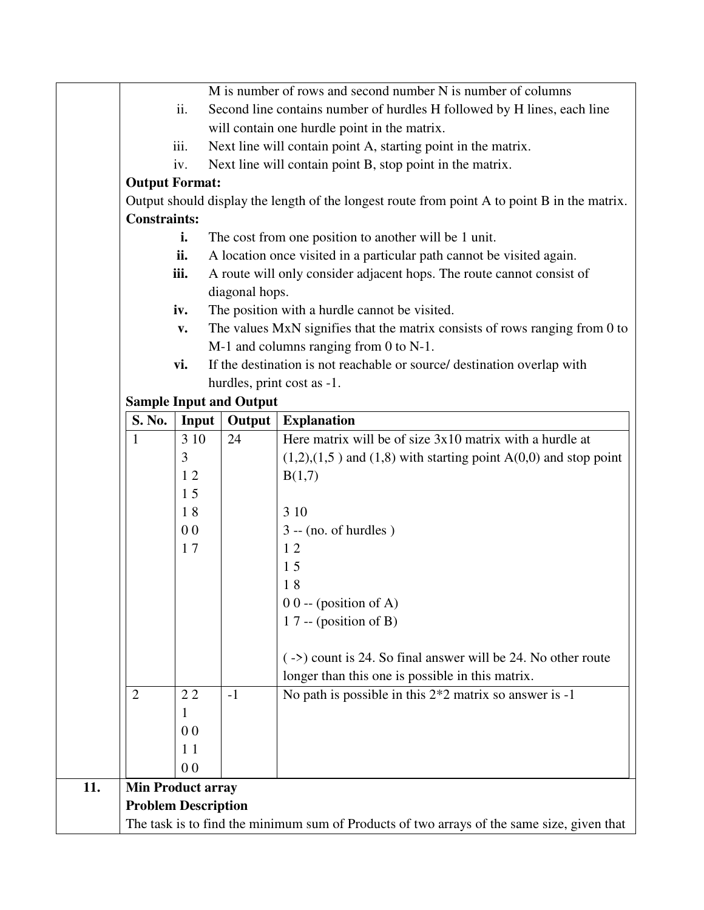|     |                                                                                            |                |                                | M is number of rows and second number N is number of columns                                 |  |  |
|-----|--------------------------------------------------------------------------------------------|----------------|--------------------------------|----------------------------------------------------------------------------------------------|--|--|
|     |                                                                                            | ii.            |                                | Second line contains number of hurdles H followed by H lines, each line                      |  |  |
|     |                                                                                            |                |                                | will contain one hurdle point in the matrix.                                                 |  |  |
|     |                                                                                            | iii.           |                                | Next line will contain point A, starting point in the matrix.                                |  |  |
|     |                                                                                            |                |                                |                                                                                              |  |  |
|     |                                                                                            | iv.            |                                | Next line will contain point B, stop point in the matrix.                                    |  |  |
|     | <b>Output Format:</b>                                                                      |                |                                |                                                                                              |  |  |
|     | <b>Constraints:</b>                                                                        |                |                                | Output should display the length of the longest route from point A to point B in the matrix. |  |  |
|     |                                                                                            | i.             |                                | The cost from one position to another will be 1 unit.                                        |  |  |
|     |                                                                                            | ii.            |                                | A location once visited in a particular path cannot be visited again.                        |  |  |
|     |                                                                                            | iii.           |                                | A route will only consider adjacent hops. The route cannot consist of                        |  |  |
|     |                                                                                            |                | diagonal hops.                 |                                                                                              |  |  |
|     |                                                                                            | iv.            |                                | The position with a hurdle cannot be visited.                                                |  |  |
|     |                                                                                            | $\mathbf{v}$ . |                                | The values MxN signifies that the matrix consists of rows ranging from 0 to                  |  |  |
|     |                                                                                            |                |                                | M-1 and columns ranging from 0 to N-1.                                                       |  |  |
|     |                                                                                            | vi.            |                                | If the destination is not reachable or source/ destination overlap with                      |  |  |
|     |                                                                                            |                |                                | hurdles, print cost as -1.                                                                   |  |  |
|     |                                                                                            |                | <b>Sample Input and Output</b> |                                                                                              |  |  |
|     | <b>S. No.</b>                                                                              | Input          |                                | <b>Output</b>   Explanation                                                                  |  |  |
|     | $\mathbf{1}$                                                                               | 3 10           | 24                             | Here matrix will be of size $3x10$ matrix with a hurdle at                                   |  |  |
|     |                                                                                            | 3              |                                | $(1,2),(1,5)$ and $(1,8)$ with starting point $A(0,0)$ and stop point                        |  |  |
|     |                                                                                            | 12             |                                | B(1,7)                                                                                       |  |  |
|     |                                                                                            | 15             |                                |                                                                                              |  |  |
|     |                                                                                            | 18             |                                | 3 10                                                                                         |  |  |
|     |                                                                                            | 0 <sub>0</sub> |                                | $3 - (no. of hundreds)$                                                                      |  |  |
|     |                                                                                            | 17             |                                | 12                                                                                           |  |  |
|     |                                                                                            |                |                                | 15                                                                                           |  |  |
|     |                                                                                            |                |                                | 18                                                                                           |  |  |
|     |                                                                                            |                |                                | $00 - (position of A)$                                                                       |  |  |
|     |                                                                                            |                |                                | 17 -- (position of B)                                                                        |  |  |
|     |                                                                                            |                |                                |                                                                                              |  |  |
|     |                                                                                            |                |                                | $(\rightarrow)$ count is 24. So final answer will be 24. No other route                      |  |  |
|     |                                                                                            |                |                                | longer than this one is possible in this matrix.                                             |  |  |
|     | $\overline{2}$                                                                             | 22             | $-1$                           | No path is possible in this $2*2$ matrix so answer is -1                                     |  |  |
|     |                                                                                            | 1              |                                |                                                                                              |  |  |
|     |                                                                                            | 0 <sub>0</sub> |                                |                                                                                              |  |  |
|     |                                                                                            | 11             |                                |                                                                                              |  |  |
|     |                                                                                            | 0 <sub>0</sub> |                                |                                                                                              |  |  |
| 11. | <b>Min Product array</b>                                                                   |                |                                |                                                                                              |  |  |
|     | <b>Problem Description</b>                                                                 |                |                                |                                                                                              |  |  |
|     | The task is to find the minimum sum of Products of two arrays of the same size, given that |                |                                |                                                                                              |  |  |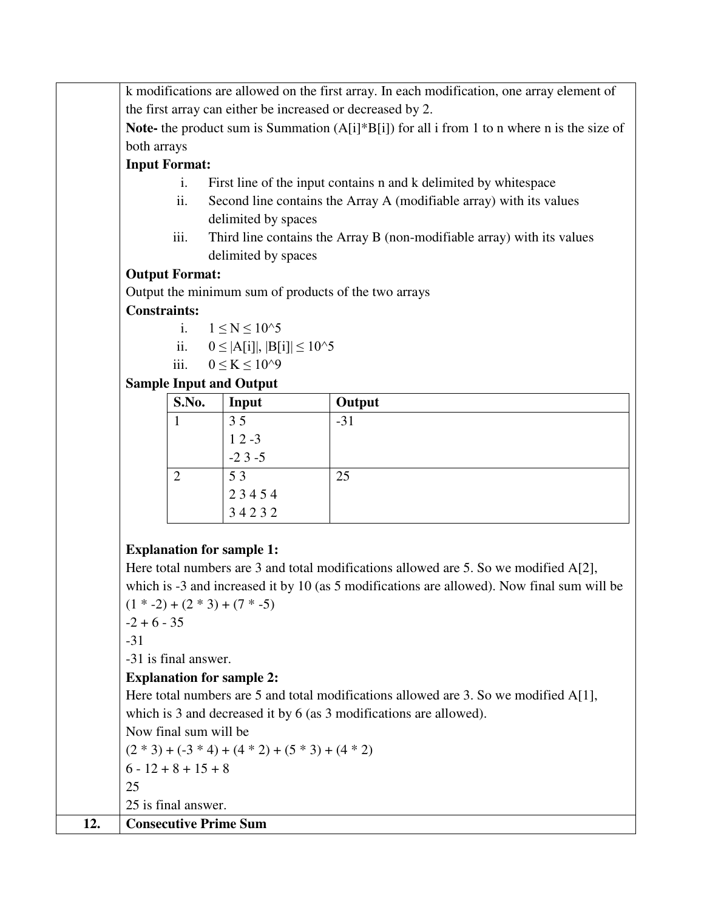k modifications are allowed on the first array. In each modification, one array element of the first array can either be increased or decreased by 2.

**Note-** the product sum is Summation (A[i]\*B[i]) for all i from 1 to n where n is the size of both arrays

### **Input Format:**

- i. First line of the input contains n and k delimited by whitespace
- ii. Second line contains the Array A (modifiable array) with its values delimited by spaces
- iii. Third line contains the Array B (non-modifiable array) with its values delimited by spaces

### **Output Format:**

Output the minimum sum of products of the two arrays

### **Constraints:**

$$
i. \qquad 1 \leq N \leq 10^{\wedge}5
$$

$$
ii.\qquad 0\leq |A[i]|,\,|B[i]|\leq 10^\wedge 5
$$

iii. 
$$
0 \le K \le 10^{9}
$$

## **Sample Input and Output**

| S.No. | Input    | Output |
|-------|----------|--------|
|       | 35       | $-31$  |
|       | $12 - 3$ |        |
|       | $-23-5$  |        |
|       | 53       | 25     |
|       | 23454    |        |
|       | 34232    |        |

## **Explanation for sample 1:**

Here total numbers are 3 and total modifications allowed are 5. So we modified A[2], which is -3 and increased it by 10 (as 5 modifications are allowed). Now final sum will be  $(1 * -2) + (2 * 3) + (7 * -5)$ 

 $-2 + 6 - 35$ 

-31

-31 is final answer.

## **Explanation for sample 2:**

Here total numbers are 5 and total modifications allowed are 3. So we modified A[1], which is 3 and decreased it by 6 (as 3 modifications are allowed).

Now final sum will be

 $(2 * 3) + (-3 * 4) + (4 * 2) + (5 * 3) + (4 * 2)$ 

 $6 - 12 + 8 + 15 + 8$ 

25

25 is final answer.

## **12. Consecutive Prime Sum**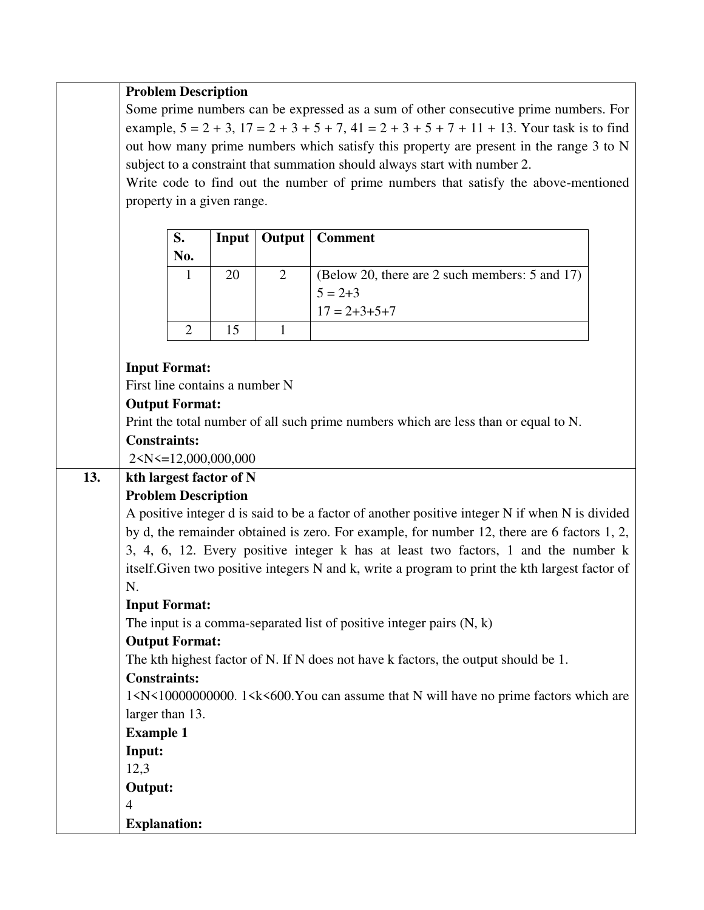#### **Problem Description**

Some prime numbers can be expressed as a sum of other consecutive prime numbers. For example,  $5 = 2 + 3$ ,  $17 = 2 + 3 + 5 + 7$ ,  $41 = 2 + 3 + 5 + 7 + 11 + 13$ . Your task is to find out how many prime numbers which satisfy this property are present in the range 3 to N subject to a constraint that summation should always start with number 2.

Write code to find out the number of prime numbers that satisfy the above-mentioned property in a given range.

| S.  |    | <b>Input</b>   Output   Comment                |
|-----|----|------------------------------------------------|
| No. |    |                                                |
|     | 20 | (Below 20, there are 2 such members: 5 and 17) |
|     |    | $5 = 2 + 3$                                    |
|     |    | $17 = 2 + 3 + 5 + 7$                           |
|     |    |                                                |

#### **Input Format:**

First line contains a number N

#### **Output Format:**

Print the total number of all such prime numbers which are less than or equal to N.

#### **Constraints:**

2<N<=12,000,000,000

#### **13. kth largest factor of N Problem Description**

A positive integer d is said to be a factor of another positive integer N if when N is divided by d, the remainder obtained is zero. For example, for number 12, there are 6 factors 1, 2, 3, 4, 6, 12. Every positive integer k has at least two factors, 1 and the number k itself.Given two positive integers N and k, write a program to print the kth largest factor of N.

#### **Input Format:**

The input is a comma-separated list of positive integer pairs  $(N, k)$ 

#### **Output Format:**

The kth highest factor of N. If N does not have k factors, the output should be 1.

#### **Constraints:**

1<N<10000000000. 1<k<600.You can assume that N will have no prime factors which are larger than 13.

**Example 1 Input:**  12,3

**Output:** 

- 4 **Explanation:** 
	-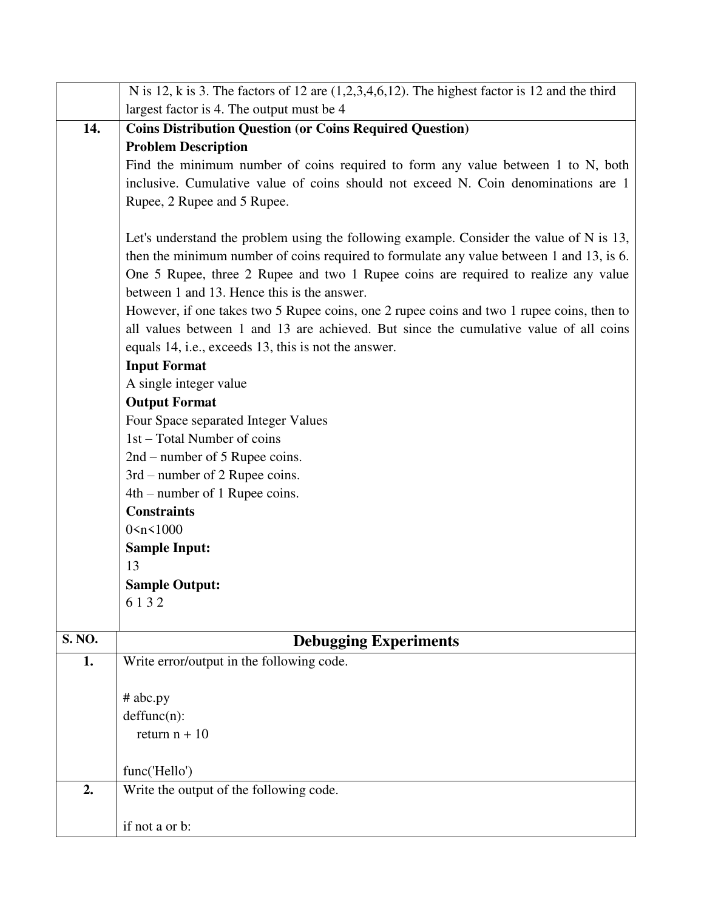| N is 12, k is 3. The factors of 12 are $(1,2,3,4,6,12)$ . The highest factor is 12 and the third |
|--------------------------------------------------------------------------------------------------|
| largest factor is 4. The output must be 4                                                        |
| <b>Coins Distribution Question (or Coins Required Question)</b>                                  |
| <b>Problem Description</b>                                                                       |
| Find the minimum number of coins required to form any value between 1 to N, both                 |
| inclusive. Cumulative value of coins should not exceed N. Coin denominations are 1               |
| Rupee, 2 Rupee and 5 Rupee.                                                                      |
|                                                                                                  |
| Let's understand the problem using the following example. Consider the value of N is 13,         |
| then the minimum number of coins required to formulate any value between 1 and 13, is 6.         |
| One 5 Rupee, three 2 Rupee and two 1 Rupee coins are required to realize any value               |
| between 1 and 13. Hence this is the answer.                                                      |
| However, if one takes two 5 Rupee coins, one 2 rupee coins and two 1 rupee coins, then to        |
| all values between 1 and 13 are achieved. But since the cumulative value of all coins            |
| equals 14, i.e., exceeds 13, this is not the answer.                                             |
| <b>Input Format</b>                                                                              |
| A single integer value                                                                           |
| <b>Output Format</b>                                                                             |
| Four Space separated Integer Values                                                              |
| 1st – Total Number of coins                                                                      |
| $2nd$ – number of 5 Rupee coins.                                                                 |
| 3rd – number of 2 Rupee coins.                                                                   |
| $4th$ – number of 1 Rupee coins.                                                                 |
| <b>Constraints</b>                                                                               |
| 0 < n < 1000                                                                                     |
| <b>Sample Input:</b>                                                                             |
| 13                                                                                               |
| <b>Sample Output:</b>                                                                            |
| 6132                                                                                             |
|                                                                                                  |
| <b>Debugging Experiments</b>                                                                     |
| Write error/output in the following code.                                                        |
|                                                                                                  |
| # abc.py                                                                                         |
| deffunc(n):                                                                                      |
| return $n + 10$                                                                                  |
|                                                                                                  |
| func('Hello')<br>Write the output of the following code.                                         |
|                                                                                                  |
| if not a or b:                                                                                   |
|                                                                                                  |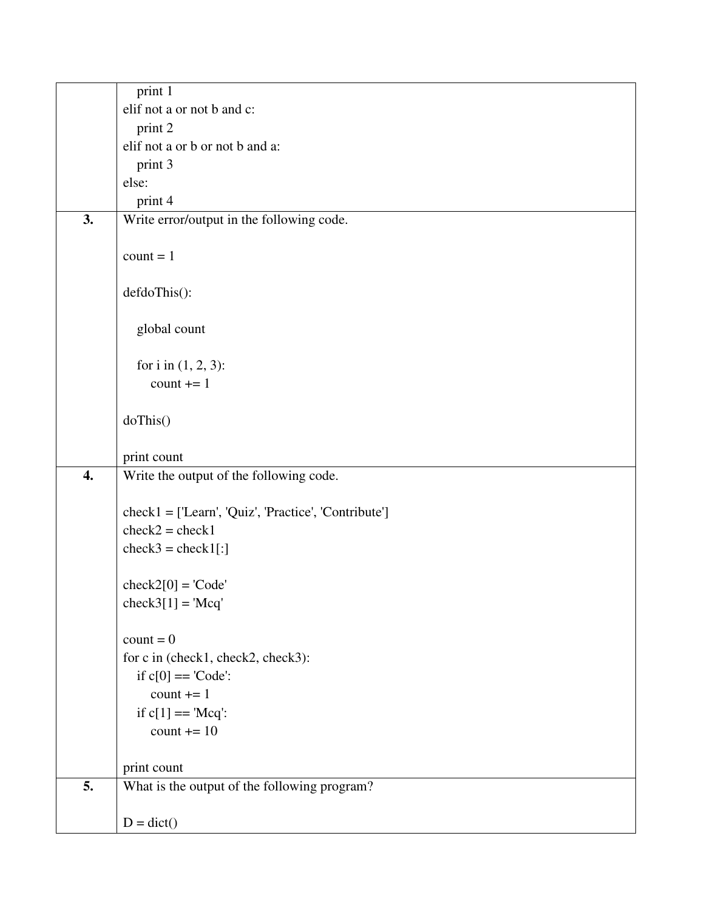|    | print 1                                              |
|----|------------------------------------------------------|
|    | elif not a or not b and c:                           |
|    | print 2                                              |
|    | elif not a or b or not b and a:                      |
|    | print 3                                              |
|    | else:                                                |
|    | print 4                                              |
| 3. | Write error/output in the following code.            |
|    |                                                      |
|    | $count = 1$                                          |
|    |                                                      |
|    | defdoThis():                                         |
|    |                                                      |
|    | global count                                         |
|    |                                                      |
|    | for i in $(1, 2, 3)$ :                               |
|    | $count += 1$                                         |
|    |                                                      |
|    | doThis()                                             |
|    |                                                      |
|    | print count                                          |
| 4. | Write the output of the following code.              |
|    |                                                      |
|    | check1 = ['Learn', 'Quiz', 'Practice', 'Contribute'] |
|    | $check2 = check1$                                    |
|    | $check3 = check1[:]$                                 |
|    |                                                      |
|    | $check2[0] = 'Code'$<br>$check3[1] = 'Mcq'$          |
|    |                                                      |
|    | $count = 0$                                          |
|    | for c in (check1, check2, check3):                   |
|    | if $c[0] == 'Code':$                                 |
|    | count $+= 1$                                         |
|    | if $c[1] == 'Mcq':$                                  |
|    | count $+= 10$                                        |
|    |                                                      |
|    | print count                                          |
| 5. | What is the output of the following program?         |
|    |                                                      |
|    | $D = dict()$                                         |
|    |                                                      |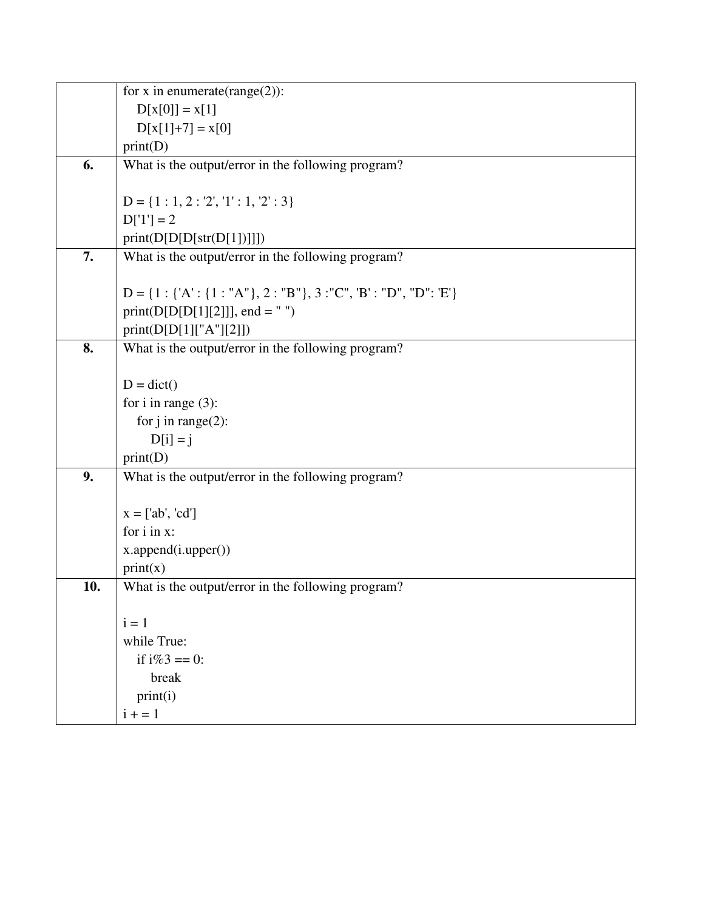|     | for x in enumerate(range(2)):                                            |  |  |  |  |  |  |  |
|-----|--------------------------------------------------------------------------|--|--|--|--|--|--|--|
|     | $D[x[0]] = x[1]$                                                         |  |  |  |  |  |  |  |
|     | $D[x[1]+7] = x[0]$                                                       |  |  |  |  |  |  |  |
|     | print(D)                                                                 |  |  |  |  |  |  |  |
| 6.  | What is the output/error in the following program?                       |  |  |  |  |  |  |  |
|     |                                                                          |  |  |  |  |  |  |  |
|     | $D = \{1: 1, 2: 2', 1': 1, 2': 3\}$                                      |  |  |  |  |  |  |  |
|     | $D[1'] = 2$                                                              |  |  |  |  |  |  |  |
|     | print(D[D[Diff(D[1]])])                                                  |  |  |  |  |  |  |  |
| 7.  | What is the output/error in the following program?                       |  |  |  |  |  |  |  |
|     |                                                                          |  |  |  |  |  |  |  |
|     | $D = \{1 : \{'A': \{1 : "A"\}, 2 : "B"\}, 3 : "C", 'B': "D", "D": 'E'\}$ |  |  |  |  |  |  |  |
|     | print( $D[D[D[1][2]]$ ], end = " ")                                      |  |  |  |  |  |  |  |
|     | print(D[D[1]["A"][2]])                                                   |  |  |  |  |  |  |  |
| 8.  | What is the output/error in the following program?                       |  |  |  |  |  |  |  |
|     |                                                                          |  |  |  |  |  |  |  |
|     | $D = dict()$                                                             |  |  |  |  |  |  |  |
|     | for $i$ in range $(3)$ :                                                 |  |  |  |  |  |  |  |
|     | for $j$ in range(2):                                                     |  |  |  |  |  |  |  |
|     | $D[i] = j$                                                               |  |  |  |  |  |  |  |
|     | print(D)                                                                 |  |  |  |  |  |  |  |
| 9.  | What is the output/error in the following program?                       |  |  |  |  |  |  |  |
|     |                                                                          |  |  |  |  |  |  |  |
|     | $x = [ab', 'cd']$                                                        |  |  |  |  |  |  |  |
|     | for i in x:                                                              |  |  |  |  |  |  |  |
|     | x.append(i.upper())                                                      |  |  |  |  |  |  |  |
|     | print(x)                                                                 |  |  |  |  |  |  |  |
| 10. | What is the output/error in the following program?                       |  |  |  |  |  |  |  |
|     |                                                                          |  |  |  |  |  |  |  |
|     | $i = 1$                                                                  |  |  |  |  |  |  |  |
|     | while True:                                                              |  |  |  |  |  |  |  |
|     | if $i\%3 == 0$ :                                                         |  |  |  |  |  |  |  |
|     | break                                                                    |  |  |  |  |  |  |  |
|     | print(i)                                                                 |  |  |  |  |  |  |  |
|     | $i + 1$                                                                  |  |  |  |  |  |  |  |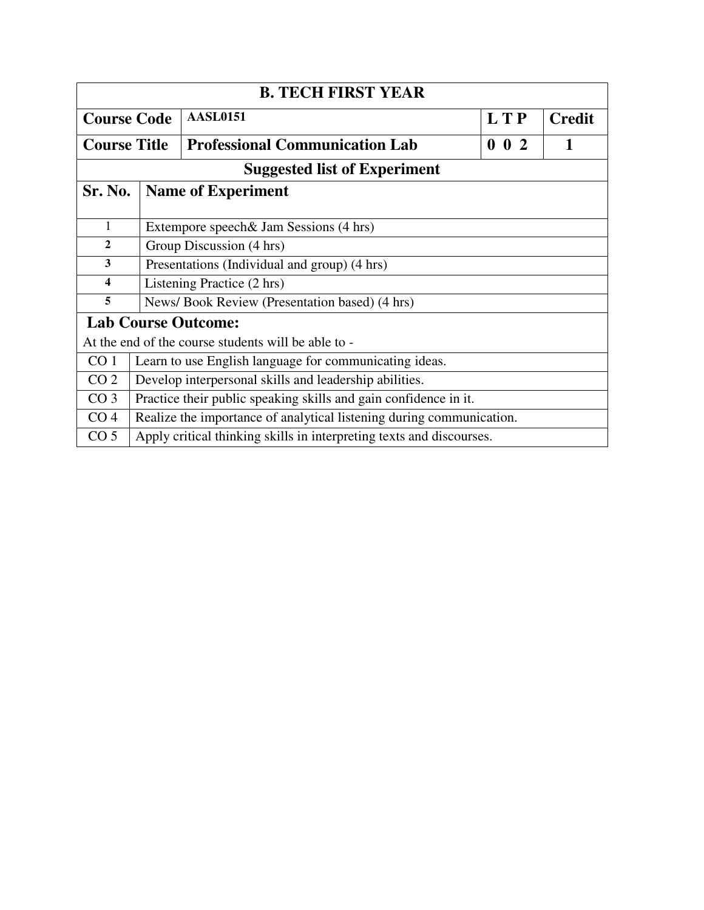| <b>B. TECH FIRST YEAR</b>                                            |                                                                      |                                                                      |             |  |  |  |  |  |
|----------------------------------------------------------------------|----------------------------------------------------------------------|----------------------------------------------------------------------|-------------|--|--|--|--|--|
| <b>AASL0151</b><br><b>LTP</b><br><b>Course Code</b><br><b>Credit</b> |                                                                      |                                                                      |             |  |  |  |  |  |
| <b>Course Title</b>                                                  |                                                                      | <b>Professional Communication Lab</b>                                | $0 \t0 \t2$ |  |  |  |  |  |
|                                                                      |                                                                      | <b>Suggested list of Experiment</b>                                  |             |  |  |  |  |  |
| Sr. No.                                                              |                                                                      | <b>Name of Experiment</b>                                            |             |  |  |  |  |  |
| 1                                                                    |                                                                      | Extempore speech & Jam Sessions (4 hrs)                              |             |  |  |  |  |  |
| $\mathbf{2}$                                                         |                                                                      | Group Discussion (4 hrs)                                             |             |  |  |  |  |  |
| 3                                                                    | Presentations (Individual and group) (4 hrs)                         |                                                                      |             |  |  |  |  |  |
| $\boldsymbol{4}$                                                     |                                                                      | Listening Practice (2 hrs)                                           |             |  |  |  |  |  |
| 5                                                                    |                                                                      | News/Book Review (Presentation based) (4 hrs)                        |             |  |  |  |  |  |
|                                                                      | <b>Lab Course Outcome:</b>                                           |                                                                      |             |  |  |  |  |  |
|                                                                      | At the end of the course students will be able to -                  |                                                                      |             |  |  |  |  |  |
| CO <sub>1</sub>                                                      | Learn to use English language for communicating ideas.               |                                                                      |             |  |  |  |  |  |
| CO <sub>2</sub>                                                      | Develop interpersonal skills and leadership abilities.               |                                                                      |             |  |  |  |  |  |
| CO <sub>3</sub>                                                      | Practice their public speaking skills and gain confidence in it.     |                                                                      |             |  |  |  |  |  |
| CO <sub>4</sub>                                                      | Realize the importance of analytical listening during communication. |                                                                      |             |  |  |  |  |  |
| CO <sub>5</sub>                                                      |                                                                      | Apply critical thinking skills in interpreting texts and discourses. |             |  |  |  |  |  |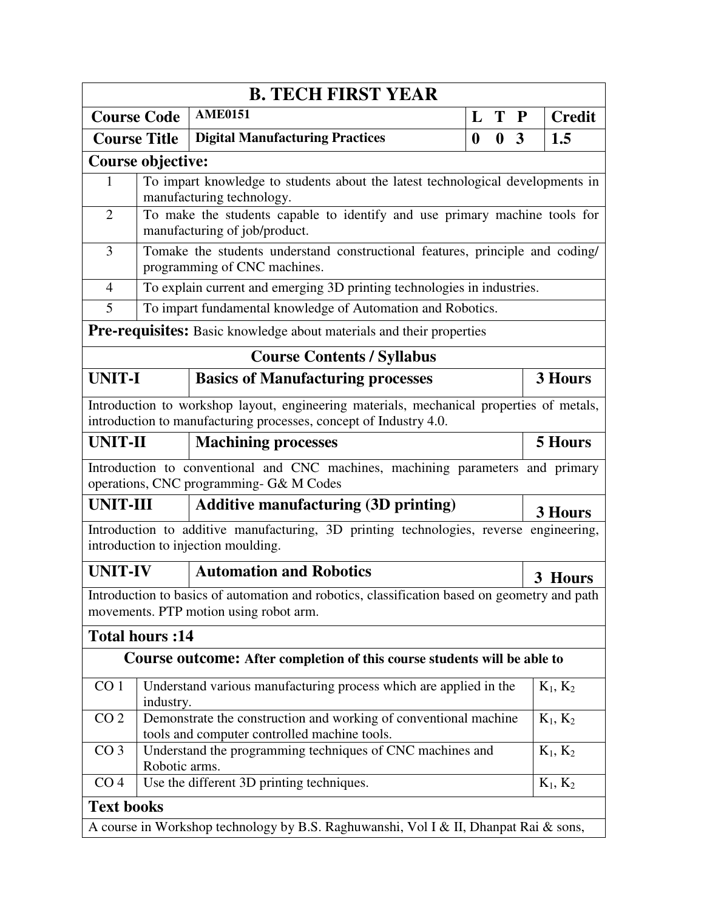| <b>B. TECH FIRST YEAR</b> |                                                                                                                                |                                                                                                                                                               |                  |                  |             |               |  |  |  |  |
|---------------------------|--------------------------------------------------------------------------------------------------------------------------------|---------------------------------------------------------------------------------------------------------------------------------------------------------------|------------------|------------------|-------------|---------------|--|--|--|--|
| <b>Course Code</b>        |                                                                                                                                | <b>AME0151</b>                                                                                                                                                | L                | T                | $\mathbf P$ | <b>Credit</b> |  |  |  |  |
| <b>Course Title</b>       |                                                                                                                                | <b>Digital Manufacturing Practices</b>                                                                                                                        | $\boldsymbol{0}$ | $\boldsymbol{0}$ | 3           | 1.5           |  |  |  |  |
|                           | <b>Course objective:</b>                                                                                                       |                                                                                                                                                               |                  |                  |             |               |  |  |  |  |
| 1                         | To impart knowledge to students about the latest technological developments in<br>manufacturing technology.                    |                                                                                                                                                               |                  |                  |             |               |  |  |  |  |
| $\overline{2}$            |                                                                                                                                | To make the students capable to identify and use primary machine tools for<br>manufacturing of job/product.                                                   |                  |                  |             |               |  |  |  |  |
| $\overline{3}$            | Tomake the students understand constructional features, principle and coding/<br>programming of CNC machines.                  |                                                                                                                                                               |                  |                  |             |               |  |  |  |  |
| $\overline{4}$            |                                                                                                                                | To explain current and emerging 3D printing technologies in industries.                                                                                       |                  |                  |             |               |  |  |  |  |
| 5                         |                                                                                                                                | To impart fundamental knowledge of Automation and Robotics.                                                                                                   |                  |                  |             |               |  |  |  |  |
|                           |                                                                                                                                | Pre-requisites: Basic knowledge about materials and their properties                                                                                          |                  |                  |             |               |  |  |  |  |
|                           |                                                                                                                                | <b>Course Contents / Syllabus</b>                                                                                                                             |                  |                  |             |               |  |  |  |  |
| <b>UNIT-I</b>             |                                                                                                                                | <b>Basics of Manufacturing processes</b>                                                                                                                      |                  |                  |             | 3 Hours       |  |  |  |  |
|                           |                                                                                                                                | Introduction to workshop layout, engineering materials, mechanical properties of metals,<br>introduction to manufacturing processes, concept of Industry 4.0. |                  |                  |             |               |  |  |  |  |
| <b>UNIT-II</b>            |                                                                                                                                | <b>Machining processes</b>                                                                                                                                    |                  |                  |             | 5 Hours       |  |  |  |  |
|                           |                                                                                                                                | Introduction to conventional and CNC machines, machining parameters and primary<br>operations, CNC programming- G& M Codes                                    |                  |                  |             |               |  |  |  |  |
| <b>UNIT-III</b>           |                                                                                                                                | <b>Additive manufacturing (3D printing)</b>                                                                                                                   |                  |                  |             | 3 Hours       |  |  |  |  |
|                           |                                                                                                                                | Introduction to additive manufacturing, 3D printing technologies, reverse engineering,<br>introduction to injection moulding.                                 |                  |                  |             |               |  |  |  |  |
| <b>UNIT-IV</b>            |                                                                                                                                | <b>Automation and Robotics</b>                                                                                                                                |                  |                  | 3 Hours     |               |  |  |  |  |
|                           |                                                                                                                                | Introduction to basics of automation and robotics, classification based on geometry and path<br>movements. PTP motion using robot arm.                        |                  |                  |             |               |  |  |  |  |
|                           | <b>Total hours:14</b>                                                                                                          |                                                                                                                                                               |                  |                  |             |               |  |  |  |  |
|                           |                                                                                                                                | Course outcome: After completion of this course students will be able to                                                                                      |                  |                  |             |               |  |  |  |  |
| CO <sub>1</sub>           | industry.                                                                                                                      | Understand various manufacturing process which are applied in the                                                                                             |                  |                  |             | $K_1, K_2$    |  |  |  |  |
| CO <sub>2</sub>           | Demonstrate the construction and working of conventional machine<br>$K_1, K_2$<br>tools and computer controlled machine tools. |                                                                                                                                                               |                  |                  |             |               |  |  |  |  |
| CO <sub>3</sub>           | Robotic arms.                                                                                                                  | Understand the programming techniques of CNC machines and                                                                                                     |                  |                  |             | $K_1, K_2$    |  |  |  |  |
| CO <sub>4</sub>           |                                                                                                                                | Use the different 3D printing techniques.                                                                                                                     |                  |                  |             | $K_1, K_2$    |  |  |  |  |
|                           | <b>Text books</b>                                                                                                              |                                                                                                                                                               |                  |                  |             |               |  |  |  |  |
|                           | A course in Workshop technology by B.S. Raghuwanshi, Vol I & II, Dhanpat Rai & sons,                                           |                                                                                                                                                               |                  |                  |             |               |  |  |  |  |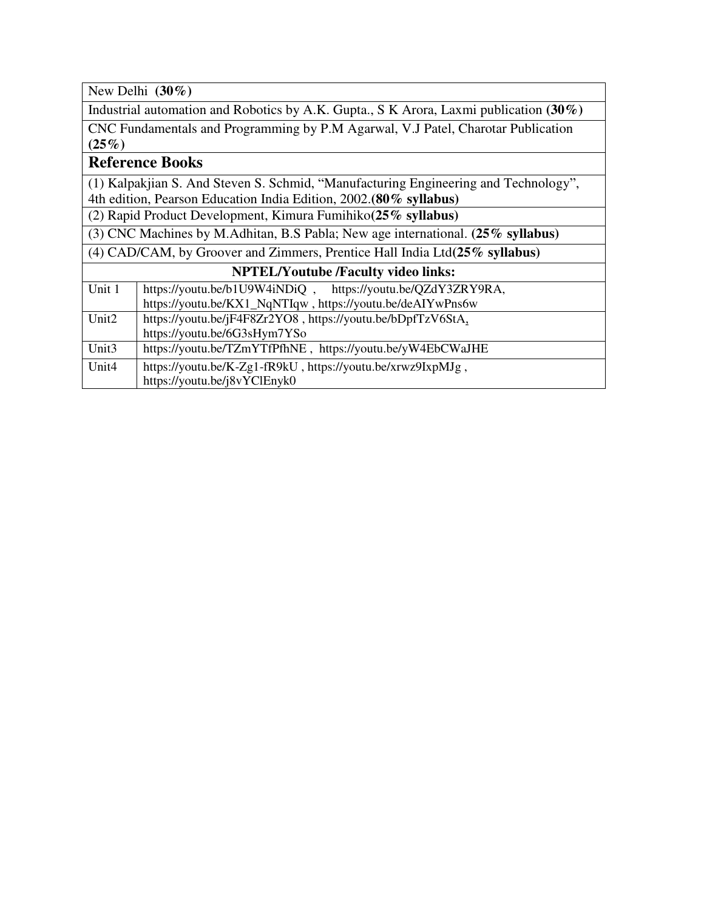New Delhi **(30%)**

Industrial automation and Robotics by A.K. Gupta., S K Arora, Laxmi publication **(30%)**

CNC Fundamentals and Programming by P.M Agarwal, V.J Patel, Charotar Publication **(25%)**

## **Reference Books**

(1) Kalpakjian S. And Steven S. Schmid, "Manufacturing Engineering and Technology", 4th edition, Pearson Education India Edition, 2002.**(80% syllabus)**

(2) Rapid Product Development, Kimura Fumihiko**(25% syllabus)**

(3) CNC Machines by M.Adhitan, B.S Pabla; New age international. **(25% syllabus)**

(4) CAD/CAM, by Groover and Zimmers, Prentice Hall India Ltd**(25% syllabus)**

| Unit 1            | https://youtu.be/b1U9W4iNDiQ,<br>https://youtu.be/QZdY3ZRY9RA, |
|-------------------|----------------------------------------------------------------|
|                   | https://youtu.be/KX1_NqNTIqw, https://youtu.be/deAIYwPns6w     |
| Unit <sub>2</sub> | https://youtu.be/jF4F8Zr2YO8, https://youtu.be/bDpfTzV6StA,    |
|                   | https://youtu.be/6G3sHym7YSo                                   |
| Unit <sub>3</sub> | https://youtu.be/TZmYTfPfhNE, https://youtu.be/yW4EbCWaJHE     |
| Unit <sub>4</sub> | https://youtu.be/K-Zg1-fR9kU, https://youtu.be/xrwz9IxpMJg,    |
|                   | https://youtu.be/j8vYClEnyk0                                   |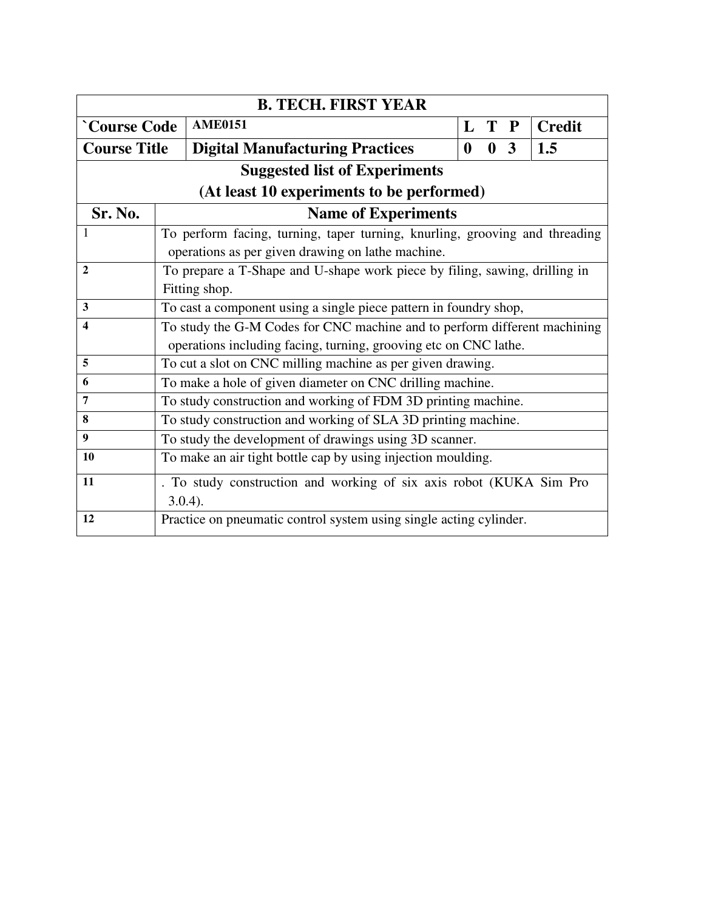| <b>B. TECH. FIRST YEAR</b>                |                                                                            |                                                                           |  |                |  |  |  |  |                                                                  |  |  |  |  |          |              |                         |  |                                                                             |
|-------------------------------------------|----------------------------------------------------------------------------|---------------------------------------------------------------------------|--|----------------|--|--|--|--|------------------------------------------------------------------|--|--|--|--|----------|--------------|-------------------------|--|-----------------------------------------------------------------------------|
| <b>Course Code</b>                        |                                                                            |                                                                           |  | <b>AME0151</b> |  |  |  |  |                                                                  |  |  |  |  |          | L T P        |                         |  | <b>Credit</b>                                                               |
| <b>Course Title</b>                       |                                                                            |                                                                           |  |                |  |  |  |  | <b>Digital Manufacturing Practices</b>                           |  |  |  |  | $\bf{0}$ | $\mathbf{0}$ | $\overline{\mathbf{3}}$ |  | 1.5                                                                         |
|                                           |                                                                            |                                                                           |  |                |  |  |  |  | <b>Suggested list of Experiments</b>                             |  |  |  |  |          |              |                         |  |                                                                             |
| (At least 10 experiments to be performed) |                                                                            |                                                                           |  |                |  |  |  |  |                                                                  |  |  |  |  |          |              |                         |  |                                                                             |
| Sr. No.                                   | <b>Name of Experiments</b>                                                 |                                                                           |  |                |  |  |  |  |                                                                  |  |  |  |  |          |              |                         |  |                                                                             |
| $\mathbf{1}$                              |                                                                            |                                                                           |  |                |  |  |  |  |                                                                  |  |  |  |  |          |              |                         |  | To perform facing, turning, taper turning, knurling, grooving and threading |
|                                           |                                                                            | operations as per given drawing on lathe machine.                         |  |                |  |  |  |  |                                                                  |  |  |  |  |          |              |                         |  |                                                                             |
| $\mathbf{2}$                              | To prepare a T-Shape and U-shape work piece by filing, sawing, drilling in |                                                                           |  |                |  |  |  |  |                                                                  |  |  |  |  |          |              |                         |  |                                                                             |
|                                           |                                                                            | Fitting shop.                                                             |  |                |  |  |  |  |                                                                  |  |  |  |  |          |              |                         |  |                                                                             |
| 3                                         | To cast a component using a single piece pattern in foundry shop,          |                                                                           |  |                |  |  |  |  |                                                                  |  |  |  |  |          |              |                         |  |                                                                             |
| 4                                         |                                                                            | To study the G-M Codes for CNC machine and to perform different machining |  |                |  |  |  |  |                                                                  |  |  |  |  |          |              |                         |  |                                                                             |
|                                           |                                                                            |                                                                           |  |                |  |  |  |  | operations including facing, turning, grooving etc on CNC lathe. |  |  |  |  |          |              |                         |  |                                                                             |
| 5                                         | To cut a slot on CNC milling machine as per given drawing.                 |                                                                           |  |                |  |  |  |  |                                                                  |  |  |  |  |          |              |                         |  |                                                                             |
| 6                                         | To make a hole of given diameter on CNC drilling machine.                  |                                                                           |  |                |  |  |  |  |                                                                  |  |  |  |  |          |              |                         |  |                                                                             |
| $\overline{7}$                            | To study construction and working of FDM 3D printing machine.              |                                                                           |  |                |  |  |  |  |                                                                  |  |  |  |  |          |              |                         |  |                                                                             |
| 8                                         | To study construction and working of SLA 3D printing machine.              |                                                                           |  |                |  |  |  |  |                                                                  |  |  |  |  |          |              |                         |  |                                                                             |
| 9                                         | To study the development of drawings using 3D scanner.                     |                                                                           |  |                |  |  |  |  |                                                                  |  |  |  |  |          |              |                         |  |                                                                             |
| 10                                        | To make an air tight bottle cap by using injection moulding.               |                                                                           |  |                |  |  |  |  |                                                                  |  |  |  |  |          |              |                         |  |                                                                             |
| 11                                        |                                                                            |                                                                           |  |                |  |  |  |  |                                                                  |  |  |  |  |          |              |                         |  | . To study construction and working of six axis robot (KUKA Sim Pro         |
|                                           |                                                                            | $3.0.4$ ).                                                                |  |                |  |  |  |  |                                                                  |  |  |  |  |          |              |                         |  |                                                                             |
| 12                                        | Practice on pneumatic control system using single acting cylinder.         |                                                                           |  |                |  |  |  |  |                                                                  |  |  |  |  |          |              |                         |  |                                                                             |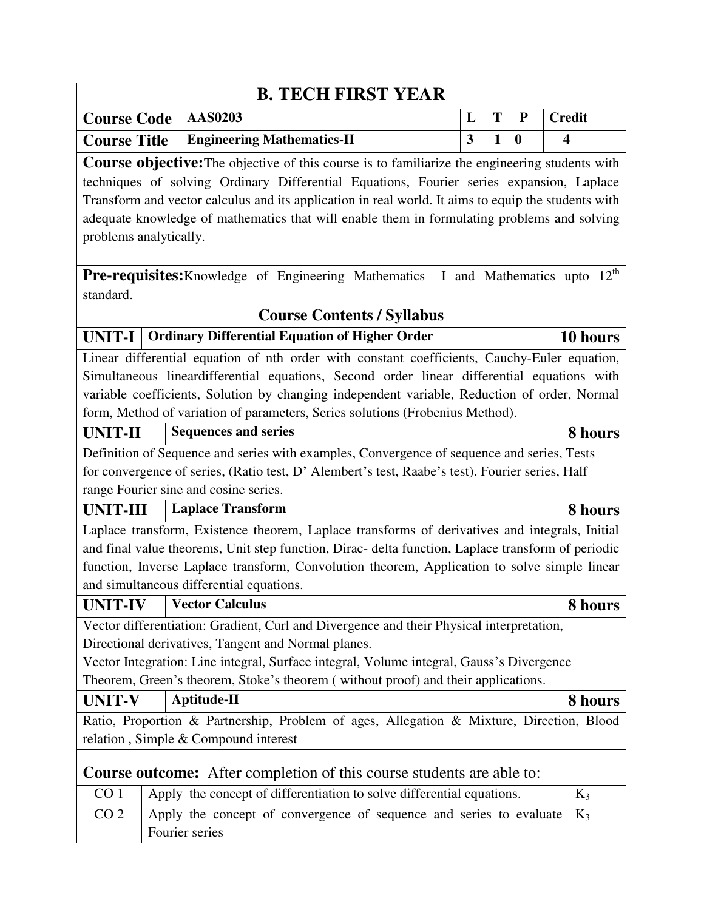|                                                                                                                                                                                                   |                                                                                             |                                                                     |                                   | <b>B. TECH FIRST YEAR</b>         |  |  |  |  |  |  |   |              |           |                         |          |
|---------------------------------------------------------------------------------------------------------------------------------------------------------------------------------------------------|---------------------------------------------------------------------------------------------|---------------------------------------------------------------------|-----------------------------------|-----------------------------------|--|--|--|--|--|--|---|--------------|-----------|-------------------------|----------|
| <b>Course Code</b>                                                                                                                                                                                |                                                                                             | <b>AAS0203</b>                                                      |                                   |                                   |  |  |  |  |  |  | L | T            | ${\bf P}$ | <b>Credit</b>           |          |
| <b>Course Title</b>                                                                                                                                                                               |                                                                                             |                                                                     | <b>Engineering Mathematics-II</b> |                                   |  |  |  |  |  |  | 3 | $\mathbf{1}$ | $\bf{0}$  | $\overline{\mathbf{4}}$ |          |
|                                                                                                                                                                                                   |                                                                                             |                                                                     |                                   |                                   |  |  |  |  |  |  |   |              |           |                         |          |
| <b>Course objective:</b> The objective of this course is to familiarize the engineering students with<br>techniques of solving Ordinary Differential Equations, Fourier series expansion, Laplace |                                                                                             |                                                                     |                                   |                                   |  |  |  |  |  |  |   |              |           |                         |          |
| Transform and vector calculus and its application in real world. It aims to equip the students with                                                                                               |                                                                                             |                                                                     |                                   |                                   |  |  |  |  |  |  |   |              |           |                         |          |
|                                                                                                                                                                                                   | adequate knowledge of mathematics that will enable them in formulating problems and solving |                                                                     |                                   |                                   |  |  |  |  |  |  |   |              |           |                         |          |
| problems analytically.                                                                                                                                                                            |                                                                                             |                                                                     |                                   |                                   |  |  |  |  |  |  |   |              |           |                         |          |
|                                                                                                                                                                                                   |                                                                                             |                                                                     |                                   |                                   |  |  |  |  |  |  |   |              |           |                         |          |
| <b>Pre-requisites:</b> Knowledge of Engineering Mathematics -I and Mathematics upto 12 <sup>th</sup>                                                                                              |                                                                                             |                                                                     |                                   |                                   |  |  |  |  |  |  |   |              |           |                         |          |
| standard.                                                                                                                                                                                         |                                                                                             |                                                                     |                                   |                                   |  |  |  |  |  |  |   |              |           |                         |          |
|                                                                                                                                                                                                   |                                                                                             |                                                                     |                                   | <b>Course Contents / Syllabus</b> |  |  |  |  |  |  |   |              |           |                         |          |
| <b>UNIT-I</b>                                                                                                                                                                                     |                                                                                             | <b>Ordinary Differential Equation of Higher Order</b>               |                                   |                                   |  |  |  |  |  |  |   |              |           |                         | 10 hours |
| Linear differential equation of nth order with constant coefficients, Cauchy-Euler equation,                                                                                                      |                                                                                             |                                                                     |                                   |                                   |  |  |  |  |  |  |   |              |           |                         |          |
| Simultaneous lineardifferential equations, Second order linear differential equations with                                                                                                        |                                                                                             |                                                                     |                                   |                                   |  |  |  |  |  |  |   |              |           |                         |          |
| variable coefficients, Solution by changing independent variable, Reduction of order, Normal                                                                                                      |                                                                                             |                                                                     |                                   |                                   |  |  |  |  |  |  |   |              |           |                         |          |
| form, Method of variation of parameters, Series solutions (Frobenius Method).                                                                                                                     |                                                                                             |                                                                     |                                   |                                   |  |  |  |  |  |  |   |              |           |                         |          |
| <b>UNIT-II</b>                                                                                                                                                                                    |                                                                                             | <b>Sequences and series</b>                                         |                                   |                                   |  |  |  |  |  |  |   |              |           |                         | 8 hours  |
| Definition of Sequence and series with examples, Convergence of sequence and series, Tests                                                                                                        |                                                                                             |                                                                     |                                   |                                   |  |  |  |  |  |  |   |              |           |                         |          |
| for convergence of series, (Ratio test, D' Alembert's test, Raabe's test). Fourier series, Half                                                                                                   |                                                                                             |                                                                     |                                   |                                   |  |  |  |  |  |  |   |              |           |                         |          |
| range Fourier sine and cosine series.                                                                                                                                                             |                                                                                             |                                                                     |                                   |                                   |  |  |  |  |  |  |   |              |           |                         |          |
| <b>UNIT-III</b>                                                                                                                                                                                   |                                                                                             | <b>Laplace Transform</b>                                            |                                   |                                   |  |  |  |  |  |  |   |              |           |                         | 8 hours  |
| Laplace transform, Existence theorem, Laplace transforms of derivatives and integrals, Initial                                                                                                    |                                                                                             |                                                                     |                                   |                                   |  |  |  |  |  |  |   |              |           |                         |          |
| and final value theorems, Unit step function, Dirac- delta function, Laplace transform of periodic                                                                                                |                                                                                             |                                                                     |                                   |                                   |  |  |  |  |  |  |   |              |           |                         |          |
| function, Inverse Laplace transform, Convolution theorem, Application to solve simple linear                                                                                                      |                                                                                             |                                                                     |                                   |                                   |  |  |  |  |  |  |   |              |           |                         |          |
| and simultaneous differential equations.                                                                                                                                                          |                                                                                             |                                                                     |                                   |                                   |  |  |  |  |  |  |   |              |           |                         |          |
| <b>UNIT-IV</b>                                                                                                                                                                                    |                                                                                             | <b>Vector Calculus</b>                                              |                                   |                                   |  |  |  |  |  |  |   |              |           |                         | 8 hours  |
| Vector differentiation: Gradient, Curl and Divergence and their Physical interpretation,                                                                                                          |                                                                                             |                                                                     |                                   |                                   |  |  |  |  |  |  |   |              |           |                         |          |
| Directional derivatives, Tangent and Normal planes.                                                                                                                                               |                                                                                             |                                                                     |                                   |                                   |  |  |  |  |  |  |   |              |           |                         |          |
| Vector Integration: Line integral, Surface integral, Volume integral, Gauss's Divergence                                                                                                          |                                                                                             |                                                                     |                                   |                                   |  |  |  |  |  |  |   |              |           |                         |          |
| Theorem, Green's theorem, Stoke's theorem (without proof) and their applications.                                                                                                                 |                                                                                             |                                                                     |                                   |                                   |  |  |  |  |  |  |   |              |           |                         |          |
| <b>UNIT-V</b>                                                                                                                                                                                     |                                                                                             | Aptitude-II                                                         |                                   |                                   |  |  |  |  |  |  |   |              |           |                         | 8 hours  |
| Ratio, Proportion & Partnership, Problem of ages, Allegation & Mixture, Direction, Blood                                                                                                          |                                                                                             |                                                                     |                                   |                                   |  |  |  |  |  |  |   |              |           |                         |          |
|                                                                                                                                                                                                   | relation, Simple & Compound interest                                                        |                                                                     |                                   |                                   |  |  |  |  |  |  |   |              |           |                         |          |
|                                                                                                                                                                                                   | <b>Course outcome:</b> After completion of this course students are able to:                |                                                                     |                                   |                                   |  |  |  |  |  |  |   |              |           |                         |          |
| CO <sub>1</sub>                                                                                                                                                                                   | Apply the concept of differentiation to solve differential equations.<br>$K_3$              |                                                                     |                                   |                                   |  |  |  |  |  |  |   |              |           |                         |          |
| CO <sub>2</sub>                                                                                                                                                                                   |                                                                                             | Apply the concept of convergence of sequence and series to evaluate |                                   |                                   |  |  |  |  |  |  |   |              |           |                         | $K_3$    |
|                                                                                                                                                                                                   | Fourier series                                                                              |                                                                     |                                   |                                   |  |  |  |  |  |  |   |              |           |                         |          |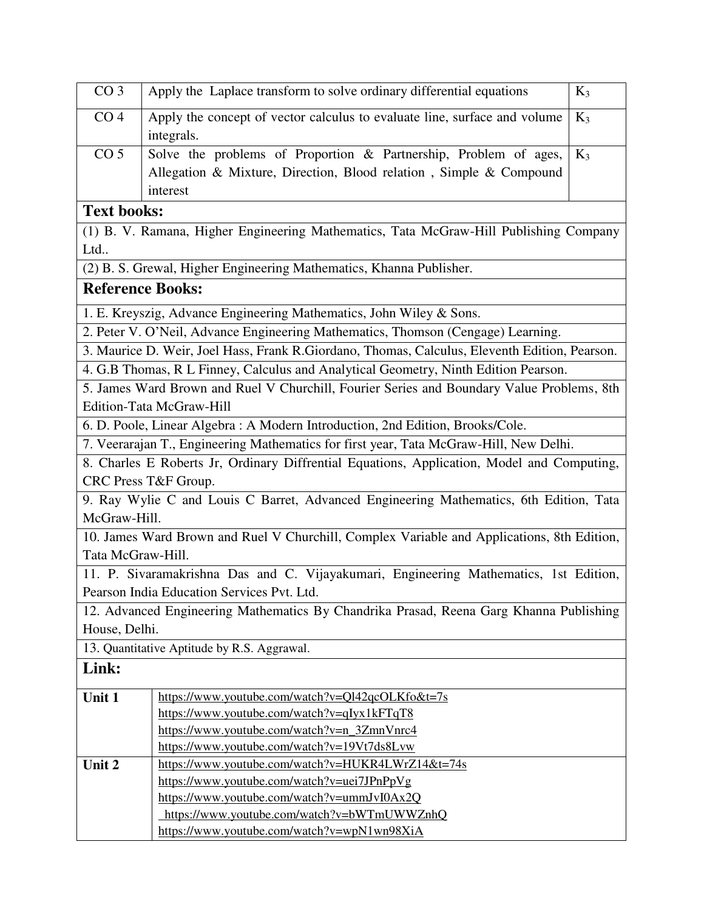| CO <sub>3</sub>                                                                       | Apply the Laplace transform to solve ordinary differential equations                           | $K_3$ |  |  |  |  |  |  |  |  |  |
|---------------------------------------------------------------------------------------|------------------------------------------------------------------------------------------------|-------|--|--|--|--|--|--|--|--|--|
| CO <sub>4</sub>                                                                       | Apply the concept of vector calculus to evaluate line, surface and volume<br>integrals.        | $K_3$ |  |  |  |  |  |  |  |  |  |
| CO <sub>5</sub>                                                                       | Solve the problems of Proportion & Partnership, Problem of ages,                               | $K_3$ |  |  |  |  |  |  |  |  |  |
|                                                                                       | Allegation & Mixture, Direction, Blood relation, Simple & Compound                             |       |  |  |  |  |  |  |  |  |  |
|                                                                                       | interest                                                                                       |       |  |  |  |  |  |  |  |  |  |
| <b>Text books:</b>                                                                    |                                                                                                |       |  |  |  |  |  |  |  |  |  |
| (1) B. V. Ramana, Higher Engineering Mathematics, Tata McGraw-Hill Publishing Company |                                                                                                |       |  |  |  |  |  |  |  |  |  |
| Ltd                                                                                   |                                                                                                |       |  |  |  |  |  |  |  |  |  |
|                                                                                       | (2) B. S. Grewal, Higher Engineering Mathematics, Khanna Publisher.                            |       |  |  |  |  |  |  |  |  |  |
| <b>Reference Books:</b>                                                               |                                                                                                |       |  |  |  |  |  |  |  |  |  |
|                                                                                       | 1. E. Kreyszig, Advance Engineering Mathematics, John Wiley & Sons.                            |       |  |  |  |  |  |  |  |  |  |
|                                                                                       | 2. Peter V. O'Neil, Advance Engineering Mathematics, Thomson (Cengage) Learning.               |       |  |  |  |  |  |  |  |  |  |
|                                                                                       | 3. Maurice D. Weir, Joel Hass, Frank R. Giordano, Thomas, Calculus, Eleventh Edition, Pearson. |       |  |  |  |  |  |  |  |  |  |
|                                                                                       | 4. G.B Thomas, R L Finney, Calculus and Analytical Geometry, Ninth Edition Pearson.            |       |  |  |  |  |  |  |  |  |  |
|                                                                                       | 5. James Ward Brown and Ruel V Churchill, Fourier Series and Boundary Value Problems, 8th      |       |  |  |  |  |  |  |  |  |  |
|                                                                                       | Edition-Tata McGraw-Hill                                                                       |       |  |  |  |  |  |  |  |  |  |
|                                                                                       | 6. D. Poole, Linear Algebra: A Modern Introduction, 2nd Edition, Brooks/Cole.                  |       |  |  |  |  |  |  |  |  |  |
|                                                                                       | 7. Veerarajan T., Engineering Mathematics for first year, Tata McGraw-Hill, New Delhi.         |       |  |  |  |  |  |  |  |  |  |
|                                                                                       | 8. Charles E Roberts Jr, Ordinary Diffrential Equations, Application, Model and Computing,     |       |  |  |  |  |  |  |  |  |  |
|                                                                                       | CRC Press T&F Group.                                                                           |       |  |  |  |  |  |  |  |  |  |
|                                                                                       | 9. Ray Wylie C and Louis C Barret, Advanced Engineering Mathematics, 6th Edition, Tata         |       |  |  |  |  |  |  |  |  |  |
| McGraw-Hill.                                                                          |                                                                                                |       |  |  |  |  |  |  |  |  |  |
|                                                                                       | 10. James Ward Brown and Ruel V Churchill, Complex Variable and Applications, 8th Edition,     |       |  |  |  |  |  |  |  |  |  |
| Tata McGraw-Hill.                                                                     |                                                                                                |       |  |  |  |  |  |  |  |  |  |
|                                                                                       | 11. P. Sivaramakrishna Das and C. Vijayakumari, Engineering Mathematics, 1st Edition,          |       |  |  |  |  |  |  |  |  |  |
|                                                                                       | Pearson India Education Services Pvt. Ltd.                                                     |       |  |  |  |  |  |  |  |  |  |
|                                                                                       | 12. Advanced Engineering Mathematics By Chandrika Prasad, Reena Garg Khanna Publishing         |       |  |  |  |  |  |  |  |  |  |
| House, Delhi.                                                                         |                                                                                                |       |  |  |  |  |  |  |  |  |  |
|                                                                                       | 13. Quantitative Aptitude by R.S. Aggrawal.                                                    |       |  |  |  |  |  |  |  |  |  |
| Link:                                                                                 |                                                                                                |       |  |  |  |  |  |  |  |  |  |
| Unit 1                                                                                | https://www.youtube.com/watch?v=Ql42qcOLKfo&t=7s                                               |       |  |  |  |  |  |  |  |  |  |
|                                                                                       | https://www.youtube.com/watch?v=qIyx1kFTqT8                                                    |       |  |  |  |  |  |  |  |  |  |
|                                                                                       | https://www.youtube.com/watch?v=n_3ZmnVnrc4                                                    |       |  |  |  |  |  |  |  |  |  |
|                                                                                       | https://www.youtube.com/watch?v=19Vt7ds8Lvw                                                    |       |  |  |  |  |  |  |  |  |  |
| Unit 2                                                                                | https://www.youtube.com/watch?v=HUKR4LWrZ14&t=74s                                              |       |  |  |  |  |  |  |  |  |  |
|                                                                                       | https://www.youtube.com/watch?v=uei7JPnPpVg                                                    |       |  |  |  |  |  |  |  |  |  |
|                                                                                       | https://www.youtube.com/watch?v=ummJvI0Ax2Q                                                    |       |  |  |  |  |  |  |  |  |  |
|                                                                                       | https://www.youtube.com/watch?v=bWTmUWWZnhQ<br>https://www.youtube.com/watch?v=wpN1wn98XiA     |       |  |  |  |  |  |  |  |  |  |
|                                                                                       |                                                                                                |       |  |  |  |  |  |  |  |  |  |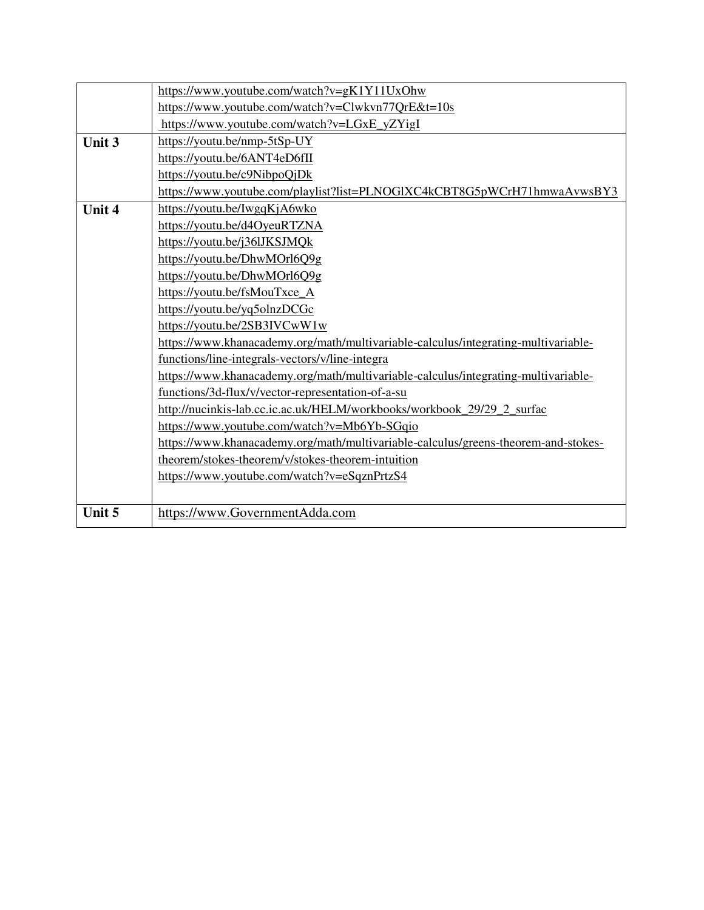|        | https://www.youtube.com/watch?v=gK1Y11UxOhw                                        |
|--------|------------------------------------------------------------------------------------|
|        | https://www.youtube.com/watch?v=Clwkvn77QrE&t=10s                                  |
|        | https://www.youtube.com/watch?v=LGxE yZYigI                                        |
| Unit 3 | https://youtu.be/nmp-5tSp-UY                                                       |
|        | https://youtu.be/6ANT4eD6fII                                                       |
|        | https://youtu.be/c9NibpoQjDk                                                       |
|        | https://www.youtube.com/playlist?list=PLNOGlXC4kCBT8G5pWCrH71hmwaAvwsBY3           |
| Unit 4 | https://youtu.be/IwgqKjA6wko                                                       |
|        | https://youtu.be/d4OyeuRTZNA                                                       |
|        | https://youtu.be/j36lJKSJMQk                                                       |
|        | https://youtu.be/DhwMOrl6Q9g                                                       |
|        | https://youtu.be/DhwMOrl6Q9g                                                       |
|        | https://youtu.be/fsMouTxce_A                                                       |
|        | https://youtu.be/yq5olnzDCGc                                                       |
|        | https://youtu.be/2SB3IVCwW1w                                                       |
|        | https://www.khanacademy.org/math/multivariable-calculus/integrating-multivariable- |
|        | functions/line-integrals-vectors/v/line-integra                                    |
|        | https://www.khanacademy.org/math/multivariable-calculus/integrating-multivariable- |
|        | functions/3d-flux/v/vector-representation-of-a-su                                  |
|        | http://nucinkis-lab.cc.ic.ac.uk/HELM/workbooks/workbook 29/29 2 surfac             |
|        | https://www.youtube.com/watch?v=Mb6Yb-SGqio                                        |
|        | https://www.khanacademy.org/math/multivariable-calculus/greens-theorem-and-stokes- |
|        | theorem/stokes-theorem/v/stokes-theorem-intuition                                  |
|        | https://www.youtube.com/watch?v=eSqznPrtzS4                                        |
|        |                                                                                    |
| Unit 5 | https://www.GovernmentAdda.com                                                     |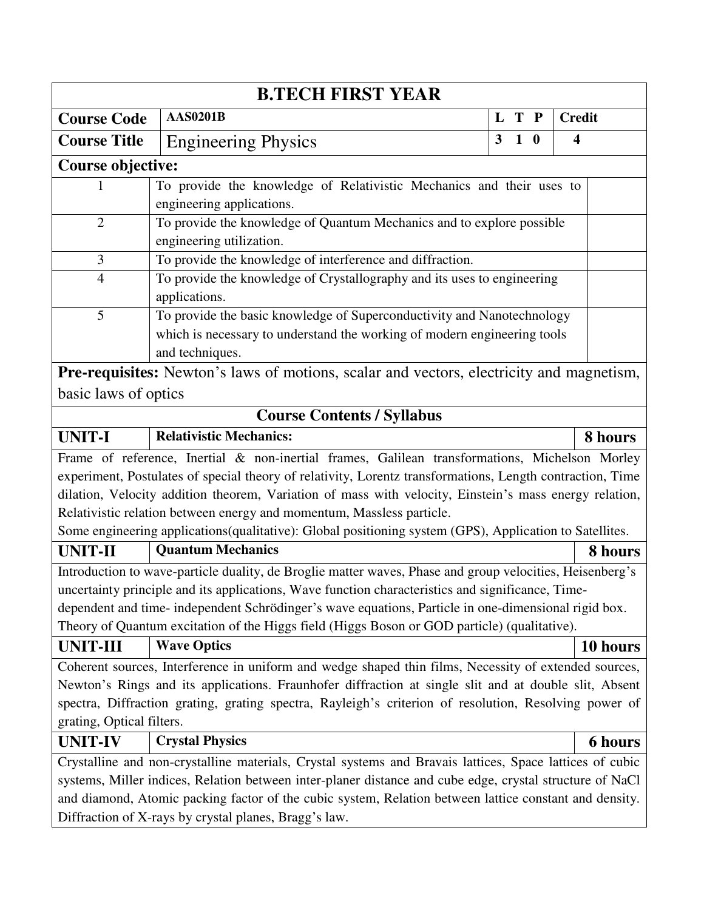| <b>B.TECH FIRST YEAR</b>                                                                |                                                                                                           |              |            |  |                         |  |  |  |  |  |
|-----------------------------------------------------------------------------------------|-----------------------------------------------------------------------------------------------------------|--------------|------------|--|-------------------------|--|--|--|--|--|
| <b>Course Code</b>                                                                      | <b>AAS0201B</b>                                                                                           |              | L T P      |  | <b>Credit</b>           |  |  |  |  |  |
| <b>Course Title</b>                                                                     | <b>Engineering Physics</b>                                                                                | $\mathbf{3}$ | $1\quad 0$ |  | $\overline{\mathbf{4}}$ |  |  |  |  |  |
| <b>Course objective:</b>                                                                |                                                                                                           |              |            |  |                         |  |  |  |  |  |
|                                                                                         | To provide the knowledge of Relativistic Mechanics and their uses to                                      |              |            |  |                         |  |  |  |  |  |
|                                                                                         | engineering applications.                                                                                 |              |            |  |                         |  |  |  |  |  |
| $\overline{2}$<br>To provide the knowledge of Quantum Mechanics and to explore possible |                                                                                                           |              |            |  |                         |  |  |  |  |  |
|                                                                                         | engineering utilization.                                                                                  |              |            |  |                         |  |  |  |  |  |
| 3                                                                                       | To provide the knowledge of interference and diffraction.                                                 |              |            |  |                         |  |  |  |  |  |
| $\overline{4}$                                                                          | To provide the knowledge of Crystallography and its uses to engineering                                   |              |            |  |                         |  |  |  |  |  |
|                                                                                         | applications.                                                                                             |              |            |  |                         |  |  |  |  |  |
| 5                                                                                       | To provide the basic knowledge of Superconductivity and Nanotechnology                                    |              |            |  |                         |  |  |  |  |  |
|                                                                                         | which is necessary to understand the working of modern engineering tools                                  |              |            |  |                         |  |  |  |  |  |
|                                                                                         | and techniques.                                                                                           |              |            |  |                         |  |  |  |  |  |
|                                                                                         | <b>Pre-requisites:</b> Newton's laws of motions, scalar and vectors, electricity and magnetism,           |              |            |  |                         |  |  |  |  |  |
| basic laws of optics                                                                    |                                                                                                           |              |            |  |                         |  |  |  |  |  |
| <b>Course Contents / Syllabus</b>                                                       |                                                                                                           |              |            |  |                         |  |  |  |  |  |
| <b>UNIT-I</b>                                                                           | <b>Relativistic Mechanics:</b>                                                                            |              |            |  | 8 hours                 |  |  |  |  |  |
|                                                                                         | Frame of reference, Inertial & non-inertial frames, Galilean transformations, Michelson Morley            |              |            |  |                         |  |  |  |  |  |
|                                                                                         | experiment, Postulates of special theory of relativity, Lorentz transformations, Length contraction, Time |              |            |  |                         |  |  |  |  |  |
|                                                                                         | dilation, Velocity addition theorem, Variation of mass with velocity, Einstein's mass energy relation,    |              |            |  |                         |  |  |  |  |  |
|                                                                                         | Relativistic relation between energy and momentum, Massless particle.                                     |              |            |  |                         |  |  |  |  |  |
|                                                                                         | Some engineering applications(qualitative): Global positioning system (GPS), Application to Satellites.   |              |            |  |                         |  |  |  |  |  |
| <b>UNIT-II</b>                                                                          | <b>Quantum Mechanics</b>                                                                                  |              |            |  | 8 hours                 |  |  |  |  |  |
|                                                                                         | Introduction to wave-particle duality, de Broglie matter waves, Phase and group velocities, Heisenberg's  |              |            |  |                         |  |  |  |  |  |
|                                                                                         | uncertainty principle and its applications, Wave function characteristics and significance, Time-         |              |            |  |                         |  |  |  |  |  |
|                                                                                         | dependent and time- independent Schrödinger's wave equations, Particle in one-dimensional rigid box.      |              |            |  |                         |  |  |  |  |  |
|                                                                                         | Theory of Quantum excitation of the Higgs field (Higgs Boson or GOD particle) (qualitative).              |              |            |  |                         |  |  |  |  |  |
| <b>UNIT-III</b>                                                                         | <b>Wave Optics</b>                                                                                        |              |            |  | 10 hours                |  |  |  |  |  |
|                                                                                         | Coherent sources, Interference in uniform and wedge shaped thin films, Necessity of extended sources,     |              |            |  |                         |  |  |  |  |  |
|                                                                                         | Newton's Rings and its applications. Fraunhofer diffraction at single slit and at double slit, Absent     |              |            |  |                         |  |  |  |  |  |
|                                                                                         | spectra, Diffraction grating, grating spectra, Rayleigh's criterion of resolution, Resolving power of     |              |            |  |                         |  |  |  |  |  |
| grating, Optical filters.                                                               |                                                                                                           |              |            |  |                         |  |  |  |  |  |
| <b>UNIT-IV</b>                                                                          | <b>Crystal Physics</b>                                                                                    |              |            |  | <b>6 hours</b>          |  |  |  |  |  |
|                                                                                         | Crystalline and non-crystalline materials, Crystal systems and Bravais lattices, Space lattices of cubic  |              |            |  |                         |  |  |  |  |  |
|                                                                                         | systems, Miller indices, Relation between inter-planer distance and cube edge, crystal structure of NaCl  |              |            |  |                         |  |  |  |  |  |
|                                                                                         | and diamond, Atomic packing factor of the cubic system, Relation between lattice constant and density.    |              |            |  |                         |  |  |  |  |  |
|                                                                                         | Diffraction of X-rays by crystal planes, Bragg's law.                                                     |              |            |  |                         |  |  |  |  |  |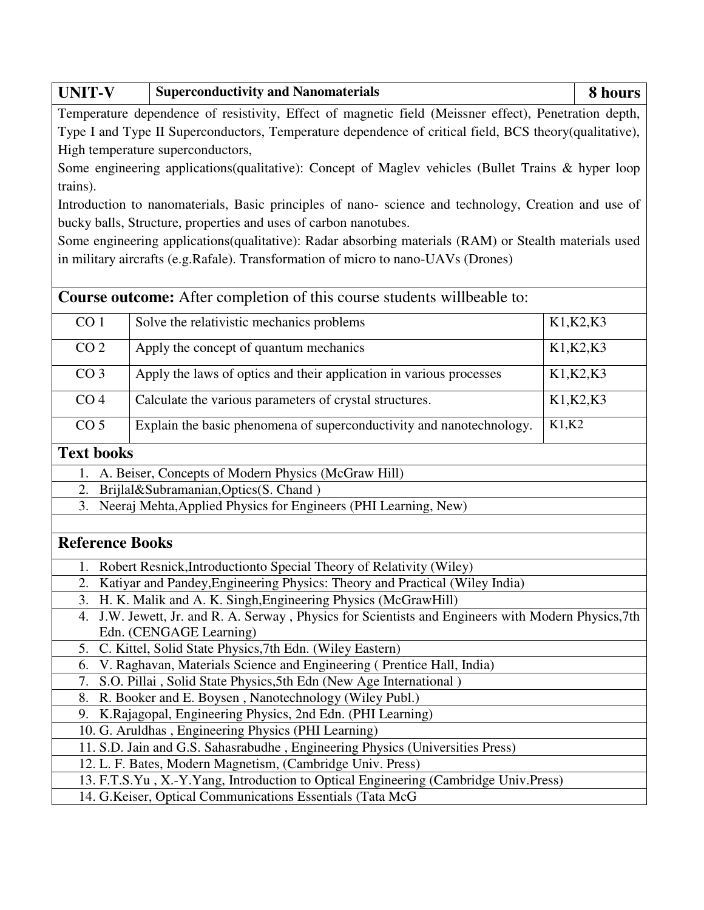| <b>Superconductivity and Nanomaterials</b>                                                             | 8 hours                                                                                                                                                                                                                                                                                                                                                                                                                                                                                                                                                                                                                                                                                                                                                                                                                                                                                                                                                                                                                                                                     |  |  |  |  |  |  |  |  |
|--------------------------------------------------------------------------------------------------------|-----------------------------------------------------------------------------------------------------------------------------------------------------------------------------------------------------------------------------------------------------------------------------------------------------------------------------------------------------------------------------------------------------------------------------------------------------------------------------------------------------------------------------------------------------------------------------------------------------------------------------------------------------------------------------------------------------------------------------------------------------------------------------------------------------------------------------------------------------------------------------------------------------------------------------------------------------------------------------------------------------------------------------------------------------------------------------|--|--|--|--|--|--|--|--|
| Temperature dependence of resistivity, Effect of magnetic field (Meissner effect), Penetration depth,  |                                                                                                                                                                                                                                                                                                                                                                                                                                                                                                                                                                                                                                                                                                                                                                                                                                                                                                                                                                                                                                                                             |  |  |  |  |  |  |  |  |
| Type I and Type II Superconductors, Temperature dependence of critical field, BCS theory(qualitative), |                                                                                                                                                                                                                                                                                                                                                                                                                                                                                                                                                                                                                                                                                                                                                                                                                                                                                                                                                                                                                                                                             |  |  |  |  |  |  |  |  |
| High temperature superconductors,                                                                      |                                                                                                                                                                                                                                                                                                                                                                                                                                                                                                                                                                                                                                                                                                                                                                                                                                                                                                                                                                                                                                                                             |  |  |  |  |  |  |  |  |
| Some engineering applications (qualitative): Concept of Maglev vehicles (Bullet Trains & hyper loop    |                                                                                                                                                                                                                                                                                                                                                                                                                                                                                                                                                                                                                                                                                                                                                                                                                                                                                                                                                                                                                                                                             |  |  |  |  |  |  |  |  |
| trains).                                                                                               |                                                                                                                                                                                                                                                                                                                                                                                                                                                                                                                                                                                                                                                                                                                                                                                                                                                                                                                                                                                                                                                                             |  |  |  |  |  |  |  |  |
| Introduction to nanomaterials, Basic principles of nano-science and technology, Creation and use of    |                                                                                                                                                                                                                                                                                                                                                                                                                                                                                                                                                                                                                                                                                                                                                                                                                                                                                                                                                                                                                                                                             |  |  |  |  |  |  |  |  |
|                                                                                                        |                                                                                                                                                                                                                                                                                                                                                                                                                                                                                                                                                                                                                                                                                                                                                                                                                                                                                                                                                                                                                                                                             |  |  |  |  |  |  |  |  |
|                                                                                                        |                                                                                                                                                                                                                                                                                                                                                                                                                                                                                                                                                                                                                                                                                                                                                                                                                                                                                                                                                                                                                                                                             |  |  |  |  |  |  |  |  |
|                                                                                                        |                                                                                                                                                                                                                                                                                                                                                                                                                                                                                                                                                                                                                                                                                                                                                                                                                                                                                                                                                                                                                                                                             |  |  |  |  |  |  |  |  |
|                                                                                                        |                                                                                                                                                                                                                                                                                                                                                                                                                                                                                                                                                                                                                                                                                                                                                                                                                                                                                                                                                                                                                                                                             |  |  |  |  |  |  |  |  |
| <b>Course outcome:</b> After completion of this course students willbeable to:                         |                                                                                                                                                                                                                                                                                                                                                                                                                                                                                                                                                                                                                                                                                                                                                                                                                                                                                                                                                                                                                                                                             |  |  |  |  |  |  |  |  |
| Solve the relativistic mechanics problems                                                              | K1, K2, K3                                                                                                                                                                                                                                                                                                                                                                                                                                                                                                                                                                                                                                                                                                                                                                                                                                                                                                                                                                                                                                                                  |  |  |  |  |  |  |  |  |
|                                                                                                        | K1, K2, K3                                                                                                                                                                                                                                                                                                                                                                                                                                                                                                                                                                                                                                                                                                                                                                                                                                                                                                                                                                                                                                                                  |  |  |  |  |  |  |  |  |
|                                                                                                        |                                                                                                                                                                                                                                                                                                                                                                                                                                                                                                                                                                                                                                                                                                                                                                                                                                                                                                                                                                                                                                                                             |  |  |  |  |  |  |  |  |
|                                                                                                        | K1, K2, K3                                                                                                                                                                                                                                                                                                                                                                                                                                                                                                                                                                                                                                                                                                                                                                                                                                                                                                                                                                                                                                                                  |  |  |  |  |  |  |  |  |
| Calculate the various parameters of crystal structures.                                                | K1, K2, K3                                                                                                                                                                                                                                                                                                                                                                                                                                                                                                                                                                                                                                                                                                                                                                                                                                                                                                                                                                                                                                                                  |  |  |  |  |  |  |  |  |
| Explain the basic phenomena of superconductivity and nanotechnology.                                   | K1,K2                                                                                                                                                                                                                                                                                                                                                                                                                                                                                                                                                                                                                                                                                                                                                                                                                                                                                                                                                                                                                                                                       |  |  |  |  |  |  |  |  |
|                                                                                                        |                                                                                                                                                                                                                                                                                                                                                                                                                                                                                                                                                                                                                                                                                                                                                                                                                                                                                                                                                                                                                                                                             |  |  |  |  |  |  |  |  |
| A. Beiser, Concepts of Modern Physics (McGraw Hill)                                                    |                                                                                                                                                                                                                                                                                                                                                                                                                                                                                                                                                                                                                                                                                                                                                                                                                                                                                                                                                                                                                                                                             |  |  |  |  |  |  |  |  |
| Brijlal&Subramanian,Optics(S. Chand)                                                                   |                                                                                                                                                                                                                                                                                                                                                                                                                                                                                                                                                                                                                                                                                                                                                                                                                                                                                                                                                                                                                                                                             |  |  |  |  |  |  |  |  |
| 3. Neeraj Mehta, Applied Physics for Engineers (PHI Learning, New)                                     |                                                                                                                                                                                                                                                                                                                                                                                                                                                                                                                                                                                                                                                                                                                                                                                                                                                                                                                                                                                                                                                                             |  |  |  |  |  |  |  |  |
|                                                                                                        |                                                                                                                                                                                                                                                                                                                                                                                                                                                                                                                                                                                                                                                                                                                                                                                                                                                                                                                                                                                                                                                                             |  |  |  |  |  |  |  |  |
| <b>Reference Books</b>                                                                                 |                                                                                                                                                                                                                                                                                                                                                                                                                                                                                                                                                                                                                                                                                                                                                                                                                                                                                                                                                                                                                                                                             |  |  |  |  |  |  |  |  |
| Robert Resnick, Introduction to Special Theory of Relativity (Wiley)                                   |                                                                                                                                                                                                                                                                                                                                                                                                                                                                                                                                                                                                                                                                                                                                                                                                                                                                                                                                                                                                                                                                             |  |  |  |  |  |  |  |  |
| Katiyar and Pandey, Engineering Physics: Theory and Practical (Wiley India)                            |                                                                                                                                                                                                                                                                                                                                                                                                                                                                                                                                                                                                                                                                                                                                                                                                                                                                                                                                                                                                                                                                             |  |  |  |  |  |  |  |  |
| H. K. Malik and A. K. Singh, Engineering Physics (McGrawHill)                                          |                                                                                                                                                                                                                                                                                                                                                                                                                                                                                                                                                                                                                                                                                                                                                                                                                                                                                                                                                                                                                                                                             |  |  |  |  |  |  |  |  |
| J.W. Jewett, Jr. and R. A. Serway, Physics for Scientists and Engineers with Modern Physics, 7th       |                                                                                                                                                                                                                                                                                                                                                                                                                                                                                                                                                                                                                                                                                                                                                                                                                                                                                                                                                                                                                                                                             |  |  |  |  |  |  |  |  |
| Edn. (CENGAGE Learning)                                                                                |                                                                                                                                                                                                                                                                                                                                                                                                                                                                                                                                                                                                                                                                                                                                                                                                                                                                                                                                                                                                                                                                             |  |  |  |  |  |  |  |  |
|                                                                                                        |                                                                                                                                                                                                                                                                                                                                                                                                                                                                                                                                                                                                                                                                                                                                                                                                                                                                                                                                                                                                                                                                             |  |  |  |  |  |  |  |  |
|                                                                                                        |                                                                                                                                                                                                                                                                                                                                                                                                                                                                                                                                                                                                                                                                                                                                                                                                                                                                                                                                                                                                                                                                             |  |  |  |  |  |  |  |  |
|                                                                                                        |                                                                                                                                                                                                                                                                                                                                                                                                                                                                                                                                                                                                                                                                                                                                                                                                                                                                                                                                                                                                                                                                             |  |  |  |  |  |  |  |  |
|                                                                                                        |                                                                                                                                                                                                                                                                                                                                                                                                                                                                                                                                                                                                                                                                                                                                                                                                                                                                                                                                                                                                                                                                             |  |  |  |  |  |  |  |  |
| 9.                                                                                                     |                                                                                                                                                                                                                                                                                                                                                                                                                                                                                                                                                                                                                                                                                                                                                                                                                                                                                                                                                                                                                                                                             |  |  |  |  |  |  |  |  |
|                                                                                                        |                                                                                                                                                                                                                                                                                                                                                                                                                                                                                                                                                                                                                                                                                                                                                                                                                                                                                                                                                                                                                                                                             |  |  |  |  |  |  |  |  |
|                                                                                                        |                                                                                                                                                                                                                                                                                                                                                                                                                                                                                                                                                                                                                                                                                                                                                                                                                                                                                                                                                                                                                                                                             |  |  |  |  |  |  |  |  |
|                                                                                                        |                                                                                                                                                                                                                                                                                                                                                                                                                                                                                                                                                                                                                                                                                                                                                                                                                                                                                                                                                                                                                                                                             |  |  |  |  |  |  |  |  |
|                                                                                                        |                                                                                                                                                                                                                                                                                                                                                                                                                                                                                                                                                                                                                                                                                                                                                                                                                                                                                                                                                                                                                                                                             |  |  |  |  |  |  |  |  |
|                                                                                                        | bucky balls, Structure, properties and uses of carbon nanotubes.<br>Some engineering applications(qualitative): Radar absorbing materials (RAM) or Stealth materials used<br>in military aircrafts (e.g.Rafale). Transformation of micro to nano-UAVs (Drones)<br>Apply the concept of quantum mechanics<br>Apply the laws of optics and their application in various processes<br>C. Kittel, Solid State Physics, 7th Edn. (Wiley Eastern)<br>V. Raghavan, Materials Science and Engineering (Prentice Hall, India)<br>S.O. Pillai, Solid State Physics, 5th Edn (New Age International)<br>R. Booker and E. Boysen, Nanotechnology (Wiley Publ.)<br>K.Rajagopal, Engineering Physics, 2nd Edn. (PHI Learning)<br>10. G. Aruldhas, Engineering Physics (PHI Learning)<br>11. S.D. Jain and G.S. Sahasrabudhe, Engineering Physics (Universities Press)<br>12. L. F. Bates, Modern Magnetism, (Cambridge Univ. Press)<br>13. F.T.S.Yu, X.-Y.Yang, Introduction to Optical Engineering (Cambridge Univ.Press)<br>14. G. Keiser, Optical Communications Essentials (Tata McG) |  |  |  |  |  |  |  |  |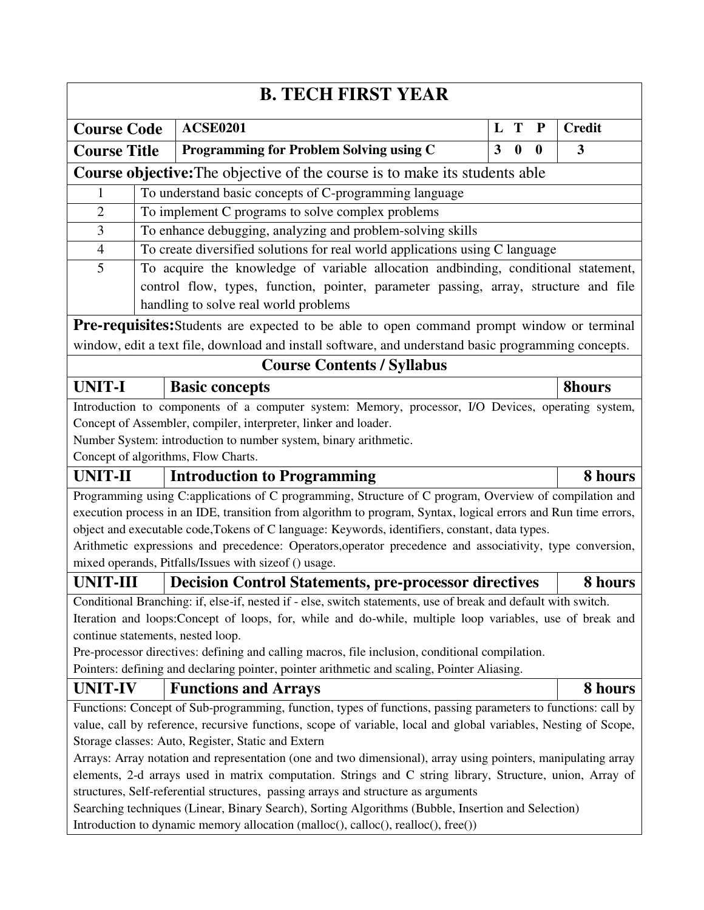| <b>B. TECH FIRST YEAR</b>                                                                                                                                                                       |                                                                              |                                                                                                                |   |                  |              |               |  |  |  |  |  |
|-------------------------------------------------------------------------------------------------------------------------------------------------------------------------------------------------|------------------------------------------------------------------------------|----------------------------------------------------------------------------------------------------------------|---|------------------|--------------|---------------|--|--|--|--|--|
| <b>Course Code</b>                                                                                                                                                                              |                                                                              | <b>ACSE0201</b>                                                                                                | L | T                | ${\bf P}$    | <b>Credit</b> |  |  |  |  |  |
| <b>Course Title</b>                                                                                                                                                                             |                                                                              | Programming for Problem Solving using C                                                                        | 3 | $\boldsymbol{0}$ | $\mathbf{0}$ | 3             |  |  |  |  |  |
| Course objective: The objective of the course is to make its students able                                                                                                                      |                                                                              |                                                                                                                |   |                  |              |               |  |  |  |  |  |
| To understand basic concepts of C-programming language<br>1                                                                                                                                     |                                                                              |                                                                                                                |   |                  |              |               |  |  |  |  |  |
| $\overline{2}$                                                                                                                                                                                  | To implement C programs to solve complex problems                            |                                                                                                                |   |                  |              |               |  |  |  |  |  |
| 3                                                                                                                                                                                               | To enhance debugging, analyzing and problem-solving skills                   |                                                                                                                |   |                  |              |               |  |  |  |  |  |
| $\overline{4}$                                                                                                                                                                                  | To create diversified solutions for real world applications using C language |                                                                                                                |   |                  |              |               |  |  |  |  |  |
| 5                                                                                                                                                                                               |                                                                              | To acquire the knowledge of variable allocation and binding, conditional statement,                            |   |                  |              |               |  |  |  |  |  |
|                                                                                                                                                                                                 |                                                                              | control flow, types, function, pointer, parameter passing, array, structure and file                           |   |                  |              |               |  |  |  |  |  |
|                                                                                                                                                                                                 |                                                                              | handling to solve real world problems                                                                          |   |                  |              |               |  |  |  |  |  |
|                                                                                                                                                                                                 |                                                                              | <b>Pre-requisites:</b> Students are expected to be able to open command prompt window or terminal              |   |                  |              |               |  |  |  |  |  |
|                                                                                                                                                                                                 |                                                                              | window, edit a text file, download and install software, and understand basic programming concepts.            |   |                  |              |               |  |  |  |  |  |
| <b>Course Contents / Syllabus</b>                                                                                                                                                               |                                                                              |                                                                                                                |   |                  |              |               |  |  |  |  |  |
| <b>UNIT-I</b>                                                                                                                                                                                   |                                                                              | <b>Basic concepts</b>                                                                                          |   |                  |              | <b>8hours</b> |  |  |  |  |  |
|                                                                                                                                                                                                 |                                                                              | Introduction to components of a computer system: Memory, processor, I/O Devices, operating system,             |   |                  |              |               |  |  |  |  |  |
|                                                                                                                                                                                                 |                                                                              | Concept of Assembler, compiler, interpreter, linker and loader.                                                |   |                  |              |               |  |  |  |  |  |
|                                                                                                                                                                                                 |                                                                              | Number System: introduction to number system, binary arithmetic.                                               |   |                  |              |               |  |  |  |  |  |
|                                                                                                                                                                                                 |                                                                              | Concept of algorithms, Flow Charts.                                                                            |   |                  |              |               |  |  |  |  |  |
| <b>UNIT-II</b>                                                                                                                                                                                  |                                                                              | <b>Introduction to Programming</b>                                                                             |   |                  |              | 8 hours       |  |  |  |  |  |
|                                                                                                                                                                                                 |                                                                              | Programming using C:applications of C programming, Structure of C program, Overview of compilation and         |   |                  |              |               |  |  |  |  |  |
|                                                                                                                                                                                                 |                                                                              | execution process in an IDE, transition from algorithm to program, Syntax, logical errors and Run time errors, |   |                  |              |               |  |  |  |  |  |
|                                                                                                                                                                                                 |                                                                              | object and executable code, Tokens of C language: Keywords, identifiers, constant, data types.                 |   |                  |              |               |  |  |  |  |  |
|                                                                                                                                                                                                 |                                                                              | Arithmetic expressions and precedence: Operators, operator precedence and associativity, type conversion,      |   |                  |              |               |  |  |  |  |  |
|                                                                                                                                                                                                 |                                                                              | mixed operands, Pitfalls/Issues with size of () usage.                                                         |   |                  |              |               |  |  |  |  |  |
| <b>UNIT-III</b>                                                                                                                                                                                 |                                                                              | <b>Decision Control Statements, pre-processor directives</b>                                                   |   |                  |              | 8 hours       |  |  |  |  |  |
|                                                                                                                                                                                                 |                                                                              | Conditional Branching: if, else-if, nested if - else, switch statements, use of break and default with switch. |   |                  |              |               |  |  |  |  |  |
|                                                                                                                                                                                                 |                                                                              | Iteration and loops:Concept of loops, for, while and do-while, multiple loop variables, use of break and       |   |                  |              |               |  |  |  |  |  |
|                                                                                                                                                                                                 |                                                                              | continue statements, nested loop.                                                                              |   |                  |              |               |  |  |  |  |  |
|                                                                                                                                                                                                 |                                                                              | Pre-processor directives: defining and calling macros, file inclusion, conditional compilation.                |   |                  |              |               |  |  |  |  |  |
| <b>UNIT-IV</b>                                                                                                                                                                                  |                                                                              | Pointers: defining and declaring pointer, pointer arithmetic and scaling, Pointer Aliasing.                    |   |                  |              |               |  |  |  |  |  |
|                                                                                                                                                                                                 |                                                                              | <b>Functions and Arrays</b>                                                                                    |   |                  |              | 8 hours       |  |  |  |  |  |
|                                                                                                                                                                                                 |                                                                              | Functions: Concept of Sub-programming, function, types of functions, passing parameters to functions: call by  |   |                  |              |               |  |  |  |  |  |
| value, call by reference, recursive functions, scope of variable, local and global variables, Nesting of Scope,<br>Storage classes: Auto, Register, Static and Extern                           |                                                                              |                                                                                                                |   |                  |              |               |  |  |  |  |  |
| Arrays: Array notation and representation (one and two dimensional), array using pointers, manipulating array                                                                                   |                                                                              |                                                                                                                |   |                  |              |               |  |  |  |  |  |
|                                                                                                                                                                                                 |                                                                              |                                                                                                                |   |                  |              |               |  |  |  |  |  |
| elements, 2-d arrays used in matrix computation. Strings and C string library, Structure, union, Array of<br>structures, Self-referential structures, passing arrays and structure as arguments |                                                                              |                                                                                                                |   |                  |              |               |  |  |  |  |  |
| Searching techniques (Linear, Binary Search), Sorting Algorithms (Bubble, Insertion and Selection)                                                                                              |                                                                              |                                                                                                                |   |                  |              |               |  |  |  |  |  |
|                                                                                                                                                                                                 |                                                                              |                                                                                                                |   |                  |              |               |  |  |  |  |  |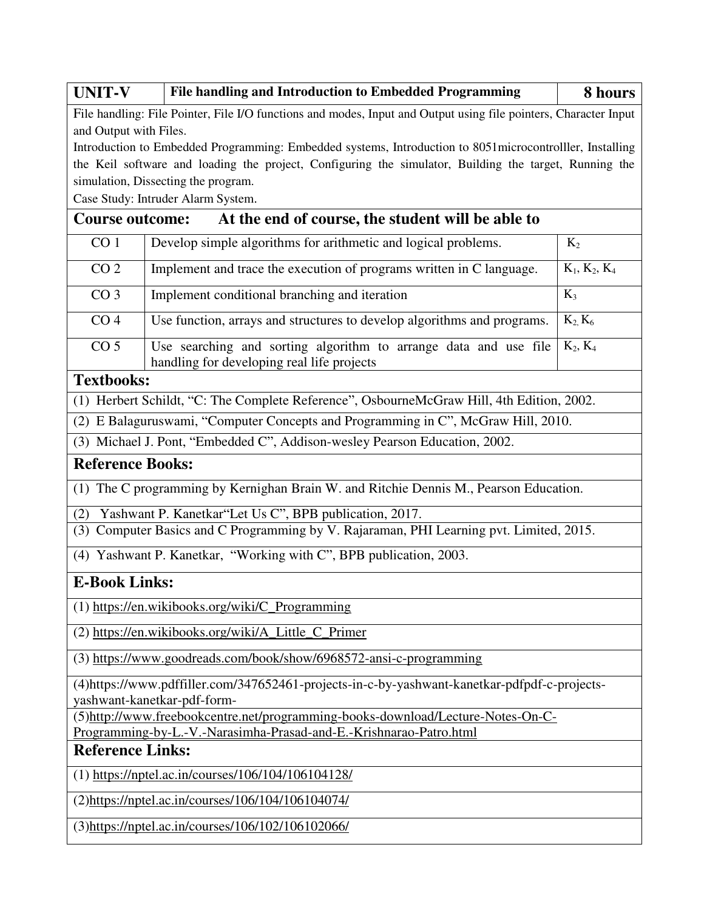| <b>UNIT-V</b>                                                                                                     | File handling and Introduction to Embedded Programming                                                                       | 8 hours         |  |  |  |  |  |  |  |
|-------------------------------------------------------------------------------------------------------------------|------------------------------------------------------------------------------------------------------------------------------|-----------------|--|--|--|--|--|--|--|
| File handling: File Pointer, File I/O functions and modes, Input and Output using file pointers, Character Input  |                                                                                                                              |                 |  |  |  |  |  |  |  |
| and Output with Files.                                                                                            |                                                                                                                              |                 |  |  |  |  |  |  |  |
| Introduction to Embedded Programming: Embedded systems, Introduction to 8051 microcontroller, Installing          |                                                                                                                              |                 |  |  |  |  |  |  |  |
|                                                                                                                   | the Keil software and loading the project, Configuring the simulator, Building the target, Running the                       |                 |  |  |  |  |  |  |  |
| simulation, Dissecting the program.                                                                               |                                                                                                                              |                 |  |  |  |  |  |  |  |
| Case Study: Intruder Alarm System.<br>At the end of course, the student will be able to<br><b>Course outcome:</b> |                                                                                                                              |                 |  |  |  |  |  |  |  |
|                                                                                                                   |                                                                                                                              |                 |  |  |  |  |  |  |  |
| CO <sub>1</sub>                                                                                                   | Develop simple algorithms for arithmetic and logical problems.                                                               | $K_2$           |  |  |  |  |  |  |  |
| CO <sub>2</sub>                                                                                                   | Implement and trace the execution of programs written in C language.                                                         | $K_1, K_2, K_4$ |  |  |  |  |  |  |  |
| CO <sub>3</sub>                                                                                                   | Implement conditional branching and iteration                                                                                | $K_3$           |  |  |  |  |  |  |  |
| CO <sub>4</sub>                                                                                                   | Use function, arrays and structures to develop algorithms and programs.                                                      | $K_2$ , $K_6$   |  |  |  |  |  |  |  |
| CO <sub>5</sub>                                                                                                   | Use searching and sorting algorithm to arrange data and use file<br>handling for developing real life projects               | $K_2, K_4$      |  |  |  |  |  |  |  |
| <b>Textbooks:</b>                                                                                                 |                                                                                                                              |                 |  |  |  |  |  |  |  |
|                                                                                                                   | (1) Herbert Schildt, "C: The Complete Reference", OsbourneMcGraw Hill, 4th Edition, 2002.                                    |                 |  |  |  |  |  |  |  |
|                                                                                                                   | (2) E Balaguruswami, "Computer Concepts and Programming in C", McGraw Hill, 2010.                                            |                 |  |  |  |  |  |  |  |
|                                                                                                                   | (3) Michael J. Pont, "Embedded C", Addison-wesley Pearson Education, 2002.                                                   |                 |  |  |  |  |  |  |  |
| <b>Reference Books:</b>                                                                                           |                                                                                                                              |                 |  |  |  |  |  |  |  |
|                                                                                                                   | (1) The C programming by Kernighan Brain W. and Ritchie Dennis M., Pearson Education.                                        |                 |  |  |  |  |  |  |  |
| (2)                                                                                                               | Yashwant P. Kanetkar"Let Us C", BPB publication, 2017.                                                                       |                 |  |  |  |  |  |  |  |
|                                                                                                                   | (3) Computer Basics and C Programming by V. Rajaraman, PHI Learning pvt. Limited, 2015.                                      |                 |  |  |  |  |  |  |  |
|                                                                                                                   | (4) Yashwant P. Kanetkar, "Working with C", BPB publication, 2003.                                                           |                 |  |  |  |  |  |  |  |
| <b>E-Book Links:</b>                                                                                              |                                                                                                                              |                 |  |  |  |  |  |  |  |
|                                                                                                                   | (1) https://en.wikibooks.org/wiki/C_Programming                                                                              |                 |  |  |  |  |  |  |  |
|                                                                                                                   | (2) https://en.wikibooks.org/wiki/A_Little_C_Primer                                                                          |                 |  |  |  |  |  |  |  |
|                                                                                                                   | (3) https://www.goodreads.com/book/show/6968572-ansi-c-programming                                                           |                 |  |  |  |  |  |  |  |
|                                                                                                                   | (4) https://www.pdffiller.com/347652461-projects-in-c-by-yashwant-kanetkar-pdfpdf-c-projects-<br>yashwant-kanetkar-pdf-form- |                 |  |  |  |  |  |  |  |
|                                                                                                                   | (5)http://www.freebookcentre.net/programming-books-download/Lecture-Notes-On-C-                                              |                 |  |  |  |  |  |  |  |
|                                                                                                                   | Programming-by-L.-V.-Narasimha-Prasad-and-E.-Krishnarao-Patro.html                                                           |                 |  |  |  |  |  |  |  |
| <b>Reference Links:</b>                                                                                           |                                                                                                                              |                 |  |  |  |  |  |  |  |
|                                                                                                                   | $(1)$ https://nptel.ac.in/courses/106/104/106104128/                                                                         |                 |  |  |  |  |  |  |  |
|                                                                                                                   | (2)https://nptel.ac.in/courses/106/104/106104074/                                                                            |                 |  |  |  |  |  |  |  |
|                                                                                                                   | (3)https://nptel.ac.in/courses/106/102/106102066/                                                                            |                 |  |  |  |  |  |  |  |
|                                                                                                                   |                                                                                                                              |                 |  |  |  |  |  |  |  |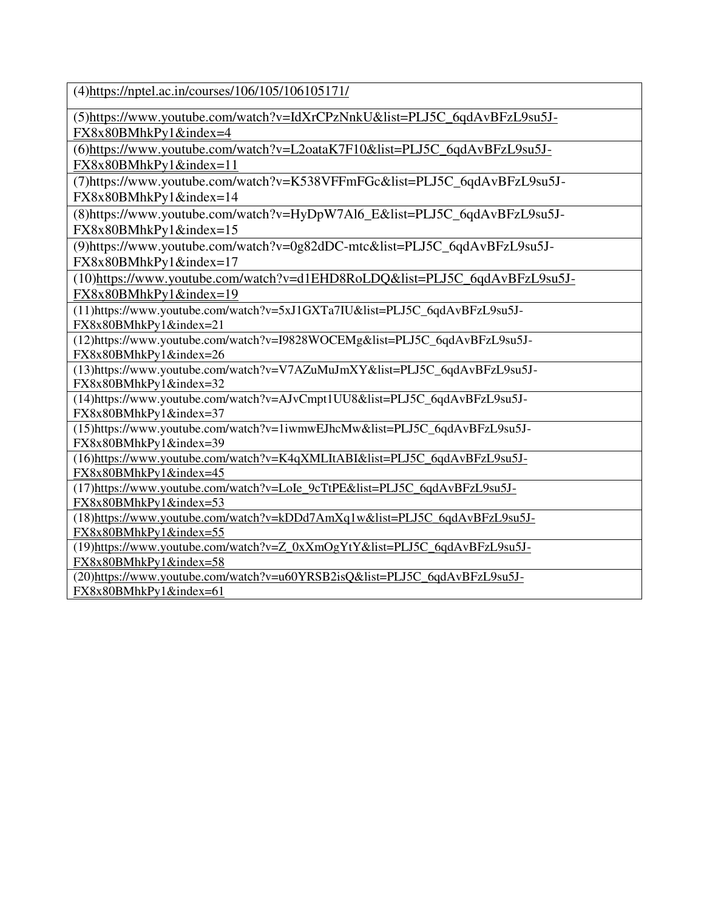(4[\)https://nptel.ac.in/courses/106/105/106105171/](https://nptel.ac.in/courses/106/105/106105171/) 

(5[\)https://www.youtube.com/watch?v=IdXrCPzNnkU&list=PLJ5C\\_6qdAvBFzL9su5J-](https://www.youtube.com/watch?v=IdXrCPzNnkU&list=PLJ5C_6qdAvBFzL9su5J-FX8x80BMhkPy1&index=4)

[FX8x80BMhkPy1&index=4](https://www.youtube.com/watch?v=IdXrCPzNnkU&list=PLJ5C_6qdAvBFzL9su5J-FX8x80BMhkPy1&index=4) 

(6[\)https://www.youtube.com/watch?v=L2oataK7F10&list=PLJ5C\\_6qdAvBFzL9su5J-](https://www.youtube.com/watch?v=L2oataK7F10&list=PLJ5C_6qdAvBFzL9su5J-FX8x80BMhkPy1&index=11)[FX8x80BMhkPy1&index=11](https://www.youtube.com/watch?v=L2oataK7F10&list=PLJ5C_6qdAvBFzL9su5J-FX8x80BMhkPy1&index=11) 

(7)https://www.youtube.com/watch?v=K538VFFmFGc&list=PLJ5C\_6qdAvBFzL9su5J-FX8x80BMhkPy1&index=14

(8)https://www.youtube.com/watch?v=HyDpW7Al6\_E&list=PLJ5C\_6qdAvBFzL9su5J-FX8x80BMhkPy1&index=15

(9)https://www.youtube.com/watch?v=0g82dDC-mtc&list=PLJ5C\_6qdAvBFzL9su5J-FX8x80BMhkPy1&index=17

(10[\)https://www.youtube.com/watch?v=d1EHD8RoLDQ&list=PLJ5C\\_6qdAvBFzL9su5J-](https://www.youtube.com/watch?v=d1EHD8RoLDQ&list=PLJ5C_6qdAvBFzL9su5J-FX8x80BMhkPy1&index=19)

[FX8x80BMhkPy1&index=19](https://www.youtube.com/watch?v=d1EHD8RoLDQ&list=PLJ5C_6qdAvBFzL9su5J-FX8x80BMhkPy1&index=19) 

(11)https://www.youtube.com/watch?v=5xJ1GXTa7IU&list=PLJ5C\_6qdAvBFzL9su5J-FX8x80BMhkPy1&index=21

(12)https://www.youtube.com/watch?v=I9828WOCEMg&list=PLJ5C\_6qdAvBFzL9su5J-FX8x80BMhkPy1&index=26

(13)https://www.youtube.com/watch?v=V7AZuMuJmXY&list=PLJ5C\_6qdAvBFzL9su5J-FX8x80BMhkPy1&index=32

(14)https://www.youtube.com/watch?v=AJvCmpt1UU8&list=PLJ5C\_6qdAvBFzL9su5J-FX8x80BMhkPy1&index=37

(15)https://www.youtube.com/watch?v=1iwmwEJhcMw&list=PLJ5C\_6qdAvBFzL9su5J-FX8x80BMhkPy1&index=39

(16[\)https://www.youtube.com/watch?v=K4qXMLItABI&list=PLJ5C\\_6qdAvBFzL9su5J-](https://www.youtube.com/watch?v=K4qXMLItABI&list=PLJ5C_6qdAvBFzL9su5J-FX8x80BMhkPy1&index=45)[FX8x80BMhkPy1&index=45](https://www.youtube.com/watch?v=K4qXMLItABI&list=PLJ5C_6qdAvBFzL9su5J-FX8x80BMhkPy1&index=45) 

(17[\)https://www.youtube.com/watch?v=LoIe\\_9cTtPE&list=PLJ5C\\_6qdAvBFzL9su5J-](https://www.youtube.com/watch?v=LoIe_9cTtPE&list=PLJ5C_6qdAvBFzL9su5J-FX8x80BMhkPy1&index=53)

[FX8x80BMhkPy1&index=53](https://www.youtube.com/watch?v=LoIe_9cTtPE&list=PLJ5C_6qdAvBFzL9su5J-FX8x80BMhkPy1&index=53) 

(18[\)https://www.youtube.com/watch?v=kDDd7AmXq1w&list=PLJ5C\\_6qdAvBFzL9su5J-](https://www.youtube.com/watch?v=kDDd7AmXq1w&list=PLJ5C_6qdAvBFzL9su5J-FX8x80BMhkPy1&index=55)[FX8x80BMhkPy1&index=55](https://www.youtube.com/watch?v=kDDd7AmXq1w&list=PLJ5C_6qdAvBFzL9su5J-FX8x80BMhkPy1&index=55) 

(19[\)https://www.youtube.com/watch?v=Z\\_0xXmOgYtY&list=PLJ5C\\_6qdAvBFzL9su5J-](https://www.youtube.com/watch?v=Z_0xXmOgYtY&list=PLJ5C_6qdAvBFzL9su5J-FX8x80BMhkPy1&index=58)[FX8x80BMhkPy1&index=58](https://www.youtube.com/watch?v=Z_0xXmOgYtY&list=PLJ5C_6qdAvBFzL9su5J-FX8x80BMhkPy1&index=58) 

(20[\)https://www.youtube.com/watch?v=u60YRSB2isQ&list=PLJ5C\\_6qdAvBFzL9su5J-](https://www.youtube.com/watch?v=u60YRSB2isQ&list=PLJ5C_6qdAvBFzL9su5J-FX8x80BMhkPy1&index=61)[FX8x80BMhkPy1&index=61](https://www.youtube.com/watch?v=u60YRSB2isQ&list=PLJ5C_6qdAvBFzL9su5J-FX8x80BMhkPy1&index=61)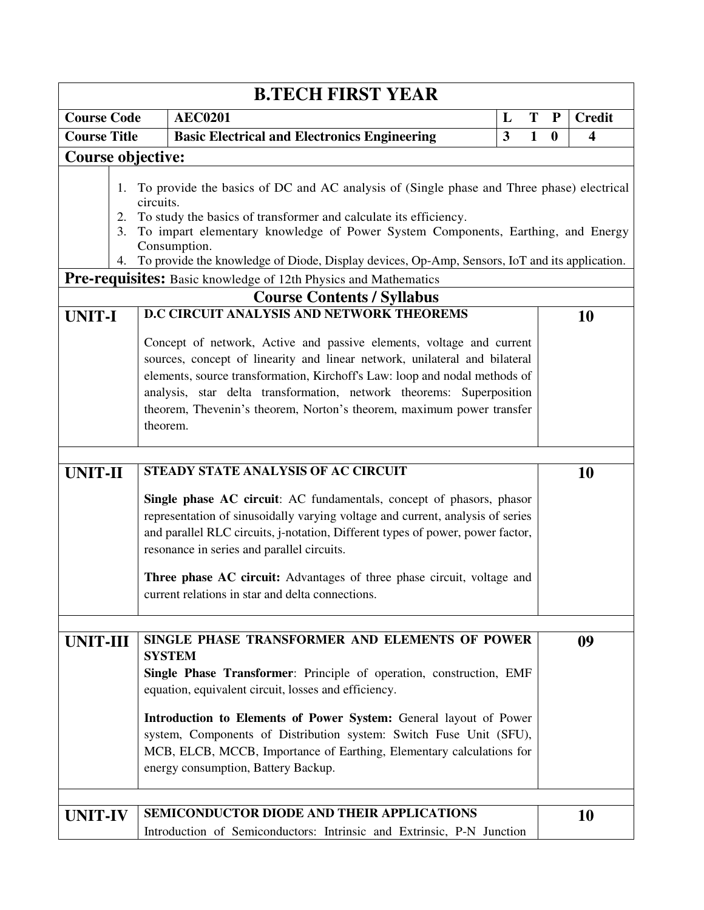|                     |                                                                                                                                                                                                                                                                                                                                                                                               | <b>B.TECH FIRST YEAR</b>                                                                                                                                                                                                                                                                                                                                                      |   |              |                  |                         |  |  |
|---------------------|-----------------------------------------------------------------------------------------------------------------------------------------------------------------------------------------------------------------------------------------------------------------------------------------------------------------------------------------------------------------------------------------------|-------------------------------------------------------------------------------------------------------------------------------------------------------------------------------------------------------------------------------------------------------------------------------------------------------------------------------------------------------------------------------|---|--------------|------------------|-------------------------|--|--|
| <b>Course Code</b>  |                                                                                                                                                                                                                                                                                                                                                                                               | <b>AEC0201</b>                                                                                                                                                                                                                                                                                                                                                                | L | T            | P                | <b>Credit</b>           |  |  |
| <b>Course Title</b> |                                                                                                                                                                                                                                                                                                                                                                                               | <b>Basic Electrical and Electronics Engineering</b>                                                                                                                                                                                                                                                                                                                           | 3 | $\mathbf{1}$ | $\boldsymbol{0}$ | $\overline{\mathbf{4}}$ |  |  |
|                     | <b>Course objective:</b>                                                                                                                                                                                                                                                                                                                                                                      |                                                                                                                                                                                                                                                                                                                                                                               |   |              |                  |                         |  |  |
|                     | 1.<br>2.<br>3.<br>4.                                                                                                                                                                                                                                                                                                                                                                          | To provide the basics of DC and AC analysis of (Single phase and Three phase) electrical<br>circuits.<br>To study the basics of transformer and calculate its efficiency.<br>To impart elementary knowledge of Power System Components, Earthing, and Energy<br>Consumption.<br>To provide the knowledge of Diode, Display devices, Op-Amp, Sensors, IoT and its application. |   |              |                  |                         |  |  |
|                     |                                                                                                                                                                                                                                                                                                                                                                                               | Pre-requisites: Basic knowledge of 12th Physics and Mathematics                                                                                                                                                                                                                                                                                                               |   |              |                  |                         |  |  |
|                     |                                                                                                                                                                                                                                                                                                                                                                                               | <b>Course Contents / Syllabus</b>                                                                                                                                                                                                                                                                                                                                             |   |              |                  |                         |  |  |
| <b>UNIT-I</b>       |                                                                                                                                                                                                                                                                                                                                                                                               | D.C CIRCUIT ANALYSIS AND NETWORK THEOREMS                                                                                                                                                                                                                                                                                                                                     |   |              |                  | 10                      |  |  |
|                     | Concept of network, Active and passive elements, voltage and current<br>sources, concept of linearity and linear network, unilateral and bilateral<br>elements, source transformation, Kirchoff's Law: loop and nodal methods of<br>analysis, star delta transformation, network theorems: Superposition<br>theorem, Thevenin's theorem, Norton's theorem, maximum power transfer<br>theorem. |                                                                                                                                                                                                                                                                                                                                                                               |   |              |                  |                         |  |  |
| <b>UNIT-II</b>      |                                                                                                                                                                                                                                                                                                                                                                                               | STEADY STATE ANALYSIS OF AC CIRCUIT                                                                                                                                                                                                                                                                                                                                           |   |              |                  | 10                      |  |  |
|                     |                                                                                                                                                                                                                                                                                                                                                                                               | Single phase AC circuit: AC fundamentals, concept of phasors, phasor<br>representation of sinusoidally varying voltage and current, analysis of series<br>and parallel RLC circuits, j-notation, Different types of power, power factor,<br>resonance in series and parallel circuits.                                                                                        |   |              |                  |                         |  |  |
|                     |                                                                                                                                                                                                                                                                                                                                                                                               | Three phase AC circuit: Advantages of three phase circuit, voltage and<br>current relations in star and delta connections.                                                                                                                                                                                                                                                    |   |              |                  |                         |  |  |
|                     | SINGLE PHASE TRANSFORMER AND ELEMENTS OF POWER<br><b>UNIT-III</b><br><b>SYSTEM</b><br>Single Phase Transformer: Principle of operation, construction, EMF<br>equation, equivalent circuit, losses and efficiency.<br>Introduction to Elements of Power System: General layout of Power                                                                                                        |                                                                                                                                                                                                                                                                                                                                                                               |   |              |                  |                         |  |  |
| <b>UNIT-IV</b>      |                                                                                                                                                                                                                                                                                                                                                                                               | system, Components of Distribution system: Switch Fuse Unit (SFU),<br>MCB, ELCB, MCCB, Importance of Earthing, Elementary calculations for<br>energy consumption, Battery Backup.<br>SEMICONDUCTOR DIODE AND THEIR APPLICATIONS<br>Introduction of Semiconductors: Intrinsic and Extrinsic, P-N Junction                                                                      |   |              |                  | 10                      |  |  |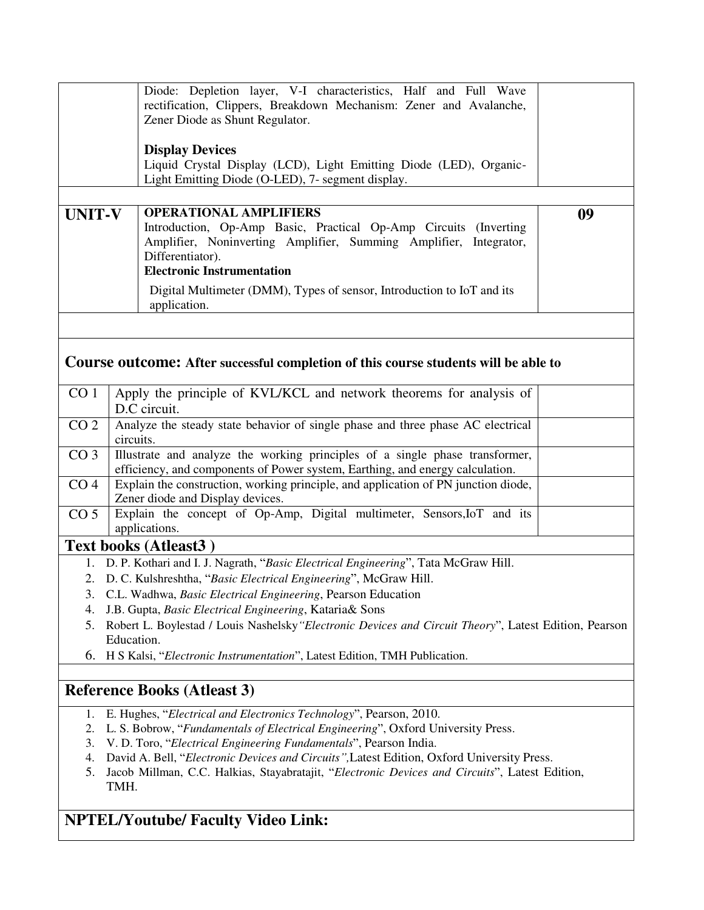|                 | Diode: Depletion layer, V-I characteristics, Half and Full Wave<br>rectification, Clippers, Breakdown Mechanism: Zener and Avalanche,<br>Zener Diode as Shunt Regulator.                                                        |    |  |  |  |  |
|-----------------|---------------------------------------------------------------------------------------------------------------------------------------------------------------------------------------------------------------------------------|----|--|--|--|--|
|                 | <b>Display Devices</b><br>Liquid Crystal Display (LCD), Light Emitting Diode (LED), Organic-                                                                                                                                    |    |  |  |  |  |
|                 | Light Emitting Diode (O-LED), 7- segment display.                                                                                                                                                                               |    |  |  |  |  |
| <b>UNIT-V</b>   | <b>OPERATIONAL AMPLIFIERS</b><br>Introduction, Op-Amp Basic, Practical Op-Amp Circuits (Inverting<br>Amplifier, Noninverting Amplifier, Summing Amplifier, Integrator,<br>Differentiator).<br><b>Electronic Instrumentation</b> | 09 |  |  |  |  |
|                 | Digital Multimeter (DMM), Types of sensor, Introduction to IoT and its<br>application.                                                                                                                                          |    |  |  |  |  |
|                 |                                                                                                                                                                                                                                 |    |  |  |  |  |
|                 | Course outcome: After successful completion of this course students will be able to                                                                                                                                             |    |  |  |  |  |
| CO <sub>1</sub> | Apply the principle of KVL/KCL and network theorems for analysis of<br>D.C circuit.                                                                                                                                             |    |  |  |  |  |
| CO <sub>2</sub> | Analyze the steady state behavior of single phase and three phase AC electrical<br>circuits.                                                                                                                                    |    |  |  |  |  |
| CO <sub>3</sub> | Illustrate and analyze the working principles of a single phase transformer,<br>efficiency, and components of Power system, Earthing, and energy calculation.                                                                   |    |  |  |  |  |
| CO <sub>4</sub> | Explain the construction, working principle, and application of PN junction diode,<br>Zener diode and Display devices.                                                                                                          |    |  |  |  |  |
| CO <sub>5</sub> | Explain the concept of Op-Amp, Digital multimeter, Sensors, IoT and its<br>applications.                                                                                                                                        |    |  |  |  |  |
|                 | <b>Text books (Atleast3)</b>                                                                                                                                                                                                    |    |  |  |  |  |

- 1. D. P. Kothari and I. J. Nagrath, "*Basic Electrical Engineering*", Tata McGraw Hill.
- 2. D. C. Kulshreshtha, "*Basic Electrical Engineering*", McGraw Hill.
- 3. C.L. Wadhwa, *Basic Electrical Engineering*, Pearson Education
- 4. J.B. Gupta, *Basic Electrical Engineering*, Kataria& Sons
- 5. Robert L. Boylestad / Louis Nashelsky*"Electronic Devices and Circuit Theory*", Latest Edition, Pearson Education.
- 6. H S Kalsi, "*Electronic Instrumentation*", Latest Edition, TMH Publication.

### **Reference Books (Atleast 3)**

- 1. E. Hughes, "*Electrical and Electronics Technology*", Pearson, 2010.
- 2. L. S. Bobrow, "*Fundamentals of Electrical Engineering*", Oxford University Press.
- 3. V. D. Toro, "*Electrical Engineering Fundamentals*", Pearson India.
- 4. David A. Bell, "*Electronic Devices and Circuits",*Latest Edition, Oxford University Press.
- 5. Jacob Millman, C.C. Halkias, Stayabratajit, "*Electronic Devices and Circuits*", Latest Edition, TMH.

# **NPTEL/Youtube/ Faculty Video Link:**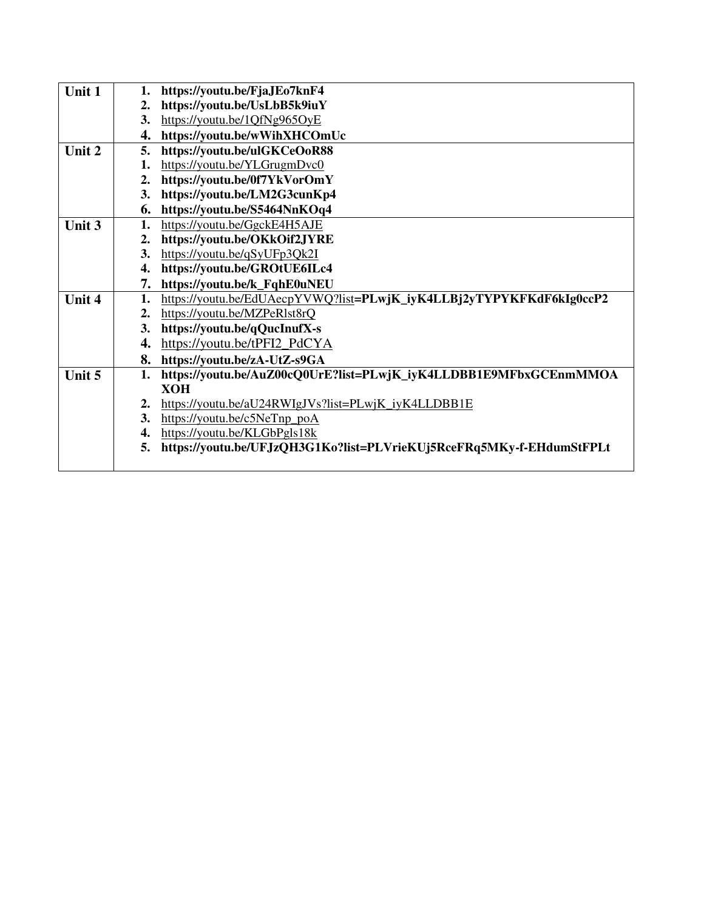| Unit 1 |    | https://youtu.be/FjaJEo7knF4                                         |
|--------|----|----------------------------------------------------------------------|
|        | 2. | https://youtu.be/UsLbB5k9iuY                                         |
|        |    | 3. https://youtu.be/1QfNg965OyE                                      |
|        | 4. | https://youtu.be/wWihXHCOmUc                                         |
| Unit 2 | 5. | https://youtu.be/ulGKCeOoR88                                         |
|        | 1. | https://youtu.be/YLGrugmDvc0                                         |
|        | 2. | https://youtu.be/0f7YkVorOmY                                         |
|        | 3. | https://youtu.be/LM2G3cunKp4                                         |
|        | 6. | https://youtu.be/S5464NnKOq4                                         |
| Unit 3 | 1. | https://youtu.be/GgckE4H5AJE                                         |
|        | 2. | https://youtu.be/OKkOif2JYRE                                         |
|        | 3. | https://youtu.be/qSyUFp3Qk2I                                         |
|        | 4. | https://youtu.be/GROtUE6ILc4                                         |
|        | 7. | https://youtu.be/k_FqhE0uNEU                                         |
| Unit 4 | 1. | https://youtu.be/EdUAecpYVWQ?list=PLwjK_iyK4LLBj2yTYPYKFKdF6kIg0ccP2 |
|        |    | 2. https://youtu.be/MZPeR1st8rQ                                      |
|        | 3. | https://youtu.be/qQucInufX-s                                         |
|        | 4. | https://youtu.be/tPFI2_PdCYA                                         |
|        |    | 8. https://youtu.be/zA-UtZ-s9GA                                      |
| Unit 5 | 1. | https://youtu.be/AuZ00cQ0UrE?list=PLwjK_iyK4LLDBB1E9MFbxGCEnmMMOA    |
|        |    | <b>XOH</b>                                                           |
|        | 2. | https://youtu.be/aU24RWIgJVs?list=PLwjK_iyK4LLDBB1E                  |
|        |    | 3. https://youtu.be/c5NeTnp_poA                                      |
|        | 4. | https://youtu.be/KLGbPgls18k                                         |
|        | 5. | https://youtu.be/UFJzQH3G1Ko?list=PLVrieKUj5RceFRq5MKy-f-EHdumStFPLt |
|        |    |                                                                      |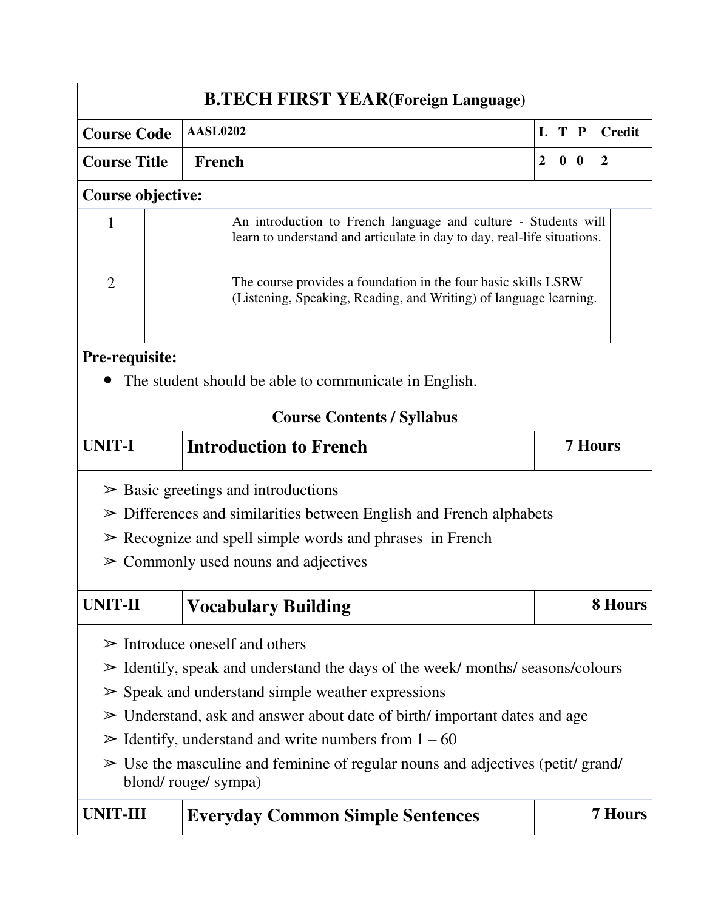| <b>B.TECH FIRST YEAR(Foreign Language)</b>                                   |                                                                                                                                           |                                                                                                                                     |                |                |  |                |  |  |  |  |  |
|------------------------------------------------------------------------------|-------------------------------------------------------------------------------------------------------------------------------------------|-------------------------------------------------------------------------------------------------------------------------------------|----------------|----------------|--|----------------|--|--|--|--|--|
| <b>Course Code</b>                                                           |                                                                                                                                           | <b>AASL0202</b>                                                                                                                     |                | L T P          |  | <b>Credit</b>  |  |  |  |  |  |
| <b>Course Title</b>                                                          |                                                                                                                                           | French                                                                                                                              | $\overline{2}$ | 0 <sub>0</sub> |  | $\overline{2}$ |  |  |  |  |  |
| <b>Course objective:</b>                                                     |                                                                                                                                           |                                                                                                                                     |                |                |  |                |  |  |  |  |  |
| $\mathbf{1}$                                                                 | An introduction to French language and culture - Students will<br>learn to understand and articulate in day to day, real-life situations. |                                                                                                                                     |                |                |  |                |  |  |  |  |  |
| $\overline{2}$                                                               |                                                                                                                                           | The course provides a foundation in the four basic skills LSRW<br>(Listening, Speaking, Reading, and Writing) of language learning. |                |                |  |                |  |  |  |  |  |
| <b>Pre-requisite:</b>                                                        |                                                                                                                                           |                                                                                                                                     |                |                |  |                |  |  |  |  |  |
|                                                                              |                                                                                                                                           | The student should be able to communicate in English.                                                                               |                |                |  |                |  |  |  |  |  |
|                                                                              |                                                                                                                                           | <b>Course Contents / Syllabus</b>                                                                                                   |                |                |  |                |  |  |  |  |  |
| <b>UNIT-I</b>                                                                |                                                                                                                                           | <b>Introduction to French</b>                                                                                                       |                |                |  | <b>7 Hours</b> |  |  |  |  |  |
|                                                                              |                                                                                                                                           | $\triangleright$ Basic greetings and introductions                                                                                  |                |                |  |                |  |  |  |  |  |
|                                                                              |                                                                                                                                           | $\triangleright$ Differences and similarities between English and French alphabets                                                  |                |                |  |                |  |  |  |  |  |
|                                                                              |                                                                                                                                           | $\triangleright$ Recognize and spell simple words and phrases in French                                                             |                |                |  |                |  |  |  |  |  |
|                                                                              |                                                                                                                                           | $\geq$ Commonly used nouns and adjectives                                                                                           |                |                |  |                |  |  |  |  |  |
| <b>UNIT-II</b>                                                               |                                                                                                                                           | <b>Vocabulary Building</b>                                                                                                          |                |                |  | 8 Hours        |  |  |  |  |  |
|                                                                              |                                                                                                                                           | $\triangleright$ Introduce oneself and others                                                                                       |                |                |  |                |  |  |  |  |  |
|                                                                              |                                                                                                                                           | $\geq$ Identify, speak and understand the days of the week/months/seasons/colours                                                   |                |                |  |                |  |  |  |  |  |
|                                                                              |                                                                                                                                           | $\triangleright$ Speak and understand simple weather expressions                                                                    |                |                |  |                |  |  |  |  |  |
|                                                                              |                                                                                                                                           | $\geq$ Understand, ask and answer about date of birth/important dates and age                                                       |                |                |  |                |  |  |  |  |  |
|                                                                              |                                                                                                                                           | $\geq$ Identify, understand and write numbers from 1 – 60                                                                           |                |                |  |                |  |  |  |  |  |
|                                                                              | $\triangleright$ Use the masculine and feminine of regular nouns and adjectives (petit/ grand/<br>blond/rouge/sympa)                      |                                                                                                                                     |                |                |  |                |  |  |  |  |  |
| <b>UNIT-III</b><br><b>7 Hours</b><br><b>Everyday Common Simple Sentences</b> |                                                                                                                                           |                                                                                                                                     |                |                |  |                |  |  |  |  |  |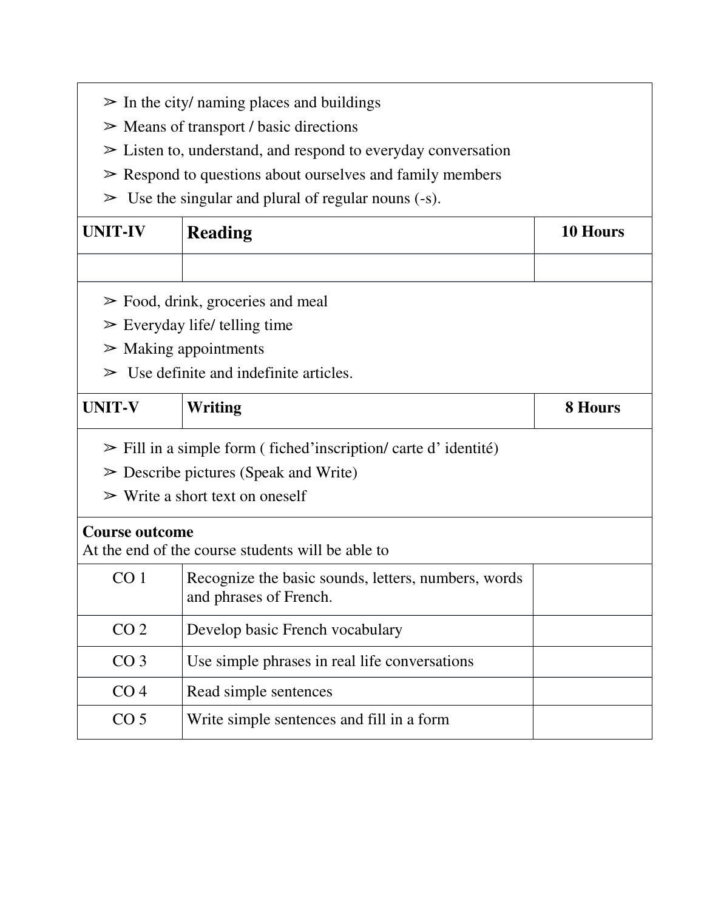|                                                                    | $\triangleright$ In the city/ naming places and buildings                     |                |  |  |  |  |  |  |  |
|--------------------------------------------------------------------|-------------------------------------------------------------------------------|----------------|--|--|--|--|--|--|--|
| $\triangleright$ Means of transport / basic directions             |                                                                               |                |  |  |  |  |  |  |  |
| $\geq$ Listen to, understand, and respond to everyday conversation |                                                                               |                |  |  |  |  |  |  |  |
|                                                                    | $\triangleright$ Respond to questions about ourselves and family members      |                |  |  |  |  |  |  |  |
| $\geq$ Use the singular and plural of regular nouns (-s).          |                                                                               |                |  |  |  |  |  |  |  |
| <b>UNIT-IV</b>                                                     | <b>Reading</b>                                                                | 10 Hours       |  |  |  |  |  |  |  |
|                                                                    |                                                                               |                |  |  |  |  |  |  |  |
|                                                                    | $\triangleright$ Food, drink, groceries and meal                              |                |  |  |  |  |  |  |  |
|                                                                    | $\triangleright$ Everyday life/ telling time                                  |                |  |  |  |  |  |  |  |
|                                                                    | $\triangleright$ Making appointments                                          |                |  |  |  |  |  |  |  |
| ➢                                                                  | Use definite and indefinite articles.                                         |                |  |  |  |  |  |  |  |
| <b>UNIT-V</b>                                                      | Writing                                                                       | <b>8 Hours</b> |  |  |  |  |  |  |  |
|                                                                    | $\triangleright$ Fill in a simple form (fiched inscription/carte d'identité)  |                |  |  |  |  |  |  |  |
|                                                                    | $\triangleright$ Describe pictures (Speak and Write)                          |                |  |  |  |  |  |  |  |
|                                                                    | $\triangleright$ Write a short text on oneself                                |                |  |  |  |  |  |  |  |
| <b>Course outcome</b>                                              | At the end of the course students will be able to                             |                |  |  |  |  |  |  |  |
| CO <sub>1</sub>                                                    | Recognize the basic sounds, letters, numbers, words<br>and phrases of French. |                |  |  |  |  |  |  |  |
| CO <sub>2</sub>                                                    | Develop basic French vocabulary                                               |                |  |  |  |  |  |  |  |
| CO <sub>3</sub>                                                    | Use simple phrases in real life conversations                                 |                |  |  |  |  |  |  |  |
| CO <sub>4</sub>                                                    | Read simple sentences                                                         |                |  |  |  |  |  |  |  |
| CO <sub>5</sub>                                                    | Write simple sentences and fill in a form                                     |                |  |  |  |  |  |  |  |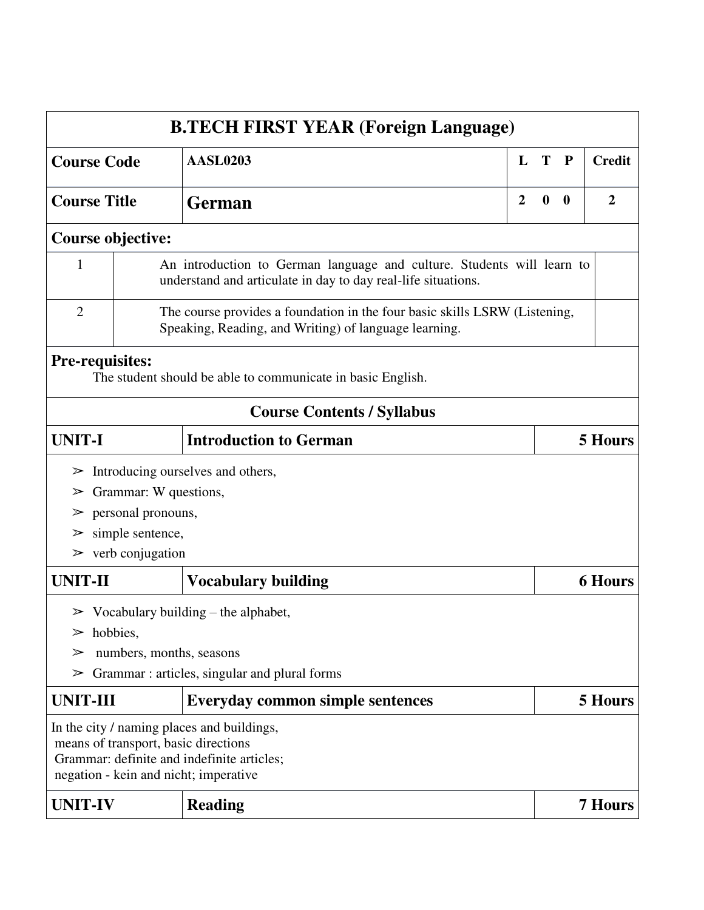| <b>B.TECH FIRST YEAR (Foreign Language)</b> |                                                                                                                                         |                                                                                                                                   |                |                |              |                |  |  |  |  |
|---------------------------------------------|-----------------------------------------------------------------------------------------------------------------------------------------|-----------------------------------------------------------------------------------------------------------------------------------|----------------|----------------|--------------|----------------|--|--|--|--|
| <b>Course Code</b>                          |                                                                                                                                         | <b>AASL0203</b>                                                                                                                   | L              | T              | $\mathbf{P}$ | <b>Credit</b>  |  |  |  |  |
| <b>Course Title</b>                         |                                                                                                                                         | <b>German</b>                                                                                                                     | $\overline{2}$ | $\overline{2}$ |              |                |  |  |  |  |
| Course objective:                           |                                                                                                                                         |                                                                                                                                   |                |                |              |                |  |  |  |  |
| $\mathbf{1}$                                | An introduction to German language and culture. Students will learn to<br>understand and articulate in day to day real-life situations. |                                                                                                                                   |                |                |              |                |  |  |  |  |
| $\overline{2}$                              | The course provides a foundation in the four basic skills LSRW (Listening,<br>Speaking, Reading, and Writing) of language learning.     |                                                                                                                                   |                |                |              |                |  |  |  |  |
| <b>Pre-requisites:</b>                      |                                                                                                                                         | The student should be able to communicate in basic English.                                                                       |                |                |              |                |  |  |  |  |
|                                             |                                                                                                                                         | <b>Course Contents / Syllabus</b>                                                                                                 |                |                |              |                |  |  |  |  |
| <b>UNIT-I</b>                               |                                                                                                                                         | <b>Introduction to German</b>                                                                                                     |                |                |              | <b>5 Hours</b> |  |  |  |  |
| ➢                                           |                                                                                                                                         | Introducing ourselves and others,                                                                                                 |                |                |              |                |  |  |  |  |
| ➢                                           | Grammar: W questions,                                                                                                                   |                                                                                                                                   |                |                |              |                |  |  |  |  |
| ➢                                           | personal pronouns,                                                                                                                      |                                                                                                                                   |                |                |              |                |  |  |  |  |
| ➢                                           | simple sentence,                                                                                                                        |                                                                                                                                   |                |                |              |                |  |  |  |  |
|                                             | $\triangleright$ verb conjugation                                                                                                       |                                                                                                                                   |                |                |              |                |  |  |  |  |
| <b>UNIT-II</b>                              |                                                                                                                                         | <b>Vocabulary building</b>                                                                                                        |                |                |              | <b>6 Hours</b> |  |  |  |  |
|                                             |                                                                                                                                         | $\triangleright$ Vocabulary building – the alphabet,                                                                              |                |                |              |                |  |  |  |  |
| hobbies,<br>➢                               |                                                                                                                                         |                                                                                                                                   |                |                |              |                |  |  |  |  |
| ➢                                           | numbers, months, seasons                                                                                                                |                                                                                                                                   |                |                |              |                |  |  |  |  |
| ➢                                           |                                                                                                                                         | Grammar: articles, singular and plural forms                                                                                      |                |                |              |                |  |  |  |  |
| <b>UNIT-III</b>                             |                                                                                                                                         | <b>Everyday common simple sentences</b>                                                                                           |                |                |              | 5 Hours        |  |  |  |  |
|                                             | means of transport, basic directions                                                                                                    | In the city / naming places and buildings,<br>Grammar: definite and indefinite articles;<br>negation - kein and nicht; imperative |                |                |              |                |  |  |  |  |
| <b>UNIT-IV</b>                              |                                                                                                                                         | <b>Reading</b>                                                                                                                    |                |                |              | <b>7 Hours</b> |  |  |  |  |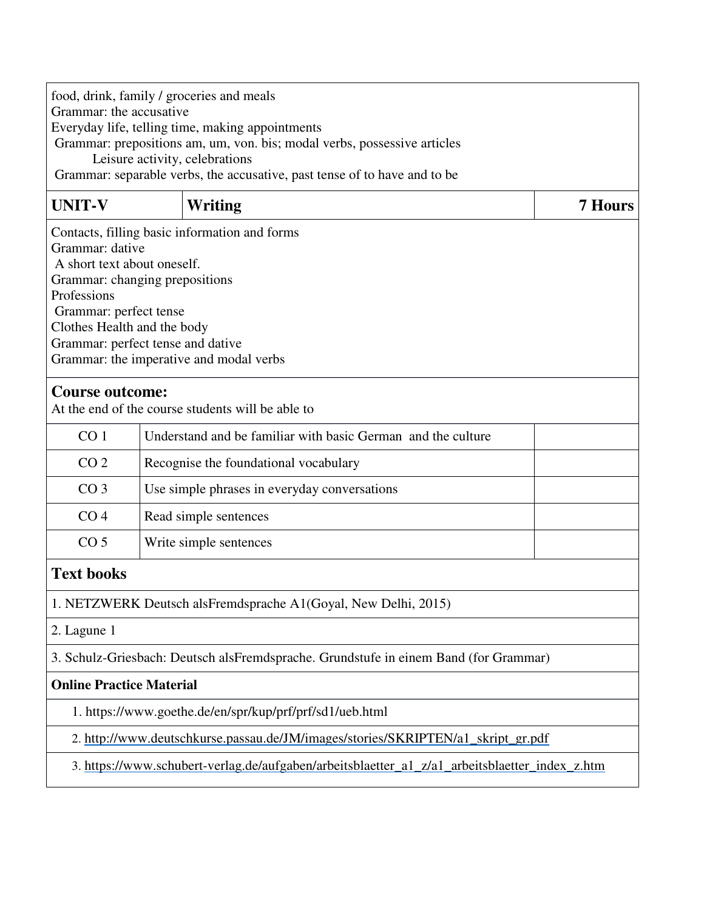| food, drink, family / groceries and meals<br>Grammar: the accusative<br>Everyday life, telling time, making appointments<br>Grammar: prepositions am, um, von. bis; modal verbs, possessive articles<br>Leisure activity, celebrations<br>Grammar: separable verbs, the accusative, past tense of to have and to be |                                                                                                                                                                                                                                                                            |                                                                                                |                |  |  |  |  |  |  |
|---------------------------------------------------------------------------------------------------------------------------------------------------------------------------------------------------------------------------------------------------------------------------------------------------------------------|----------------------------------------------------------------------------------------------------------------------------------------------------------------------------------------------------------------------------------------------------------------------------|------------------------------------------------------------------------------------------------|----------------|--|--|--|--|--|--|
| <b>UNIT-V</b>                                                                                                                                                                                                                                                                                                       |                                                                                                                                                                                                                                                                            | Writing                                                                                        | <b>7 Hours</b> |  |  |  |  |  |  |
| Professions                                                                                                                                                                                                                                                                                                         | Contacts, filling basic information and forms<br>Grammar: dative<br>A short text about oneself.<br>Grammar: changing prepositions<br>Grammar: perfect tense<br>Clothes Health and the body<br>Grammar: perfect tense and dative<br>Grammar: the imperative and modal verbs |                                                                                                |                |  |  |  |  |  |  |
| <b>Course outcome:</b>                                                                                                                                                                                                                                                                                              |                                                                                                                                                                                                                                                                            | At the end of the course students will be able to                                              |                |  |  |  |  |  |  |
| CO <sub>1</sub>                                                                                                                                                                                                                                                                                                     |                                                                                                                                                                                                                                                                            | Understand and be familiar with basic German and the culture                                   |                |  |  |  |  |  |  |
| CO <sub>2</sub>                                                                                                                                                                                                                                                                                                     |                                                                                                                                                                                                                                                                            | Recognise the foundational vocabulary                                                          |                |  |  |  |  |  |  |
| CO <sub>3</sub>                                                                                                                                                                                                                                                                                                     |                                                                                                                                                                                                                                                                            | Use simple phrases in everyday conversations                                                   |                |  |  |  |  |  |  |
| CO <sub>4</sub>                                                                                                                                                                                                                                                                                                     |                                                                                                                                                                                                                                                                            | Read simple sentences                                                                          |                |  |  |  |  |  |  |
| CO <sub>5</sub>                                                                                                                                                                                                                                                                                                     |                                                                                                                                                                                                                                                                            | Write simple sentences                                                                         |                |  |  |  |  |  |  |
| <b>Text books</b>                                                                                                                                                                                                                                                                                                   |                                                                                                                                                                                                                                                                            |                                                                                                |                |  |  |  |  |  |  |
|                                                                                                                                                                                                                                                                                                                     |                                                                                                                                                                                                                                                                            | 1. NETZWERK Deutsch alsFremdsprache A1(Goyal, New Delhi, 2015)                                 |                |  |  |  |  |  |  |
| 2. Lagune 1                                                                                                                                                                                                                                                                                                         |                                                                                                                                                                                                                                                                            |                                                                                                |                |  |  |  |  |  |  |
|                                                                                                                                                                                                                                                                                                                     |                                                                                                                                                                                                                                                                            | 3. Schulz-Griesbach: Deutsch alsFremdsprache. Grundstufe in einem Band (for Grammar)           |                |  |  |  |  |  |  |
| <b>Online Practice Material</b>                                                                                                                                                                                                                                                                                     |                                                                                                                                                                                                                                                                            |                                                                                                |                |  |  |  |  |  |  |
|                                                                                                                                                                                                                                                                                                                     | 1. https://www.goethe.de/en/spr/kup/prf/prf/sd1/ueb.html                                                                                                                                                                                                                   |                                                                                                |                |  |  |  |  |  |  |
|                                                                                                                                                                                                                                                                                                                     | 2. http://www.deutschkurse.passau.de/JM/images/stories/SKRIPTEN/a1_skript_gr.pdf                                                                                                                                                                                           |                                                                                                |                |  |  |  |  |  |  |
|                                                                                                                                                                                                                                                                                                                     |                                                                                                                                                                                                                                                                            | 3. https://www.schubert-verlag.de/aufgaben/arbeitsblaetter_a1_z/a1_arbeitsblaetter_index_z.htm |                |  |  |  |  |  |  |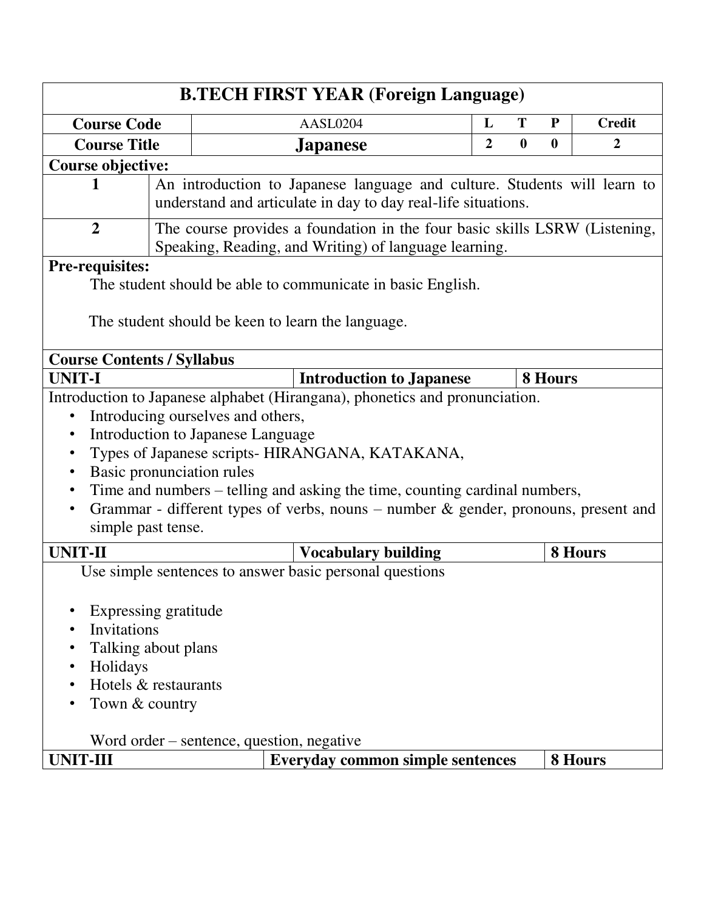| <b>Credit</b><br>AASL0204<br>L<br>T<br>${\bf P}$<br><b>Course Code</b><br>$\overline{2}$<br>$\boldsymbol{0}$<br>$\bf{0}$<br>2<br><b>Course Title</b><br><b>Japanese</b><br><b>Course objective:</b><br>An introduction to Japanese language and culture. Students will learn to<br>1<br>understand and articulate in day to day real-life situations.<br>$\overline{2}$<br>The course provides a foundation in the four basic skills LSRW (Listening,<br>Speaking, Reading, and Writing) of language learning.<br><b>Pre-requisites:</b><br>The student should be able to communicate in basic English.<br>The student should be keen to learn the language.<br><b>Course Contents / Syllabus</b><br><b>UNIT-I</b><br><b>Introduction to Japanese</b><br>8 Hours<br>Introduction to Japanese alphabet (Hirangana), phonetics and pronunciation.<br>Introducing ourselves and others,<br>$\bullet$<br>Introduction to Japanese Language<br>٠<br>Types of Japanese scripts- HIRANGANA, KATAKANA,<br>$\bullet$<br>Basic pronunciation rules<br>$\bullet$<br>Time and numbers – telling and asking the time, counting cardinal numbers,<br>٠<br>Grammar - different types of verbs, nouns – number $\&$ gender, pronouns, present and<br>$\bullet$<br>simple past tense.<br><b>UNIT-II</b><br><b>Vocabulary building</b><br>8 Hours<br>Use simple sentences to answer basic personal questions<br>Expressing gratitude<br>Invitations<br>٠<br>Talking about plans<br>٠<br>Holidays<br>$\bullet$<br>Hotels & restaurants<br>$\bullet$<br>Town & country<br>Word order – sentence, question, negative<br><b>UNIT-III</b><br>8 Hours<br><b>Everyday common simple sentences</b> | <b>B.TECH FIRST YEAR (Foreign Language)</b> |  |  |  |  |  |  |  |  |  |  |  |  |
|--------------------------------------------------------------------------------------------------------------------------------------------------------------------------------------------------------------------------------------------------------------------------------------------------------------------------------------------------------------------------------------------------------------------------------------------------------------------------------------------------------------------------------------------------------------------------------------------------------------------------------------------------------------------------------------------------------------------------------------------------------------------------------------------------------------------------------------------------------------------------------------------------------------------------------------------------------------------------------------------------------------------------------------------------------------------------------------------------------------------------------------------------------------------------------------------------------------------------------------------------------------------------------------------------------------------------------------------------------------------------------------------------------------------------------------------------------------------------------------------------------------------------------------------------------------------------------------------------------------------------------------------------------------------------|---------------------------------------------|--|--|--|--|--|--|--|--|--|--|--|--|
|                                                                                                                                                                                                                                                                                                                                                                                                                                                                                                                                                                                                                                                                                                                                                                                                                                                                                                                                                                                                                                                                                                                                                                                                                                                                                                                                                                                                                                                                                                                                                                                                                                                                          |                                             |  |  |  |  |  |  |  |  |  |  |  |  |
|                                                                                                                                                                                                                                                                                                                                                                                                                                                                                                                                                                                                                                                                                                                                                                                                                                                                                                                                                                                                                                                                                                                                                                                                                                                                                                                                                                                                                                                                                                                                                                                                                                                                          |                                             |  |  |  |  |  |  |  |  |  |  |  |  |
|                                                                                                                                                                                                                                                                                                                                                                                                                                                                                                                                                                                                                                                                                                                                                                                                                                                                                                                                                                                                                                                                                                                                                                                                                                                                                                                                                                                                                                                                                                                                                                                                                                                                          |                                             |  |  |  |  |  |  |  |  |  |  |  |  |
|                                                                                                                                                                                                                                                                                                                                                                                                                                                                                                                                                                                                                                                                                                                                                                                                                                                                                                                                                                                                                                                                                                                                                                                                                                                                                                                                                                                                                                                                                                                                                                                                                                                                          |                                             |  |  |  |  |  |  |  |  |  |  |  |  |
|                                                                                                                                                                                                                                                                                                                                                                                                                                                                                                                                                                                                                                                                                                                                                                                                                                                                                                                                                                                                                                                                                                                                                                                                                                                                                                                                                                                                                                                                                                                                                                                                                                                                          |                                             |  |  |  |  |  |  |  |  |  |  |  |  |
|                                                                                                                                                                                                                                                                                                                                                                                                                                                                                                                                                                                                                                                                                                                                                                                                                                                                                                                                                                                                                                                                                                                                                                                                                                                                                                                                                                                                                                                                                                                                                                                                                                                                          |                                             |  |  |  |  |  |  |  |  |  |  |  |  |
|                                                                                                                                                                                                                                                                                                                                                                                                                                                                                                                                                                                                                                                                                                                                                                                                                                                                                                                                                                                                                                                                                                                                                                                                                                                                                                                                                                                                                                                                                                                                                                                                                                                                          |                                             |  |  |  |  |  |  |  |  |  |  |  |  |
|                                                                                                                                                                                                                                                                                                                                                                                                                                                                                                                                                                                                                                                                                                                                                                                                                                                                                                                                                                                                                                                                                                                                                                                                                                                                                                                                                                                                                                                                                                                                                                                                                                                                          |                                             |  |  |  |  |  |  |  |  |  |  |  |  |
|                                                                                                                                                                                                                                                                                                                                                                                                                                                                                                                                                                                                                                                                                                                                                                                                                                                                                                                                                                                                                                                                                                                                                                                                                                                                                                                                                                                                                                                                                                                                                                                                                                                                          |                                             |  |  |  |  |  |  |  |  |  |  |  |  |
|                                                                                                                                                                                                                                                                                                                                                                                                                                                                                                                                                                                                                                                                                                                                                                                                                                                                                                                                                                                                                                                                                                                                                                                                                                                                                                                                                                                                                                                                                                                                                                                                                                                                          |                                             |  |  |  |  |  |  |  |  |  |  |  |  |
|                                                                                                                                                                                                                                                                                                                                                                                                                                                                                                                                                                                                                                                                                                                                                                                                                                                                                                                                                                                                                                                                                                                                                                                                                                                                                                                                                                                                                                                                                                                                                                                                                                                                          |                                             |  |  |  |  |  |  |  |  |  |  |  |  |
|                                                                                                                                                                                                                                                                                                                                                                                                                                                                                                                                                                                                                                                                                                                                                                                                                                                                                                                                                                                                                                                                                                                                                                                                                                                                                                                                                                                                                                                                                                                                                                                                                                                                          |                                             |  |  |  |  |  |  |  |  |  |  |  |  |
|                                                                                                                                                                                                                                                                                                                                                                                                                                                                                                                                                                                                                                                                                                                                                                                                                                                                                                                                                                                                                                                                                                                                                                                                                                                                                                                                                                                                                                                                                                                                                                                                                                                                          |                                             |  |  |  |  |  |  |  |  |  |  |  |  |
|                                                                                                                                                                                                                                                                                                                                                                                                                                                                                                                                                                                                                                                                                                                                                                                                                                                                                                                                                                                                                                                                                                                                                                                                                                                                                                                                                                                                                                                                                                                                                                                                                                                                          |                                             |  |  |  |  |  |  |  |  |  |  |  |  |
|                                                                                                                                                                                                                                                                                                                                                                                                                                                                                                                                                                                                                                                                                                                                                                                                                                                                                                                                                                                                                                                                                                                                                                                                                                                                                                                                                                                                                                                                                                                                                                                                                                                                          |                                             |  |  |  |  |  |  |  |  |  |  |  |  |
|                                                                                                                                                                                                                                                                                                                                                                                                                                                                                                                                                                                                                                                                                                                                                                                                                                                                                                                                                                                                                                                                                                                                                                                                                                                                                                                                                                                                                                                                                                                                                                                                                                                                          |                                             |  |  |  |  |  |  |  |  |  |  |  |  |
|                                                                                                                                                                                                                                                                                                                                                                                                                                                                                                                                                                                                                                                                                                                                                                                                                                                                                                                                                                                                                                                                                                                                                                                                                                                                                                                                                                                                                                                                                                                                                                                                                                                                          |                                             |  |  |  |  |  |  |  |  |  |  |  |  |
|                                                                                                                                                                                                                                                                                                                                                                                                                                                                                                                                                                                                                                                                                                                                                                                                                                                                                                                                                                                                                                                                                                                                                                                                                                                                                                                                                                                                                                                                                                                                                                                                                                                                          |                                             |  |  |  |  |  |  |  |  |  |  |  |  |
|                                                                                                                                                                                                                                                                                                                                                                                                                                                                                                                                                                                                                                                                                                                                                                                                                                                                                                                                                                                                                                                                                                                                                                                                                                                                                                                                                                                                                                                                                                                                                                                                                                                                          |                                             |  |  |  |  |  |  |  |  |  |  |  |  |
|                                                                                                                                                                                                                                                                                                                                                                                                                                                                                                                                                                                                                                                                                                                                                                                                                                                                                                                                                                                                                                                                                                                                                                                                                                                                                                                                                                                                                                                                                                                                                                                                                                                                          |                                             |  |  |  |  |  |  |  |  |  |  |  |  |
|                                                                                                                                                                                                                                                                                                                                                                                                                                                                                                                                                                                                                                                                                                                                                                                                                                                                                                                                                                                                                                                                                                                                                                                                                                                                                                                                                                                                                                                                                                                                                                                                                                                                          |                                             |  |  |  |  |  |  |  |  |  |  |  |  |
|                                                                                                                                                                                                                                                                                                                                                                                                                                                                                                                                                                                                                                                                                                                                                                                                                                                                                                                                                                                                                                                                                                                                                                                                                                                                                                                                                                                                                                                                                                                                                                                                                                                                          |                                             |  |  |  |  |  |  |  |  |  |  |  |  |
|                                                                                                                                                                                                                                                                                                                                                                                                                                                                                                                                                                                                                                                                                                                                                                                                                                                                                                                                                                                                                                                                                                                                                                                                                                                                                                                                                                                                                                                                                                                                                                                                                                                                          |                                             |  |  |  |  |  |  |  |  |  |  |  |  |
|                                                                                                                                                                                                                                                                                                                                                                                                                                                                                                                                                                                                                                                                                                                                                                                                                                                                                                                                                                                                                                                                                                                                                                                                                                                                                                                                                                                                                                                                                                                                                                                                                                                                          |                                             |  |  |  |  |  |  |  |  |  |  |  |  |
|                                                                                                                                                                                                                                                                                                                                                                                                                                                                                                                                                                                                                                                                                                                                                                                                                                                                                                                                                                                                                                                                                                                                                                                                                                                                                                                                                                                                                                                                                                                                                                                                                                                                          |                                             |  |  |  |  |  |  |  |  |  |  |  |  |
|                                                                                                                                                                                                                                                                                                                                                                                                                                                                                                                                                                                                                                                                                                                                                                                                                                                                                                                                                                                                                                                                                                                                                                                                                                                                                                                                                                                                                                                                                                                                                                                                                                                                          |                                             |  |  |  |  |  |  |  |  |  |  |  |  |
|                                                                                                                                                                                                                                                                                                                                                                                                                                                                                                                                                                                                                                                                                                                                                                                                                                                                                                                                                                                                                                                                                                                                                                                                                                                                                                                                                                                                                                                                                                                                                                                                                                                                          |                                             |  |  |  |  |  |  |  |  |  |  |  |  |
|                                                                                                                                                                                                                                                                                                                                                                                                                                                                                                                                                                                                                                                                                                                                                                                                                                                                                                                                                                                                                                                                                                                                                                                                                                                                                                                                                                                                                                                                                                                                                                                                                                                                          |                                             |  |  |  |  |  |  |  |  |  |  |  |  |
|                                                                                                                                                                                                                                                                                                                                                                                                                                                                                                                                                                                                                                                                                                                                                                                                                                                                                                                                                                                                                                                                                                                                                                                                                                                                                                                                                                                                                                                                                                                                                                                                                                                                          |                                             |  |  |  |  |  |  |  |  |  |  |  |  |
|                                                                                                                                                                                                                                                                                                                                                                                                                                                                                                                                                                                                                                                                                                                                                                                                                                                                                                                                                                                                                                                                                                                                                                                                                                                                                                                                                                                                                                                                                                                                                                                                                                                                          |                                             |  |  |  |  |  |  |  |  |  |  |  |  |
|                                                                                                                                                                                                                                                                                                                                                                                                                                                                                                                                                                                                                                                                                                                                                                                                                                                                                                                                                                                                                                                                                                                                                                                                                                                                                                                                                                                                                                                                                                                                                                                                                                                                          |                                             |  |  |  |  |  |  |  |  |  |  |  |  |
|                                                                                                                                                                                                                                                                                                                                                                                                                                                                                                                                                                                                                                                                                                                                                                                                                                                                                                                                                                                                                                                                                                                                                                                                                                                                                                                                                                                                                                                                                                                                                                                                                                                                          |                                             |  |  |  |  |  |  |  |  |  |  |  |  |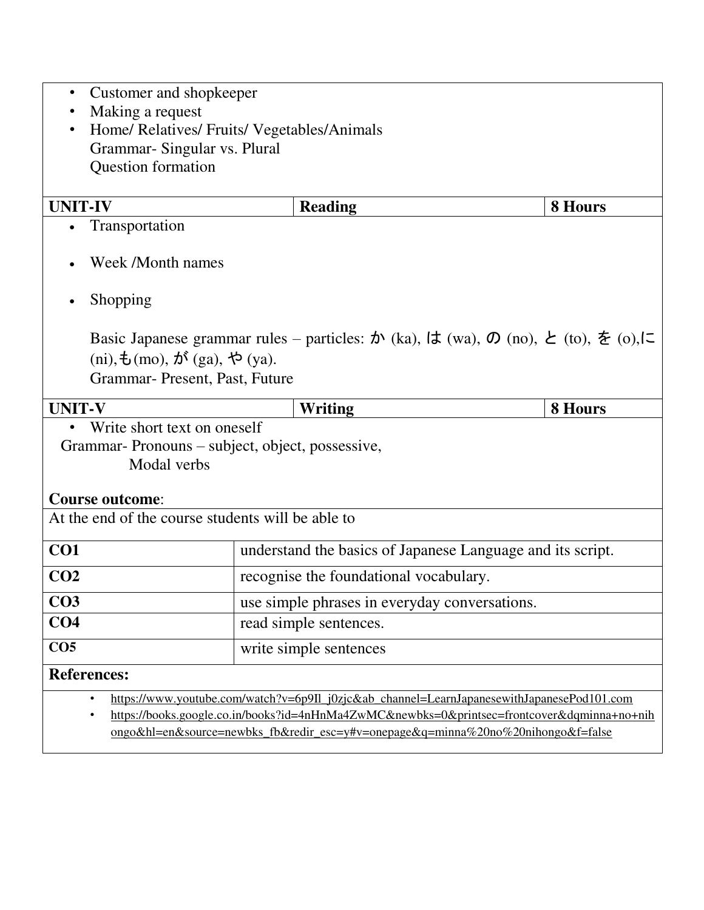| Customer and shopkeeper<br>$\bullet$<br>Making a request<br>Home/ Relatives/ Fruits/ Vegetables/Animals<br>Grammar-Singular vs. Plural<br>Question formation |                                                                                                                                                                                                                          |                                                            |                |  |  |  |  |  |  |  |
|--------------------------------------------------------------------------------------------------------------------------------------------------------------|--------------------------------------------------------------------------------------------------------------------------------------------------------------------------------------------------------------------------|------------------------------------------------------------|----------------|--|--|--|--|--|--|--|
|                                                                                                                                                              |                                                                                                                                                                                                                          |                                                            |                |  |  |  |  |  |  |  |
| <b>UNIT-IV</b>                                                                                                                                               |                                                                                                                                                                                                                          | <b>Reading</b>                                             | <b>8 Hours</b> |  |  |  |  |  |  |  |
| Transportation                                                                                                                                               |                                                                                                                                                                                                                          |                                                            |                |  |  |  |  |  |  |  |
| Week /Month names                                                                                                                                            |                                                                                                                                                                                                                          |                                                            |                |  |  |  |  |  |  |  |
| Shopping                                                                                                                                                     |                                                                                                                                                                                                                          |                                                            |                |  |  |  |  |  |  |  |
|                                                                                                                                                              | Basic Japanese grammar rules – particles: $\phi$ (ka), $\phi$ (wa), $\phi$ (no), $\phi$ (to), $\phi$ (o), $\phi$<br>(ni), $\pm$ (mo), $\pi$ <sup>s</sup> (ga), $\leftrightarrow$ (ya).<br>Grammar- Present, Past, Future |                                                            |                |  |  |  |  |  |  |  |
| <b>UNIT-V</b>                                                                                                                                                |                                                                                                                                                                                                                          | Writing                                                    | 8 Hours        |  |  |  |  |  |  |  |
| Write short text on oneself<br>Grammar- Pronouns – subject, object, possessive,<br>Modal verbs                                                               |                                                                                                                                                                                                                          |                                                            |                |  |  |  |  |  |  |  |
| <b>Course outcome:</b>                                                                                                                                       |                                                                                                                                                                                                                          |                                                            |                |  |  |  |  |  |  |  |
| At the end of the course students will be able to                                                                                                            |                                                                                                                                                                                                                          |                                                            |                |  |  |  |  |  |  |  |
| CO <sub>1</sub>                                                                                                                                              |                                                                                                                                                                                                                          | understand the basics of Japanese Language and its script. |                |  |  |  |  |  |  |  |
| CO <sub>2</sub>                                                                                                                                              |                                                                                                                                                                                                                          | recognise the foundational vocabulary.                     |                |  |  |  |  |  |  |  |
| CO <sub>3</sub>                                                                                                                                              |                                                                                                                                                                                                                          | use simple phrases in everyday conversations.              |                |  |  |  |  |  |  |  |
| CO <sub>4</sub>                                                                                                                                              |                                                                                                                                                                                                                          | read simple sentences.                                     |                |  |  |  |  |  |  |  |
| CO <sub>5</sub>                                                                                                                                              |                                                                                                                                                                                                                          | write simple sentences                                     |                |  |  |  |  |  |  |  |
| <b>References:</b>                                                                                                                                           |                                                                                                                                                                                                                          |                                                            |                |  |  |  |  |  |  |  |
| https://www.youtube.com/watch?v=6p9II_j0zjc&ab_channel=LearnJapanesewithJapanesePod101.com<br>٠                                                              |                                                                                                                                                                                                                          |                                                            |                |  |  |  |  |  |  |  |
| https://books.google.co.in/books?id=4nHnMa4ZwMC&newbks=0&printsec=frontcover&dqminna+no+nih                                                                  |                                                                                                                                                                                                                          |                                                            |                |  |  |  |  |  |  |  |
| ongo&hl=en&source=newbks_fb&redir_esc=y#v=onepage&q=minna%20no%20nihongo&f=false                                                                             |                                                                                                                                                                                                                          |                                                            |                |  |  |  |  |  |  |  |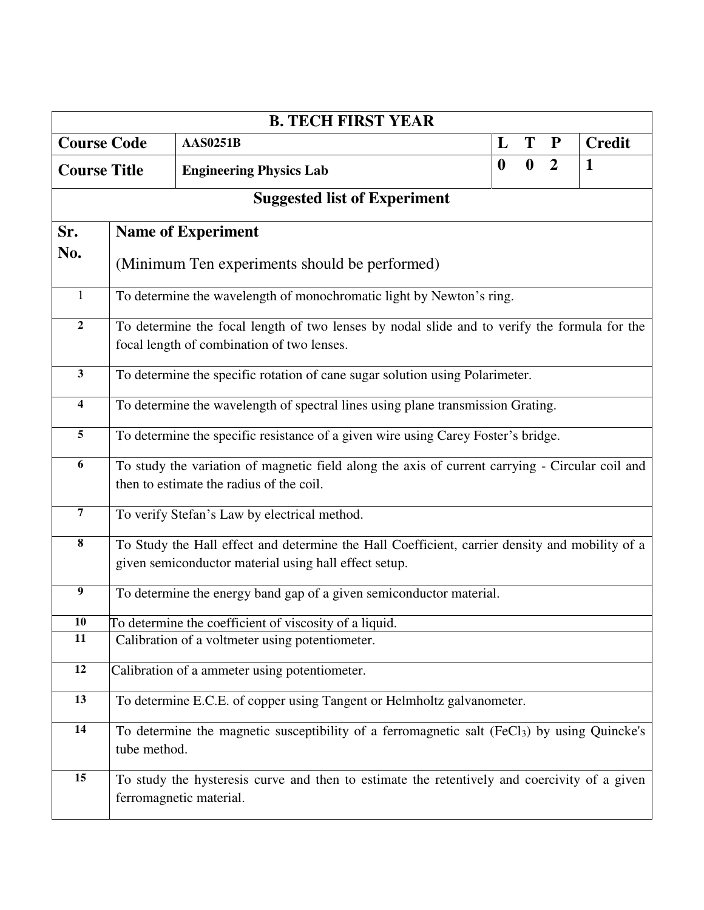|                         |                                                                                   |                 |  |                                | <b>B. TECH FIRST YEAR</b> |  |  |  |  |  |                  |                  |                |                                                                                                          |
|-------------------------|-----------------------------------------------------------------------------------|-----------------|--|--------------------------------|---------------------------|--|--|--|--|--|------------------|------------------|----------------|----------------------------------------------------------------------------------------------------------|
| <b>Course Code</b>      |                                                                                   | <b>AAS0251B</b> |  |                                |                           |  |  |  |  |  | L                | T                | ${\bf P}$      | <b>Credit</b>                                                                                            |
| <b>Course Title</b>     |                                                                                   |                 |  | <b>Engineering Physics Lab</b> |                           |  |  |  |  |  | $\boldsymbol{0}$ | $\boldsymbol{0}$ | $\overline{2}$ | 1                                                                                                        |
|                         | <b>Suggested list of Experiment</b>                                               |                 |  |                                |                           |  |  |  |  |  |                  |                  |                |                                                                                                          |
| Sr.                     | <b>Name of Experiment</b>                                                         |                 |  |                                |                           |  |  |  |  |  |                  |                  |                |                                                                                                          |
| No.                     | (Minimum Ten experiments should be performed)                                     |                 |  |                                |                           |  |  |  |  |  |                  |                  |                |                                                                                                          |
| $\mathbf{1}$            | To determine the wavelength of monochromatic light by Newton's ring.              |                 |  |                                |                           |  |  |  |  |  |                  |                  |                |                                                                                                          |
| $\mathbf 2$             |                                                                                   |                 |  |                                |                           |  |  |  |  |  |                  |                  |                | To determine the focal length of two lenses by nodal slide and to verify the formula for the             |
|                         | focal length of combination of two lenses.                                        |                 |  |                                |                           |  |  |  |  |  |                  |                  |                |                                                                                                          |
| $\mathbf{3}$            | To determine the specific rotation of cane sugar solution using Polarimeter.      |                 |  |                                |                           |  |  |  |  |  |                  |                  |                |                                                                                                          |
| $\overline{\mathbf{4}}$ | To determine the wavelength of spectral lines using plane transmission Grating.   |                 |  |                                |                           |  |  |  |  |  |                  |                  |                |                                                                                                          |
| 5                       | To determine the specific resistance of a given wire using Carey Foster's bridge. |                 |  |                                |                           |  |  |  |  |  |                  |                  |                |                                                                                                          |
| 6                       | then to estimate the radius of the coil.                                          |                 |  |                                |                           |  |  |  |  |  |                  |                  |                | To study the variation of magnetic field along the axis of current carrying - Circular coil and          |
| $\overline{7}$          | To verify Stefan's Law by electrical method.                                      |                 |  |                                |                           |  |  |  |  |  |                  |                  |                |                                                                                                          |
| $\bf{8}$                |                                                                                   |                 |  |                                |                           |  |  |  |  |  |                  |                  |                | To Study the Hall effect and determine the Hall Coefficient, carrier density and mobility of a           |
|                         | given semiconductor material using hall effect setup.                             |                 |  |                                |                           |  |  |  |  |  |                  |                  |                |                                                                                                          |
| 9                       | To determine the energy band gap of a given semiconductor material.               |                 |  |                                |                           |  |  |  |  |  |                  |                  |                |                                                                                                          |
| 10                      | To determine the coefficient of viscosity of a liquid.                            |                 |  |                                |                           |  |  |  |  |  |                  |                  |                |                                                                                                          |
| 11                      | Calibration of a voltmeter using potentiometer.                                   |                 |  |                                |                           |  |  |  |  |  |                  |                  |                |                                                                                                          |
| 12                      | Calibration of a ammeter using potentiometer.                                     |                 |  |                                |                           |  |  |  |  |  |                  |                  |                |                                                                                                          |
| 13                      | To determine E.C.E. of copper using Tangent or Helmholtz galvanometer.            |                 |  |                                |                           |  |  |  |  |  |                  |                  |                |                                                                                                          |
| 14                      | tube method.                                                                      |                 |  |                                |                           |  |  |  |  |  |                  |                  |                | To determine the magnetic susceptibility of a ferromagnetic salt (FeCl <sub>3</sub> ) by using Quincke's |
| 15                      | ferromagnetic material.                                                           |                 |  |                                |                           |  |  |  |  |  |                  |                  |                | To study the hysteresis curve and then to estimate the retentively and coercivity of a given             |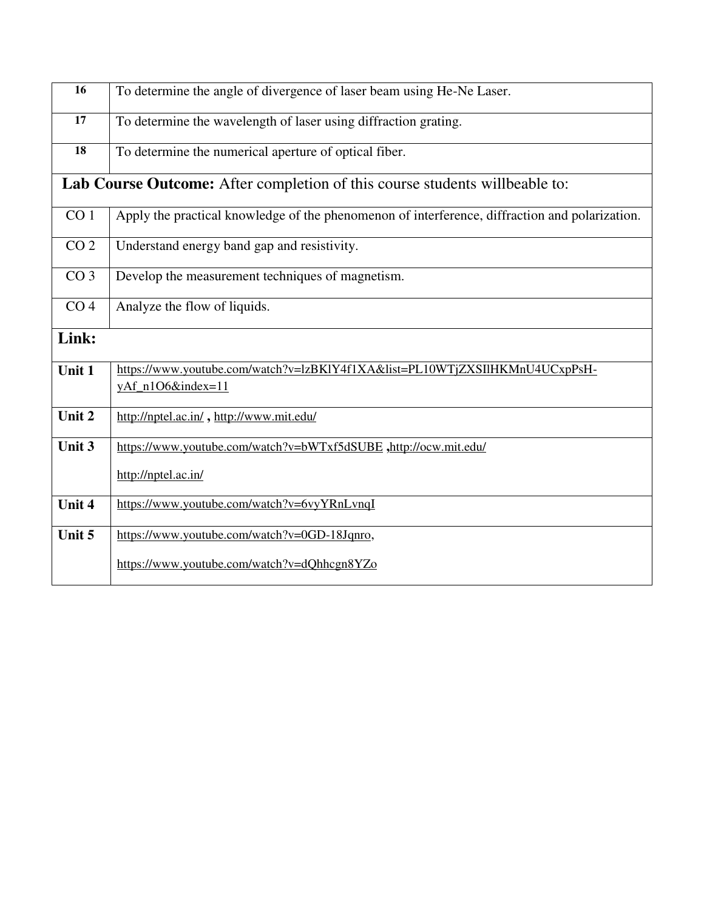| 16              | To determine the angle of divergence of laser beam using He-Ne Laser.                          |  |  |  |  |  |  |  |  |
|-----------------|------------------------------------------------------------------------------------------------|--|--|--|--|--|--|--|--|
| 17              | To determine the wavelength of laser using diffraction grating.                                |  |  |  |  |  |  |  |  |
| 18              | To determine the numerical aperture of optical fiber.                                          |  |  |  |  |  |  |  |  |
|                 | Lab Course Outcome: After completion of this course students willbeable to:                    |  |  |  |  |  |  |  |  |
| CO <sub>1</sub> | Apply the practical knowledge of the phenomenon of interference, diffraction and polarization. |  |  |  |  |  |  |  |  |
| CO <sub>2</sub> | Understand energy band gap and resistivity.                                                    |  |  |  |  |  |  |  |  |
| CO <sub>3</sub> | Develop the measurement techniques of magnetism.                                               |  |  |  |  |  |  |  |  |
| CO <sub>4</sub> | Analyze the flow of liquids.                                                                   |  |  |  |  |  |  |  |  |
| Link:           |                                                                                                |  |  |  |  |  |  |  |  |
| Unit 1          | https://www.youtube.com/watch?v=lzBKlY4f1XA&list=PL10WTjZXSIlHKMnU4UCxpPsH-                    |  |  |  |  |  |  |  |  |
|                 | yAf_n1O6&index=11                                                                              |  |  |  |  |  |  |  |  |
| Unit 2          | http://nptel.ac.in/, http://www.mit.edu/                                                       |  |  |  |  |  |  |  |  |
| Unit 3          | https://www.youtube.com/watch?v=bWTxf5dSUBE,http://ocw.mit.edu/                                |  |  |  |  |  |  |  |  |
|                 | http://nptel.ac.in/                                                                            |  |  |  |  |  |  |  |  |
| Unit 4          | https://www.youtube.com/watch?v=6vyYRnLvnqI                                                    |  |  |  |  |  |  |  |  |
| Unit 5          | https://www.youtube.com/watch?v=0GD-18Jqnro,                                                   |  |  |  |  |  |  |  |  |
|                 | https://www.youtube.com/watch?v=dQhhcgn8YZo                                                    |  |  |  |  |  |  |  |  |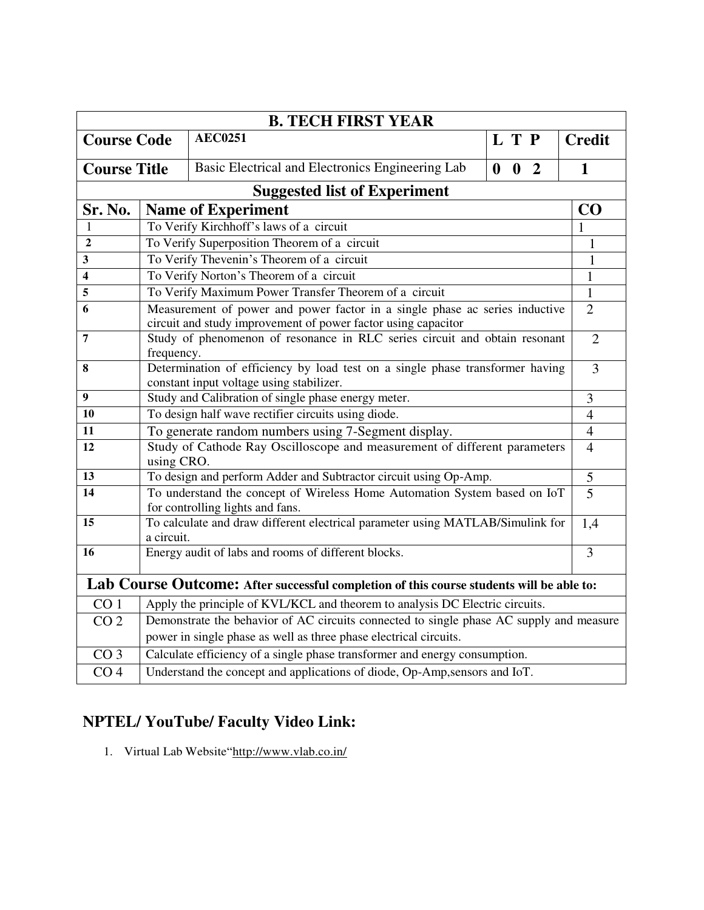| <b>B. TECH FIRST YEAR</b>           |                                                                                          |                                                                                                               |                                |                |  |  |  |  |  |
|-------------------------------------|------------------------------------------------------------------------------------------|---------------------------------------------------------------------------------------------------------------|--------------------------------|----------------|--|--|--|--|--|
| <b>Course Code</b>                  |                                                                                          | <b>AEC0251</b>                                                                                                | L T P                          | <b>Credit</b>  |  |  |  |  |  |
| <b>Course Title</b>                 |                                                                                          | Basic Electrical and Electronics Engineering Lab                                                              | 0 <sub>2</sub><br>$\mathbf{0}$ | $\mathbf{1}$   |  |  |  |  |  |
| <b>Suggested list of Experiment</b> |                                                                                          |                                                                                                               |                                |                |  |  |  |  |  |
| Sr. No.                             | <b>Name of Experiment</b>                                                                |                                                                                                               |                                |                |  |  |  |  |  |
| 1                                   |                                                                                          | To Verify Kirchhoff's laws of a circuit                                                                       |                                | 1              |  |  |  |  |  |
| $\overline{2}$                      |                                                                                          | To Verify Superposition Theorem of a circuit                                                                  |                                | 1              |  |  |  |  |  |
| 3                                   |                                                                                          | To Verify Thevenin's Theorem of a circuit                                                                     |                                | $\mathbf{1}$   |  |  |  |  |  |
| 4                                   |                                                                                          | To Verify Norton's Theorem of a circuit                                                                       |                                | $\mathbf{1}$   |  |  |  |  |  |
| 5                                   |                                                                                          | To Verify Maximum Power Transfer Theorem of a circuit                                                         |                                | $\mathbf{1}$   |  |  |  |  |  |
| 6                                   |                                                                                          | Measurement of power and power factor in a single phase ac series inductive                                   |                                | $\overline{2}$ |  |  |  |  |  |
|                                     |                                                                                          | circuit and study improvement of power factor using capacitor                                                 |                                | $\overline{2}$ |  |  |  |  |  |
| $\overline{7}$                      | Study of phenomenon of resonance in RLC series circuit and obtain resonant<br>frequency. |                                                                                                               |                                |                |  |  |  |  |  |
| 8                                   | Determination of efficiency by load test on a single phase transformer having            |                                                                                                               |                                |                |  |  |  |  |  |
|                                     | constant input voltage using stabilizer.                                                 |                                                                                                               |                                |                |  |  |  |  |  |
| 9                                   | Study and Calibration of single phase energy meter.                                      |                                                                                                               |                                |                |  |  |  |  |  |
| 10                                  |                                                                                          | To design half wave rectifier circuits using diode.                                                           |                                | $\overline{4}$ |  |  |  |  |  |
| 11                                  |                                                                                          | To generate random numbers using 7-Segment display.                                                           |                                | $\overline{4}$ |  |  |  |  |  |
| 12                                  | using CRO.                                                                               | Study of Cathode Ray Oscilloscope and measurement of different parameters                                     |                                | $\overline{4}$ |  |  |  |  |  |
| 13                                  |                                                                                          | To design and perform Adder and Subtractor circuit using Op-Amp.                                              |                                | 5              |  |  |  |  |  |
| 14                                  |                                                                                          | To understand the concept of Wireless Home Automation System based on IoT<br>for controlling lights and fans. |                                | $\overline{5}$ |  |  |  |  |  |
| 15                                  | a circuit.                                                                               | To calculate and draw different electrical parameter using MATLAB/Simulink for                                |                                | 1,4            |  |  |  |  |  |
| 16                                  |                                                                                          | Energy audit of labs and rooms of different blocks.                                                           |                                | $\overline{3}$ |  |  |  |  |  |
|                                     |                                                                                          |                                                                                                               |                                |                |  |  |  |  |  |
|                                     |                                                                                          | Lab Course Outcome: After successful completion of this course students will be able to:                      |                                |                |  |  |  |  |  |
| CO <sub>1</sub>                     |                                                                                          | Apply the principle of KVL/KCL and theorem to analysis DC Electric circuits.                                  |                                |                |  |  |  |  |  |
| CO <sub>2</sub>                     |                                                                                          | Demonstrate the behavior of AC circuits connected to single phase AC supply and measure                       |                                |                |  |  |  |  |  |
|                                     |                                                                                          | power in single phase as well as three phase electrical circuits.                                             |                                |                |  |  |  |  |  |
| CO <sub>3</sub>                     |                                                                                          | Calculate efficiency of a single phase transformer and energy consumption.                                    |                                |                |  |  |  |  |  |
| CO <sub>4</sub>                     |                                                                                          | Understand the concept and applications of diode, Op-Amp, sensors and IoT.                                    |                                |                |  |  |  |  |  |

# **NPTEL/ YouTube/ Faculty Video Link:**

1. Virtual Lab Website"<http://www.vlab.co.in/>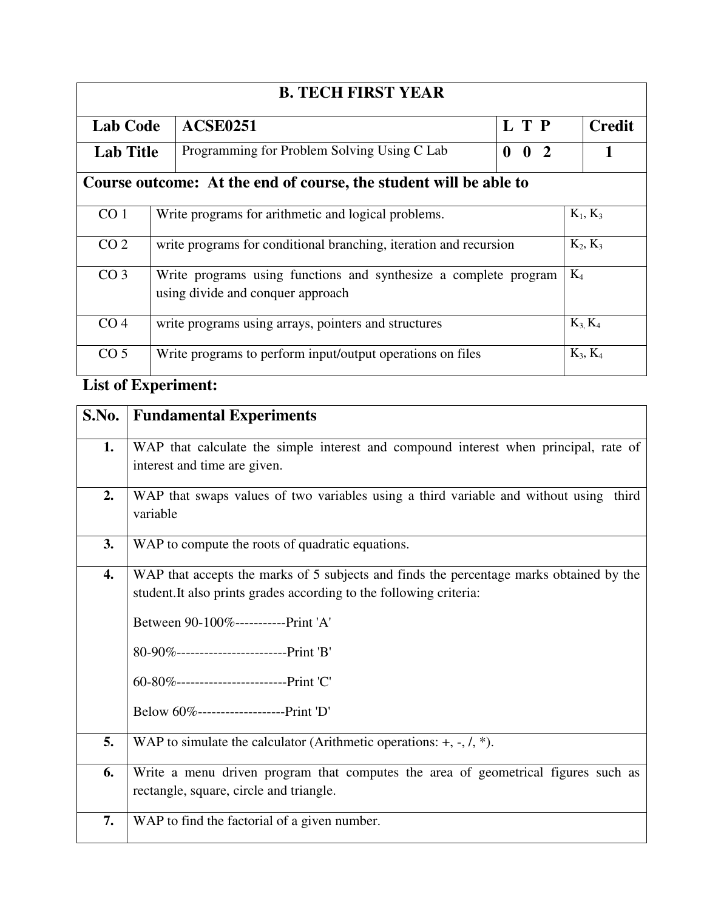| <b>B. TECH FIRST YEAR</b> |                                                                   |                                                                   |                                |  |  |            |  |  |  |  |
|---------------------------|-------------------------------------------------------------------|-------------------------------------------------------------------|--------------------------------|--|--|------------|--|--|--|--|
| <b>Lab Code</b>           |                                                                   | L T P<br><b>ACSE0251</b>                                          |                                |  |  |            |  |  |  |  |
| <b>Lab Title</b>          |                                                                   | Programming for Problem Solving Using C Lab                       | $\mathbf{0}$ 2<br>$\mathbf{0}$ |  |  |            |  |  |  |  |
|                           |                                                                   | Course outcome: At the end of course, the student will be able to |                                |  |  |            |  |  |  |  |
| CO <sub>1</sub>           |                                                                   | Write programs for arithmetic and logical problems.               |                                |  |  | $K_1, K_3$ |  |  |  |  |
| CO <sub>2</sub>           | write programs for conditional branching, iteration and recursion |                                                                   |                                |  |  |            |  |  |  |  |
| CO <sub>3</sub>           | Write programs using functions and synthesize a complete program  | $K_4$                                                             |                                |  |  |            |  |  |  |  |
| CO <sub>4</sub>           | write programs using arrays, pointers and structures              |                                                                   | $K_3$ , $K_4$                  |  |  |            |  |  |  |  |
| CO <sub>5</sub>           |                                                                   | Write programs to perform input/output operations on files        |                                |  |  | $K_3, K_4$ |  |  |  |  |

# **List of Experiment:**

| S.No. | <b>Fundamental Experiments</b>                                                                                                                                                                                                                                                                                                         |  |  |  |  |  |  |  |
|-------|----------------------------------------------------------------------------------------------------------------------------------------------------------------------------------------------------------------------------------------------------------------------------------------------------------------------------------------|--|--|--|--|--|--|--|
| 1.    | WAP that calculate the simple interest and compound interest when principal, rate of<br>interest and time are given.                                                                                                                                                                                                                   |  |  |  |  |  |  |  |
| 2.    | WAP that swaps values of two variables using a third variable and without using third<br>variable                                                                                                                                                                                                                                      |  |  |  |  |  |  |  |
| 3.    | WAP to compute the roots of quadratic equations.                                                                                                                                                                                                                                                                                       |  |  |  |  |  |  |  |
| 4.    | WAP that accepts the marks of 5 subjects and finds the percentage marks obtained by the<br>student. It also prints grades according to the following criteria:<br>Between 90-100%-----------Print 'A'<br>80-90%------------------------Print 'B'<br>60-80%-------------------------Print 'C'<br>Below 60%--------------------Print 'D' |  |  |  |  |  |  |  |
| 5.    | WAP to simulate the calculator (Arithmetic operations: $+, \neg, \langle, * \rangle$ ).                                                                                                                                                                                                                                                |  |  |  |  |  |  |  |
| 6.    | Write a menu driven program that computes the area of geometrical figures such as<br>rectangle, square, circle and triangle.                                                                                                                                                                                                           |  |  |  |  |  |  |  |
| 7.    | WAP to find the factorial of a given number.                                                                                                                                                                                                                                                                                           |  |  |  |  |  |  |  |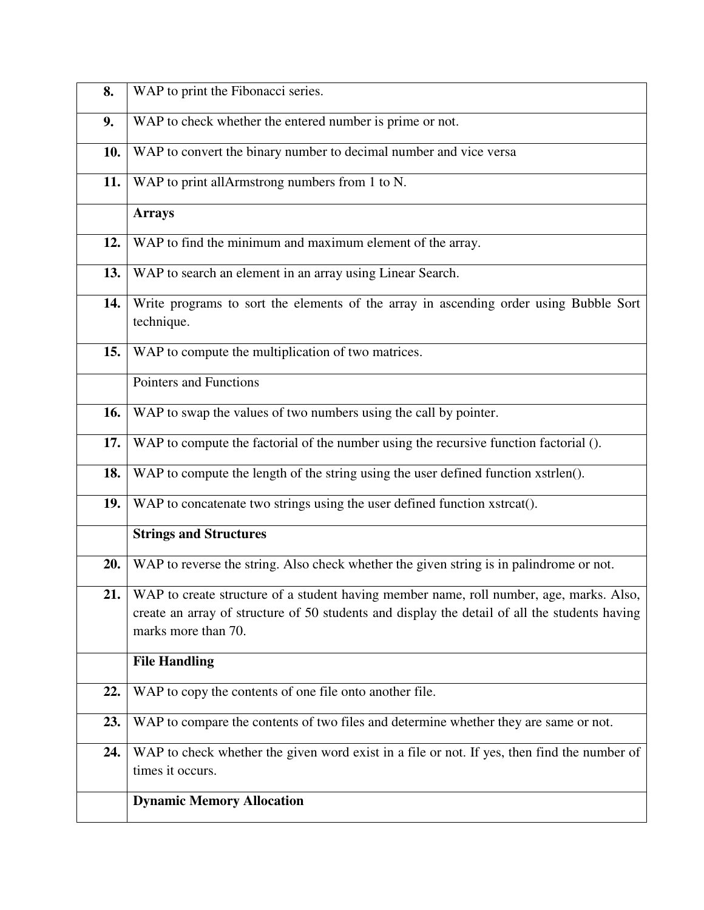| 8.         | WAP to print the Fibonacci series.                                                                                                                                                                              |  |  |  |  |  |  |  |
|------------|-----------------------------------------------------------------------------------------------------------------------------------------------------------------------------------------------------------------|--|--|--|--|--|--|--|
| 9.         | WAP to check whether the entered number is prime or not.                                                                                                                                                        |  |  |  |  |  |  |  |
| <b>10.</b> | WAP to convert the binary number to decimal number and vice versa                                                                                                                                               |  |  |  |  |  |  |  |
| 11.        | WAP to print allArmstrong numbers from 1 to N.                                                                                                                                                                  |  |  |  |  |  |  |  |
|            | <b>Arrays</b>                                                                                                                                                                                                   |  |  |  |  |  |  |  |
| 12.        | WAP to find the minimum and maximum element of the array.                                                                                                                                                       |  |  |  |  |  |  |  |
| 13.        | WAP to search an element in an array using Linear Search.                                                                                                                                                       |  |  |  |  |  |  |  |
| 14.        | Write programs to sort the elements of the array in ascending order using Bubble Sort<br>technique.                                                                                                             |  |  |  |  |  |  |  |
| 15.        | WAP to compute the multiplication of two matrices.                                                                                                                                                              |  |  |  |  |  |  |  |
|            | Pointers and Functions                                                                                                                                                                                          |  |  |  |  |  |  |  |
| 16.        | WAP to swap the values of two numbers using the call by pointer.                                                                                                                                                |  |  |  |  |  |  |  |
| 17.        | WAP to compute the factorial of the number using the recursive function factorial ().                                                                                                                           |  |  |  |  |  |  |  |
| 18.        | WAP to compute the length of the string using the user defined function xstrlen().                                                                                                                              |  |  |  |  |  |  |  |
| 19.        | WAP to concatenate two strings using the user defined function xstrcat().                                                                                                                                       |  |  |  |  |  |  |  |
|            | <b>Strings and Structures</b>                                                                                                                                                                                   |  |  |  |  |  |  |  |
| 20.        | WAP to reverse the string. Also check whether the given string is in palindrome or not.                                                                                                                         |  |  |  |  |  |  |  |
| 21.        | WAP to create structure of a student having member name, roll number, age, marks. Also,<br>create an array of structure of 50 students and display the detail of all the students having<br>marks more than 70. |  |  |  |  |  |  |  |
|            | <b>File Handling</b>                                                                                                                                                                                            |  |  |  |  |  |  |  |
| 22.        | WAP to copy the contents of one file onto another file.                                                                                                                                                         |  |  |  |  |  |  |  |
| 23.        | WAP to compare the contents of two files and determine whether they are same or not.                                                                                                                            |  |  |  |  |  |  |  |
| 24.        | WAP to check whether the given word exist in a file or not. If yes, then find the number of<br>times it occurs.                                                                                                 |  |  |  |  |  |  |  |
|            | <b>Dynamic Memory Allocation</b>                                                                                                                                                                                |  |  |  |  |  |  |  |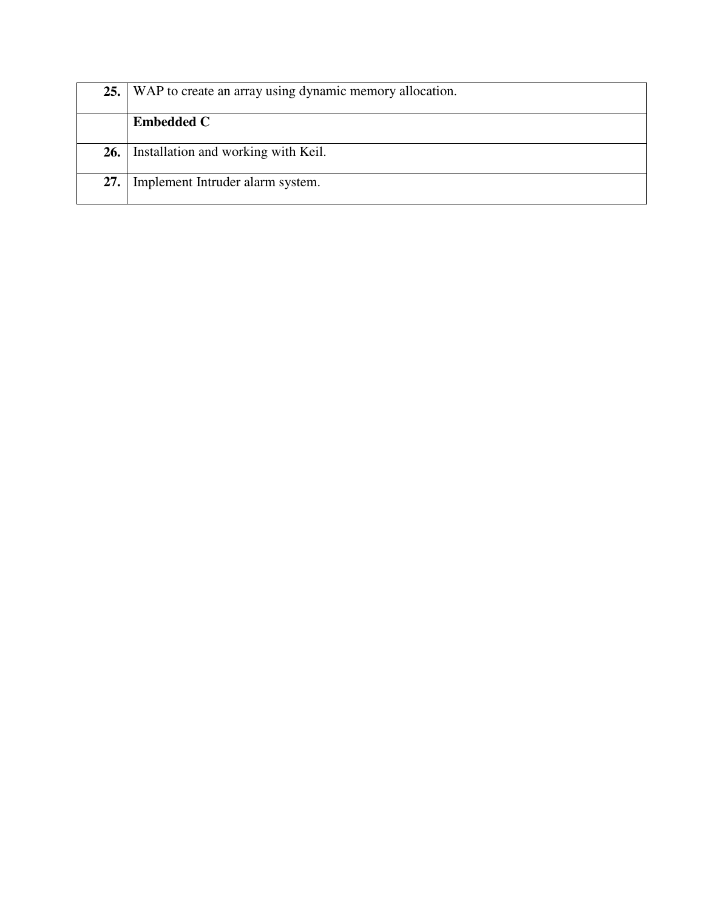|     | 25. WAP to create an array using dynamic memory allocation. |  |  |  |  |
|-----|-------------------------------------------------------------|--|--|--|--|
|     | <b>Embedded C</b>                                           |  |  |  |  |
| 26. | Installation and working with Keil.                         |  |  |  |  |
| 27. | Implement Intruder alarm system.                            |  |  |  |  |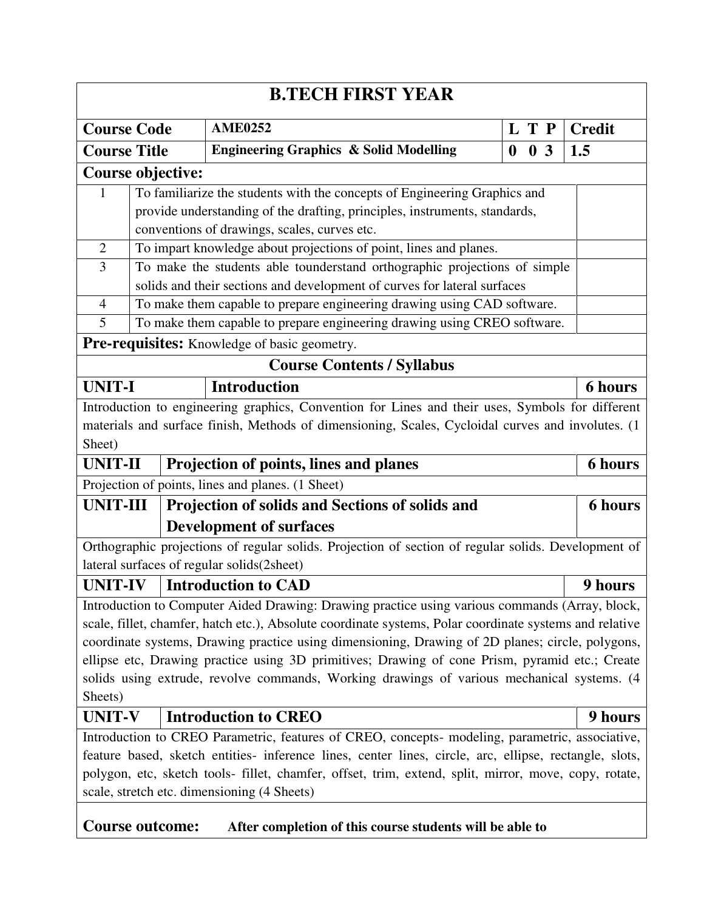| <b>B.TECH FIRST YEAR</b>                                                                                                                                                                                                                                                                                                                                                                                                                                                                                                 |                                                                            |                                                                                                     |  |                                   |  |                  |                |               |                |
|--------------------------------------------------------------------------------------------------------------------------------------------------------------------------------------------------------------------------------------------------------------------------------------------------------------------------------------------------------------------------------------------------------------------------------------------------------------------------------------------------------------------------|----------------------------------------------------------------------------|-----------------------------------------------------------------------------------------------------|--|-----------------------------------|--|------------------|----------------|---------------|----------------|
| <b>Course Code</b>                                                                                                                                                                                                                                                                                                                                                                                                                                                                                                       |                                                                            | <b>AME0252</b>                                                                                      |  |                                   |  | L T P            |                | <b>Credit</b> |                |
| <b>Course Title</b>                                                                                                                                                                                                                                                                                                                                                                                                                                                                                                      |                                                                            | <b>Engineering Graphics &amp; Solid Modelling</b>                                                   |  |                                   |  | $\boldsymbol{0}$ | 0 <sub>3</sub> |               | 1.5            |
|                                                                                                                                                                                                                                                                                                                                                                                                                                                                                                                          | <b>Course objective:</b>                                                   |                                                                                                     |  |                                   |  |                  |                |               |                |
| 1                                                                                                                                                                                                                                                                                                                                                                                                                                                                                                                        | To familiarize the students with the concepts of Engineering Graphics and  |                                                                                                     |  |                                   |  |                  |                |               |                |
|                                                                                                                                                                                                                                                                                                                                                                                                                                                                                                                          | provide understanding of the drafting, principles, instruments, standards, |                                                                                                     |  |                                   |  |                  |                |               |                |
|                                                                                                                                                                                                                                                                                                                                                                                                                                                                                                                          | conventions of drawings, scales, curves etc.                               |                                                                                                     |  |                                   |  |                  |                |               |                |
| $\overline{2}$                                                                                                                                                                                                                                                                                                                                                                                                                                                                                                           | To impart knowledge about projections of point, lines and planes.          |                                                                                                     |  |                                   |  |                  |                |               |                |
| $\overline{3}$                                                                                                                                                                                                                                                                                                                                                                                                                                                                                                           | To make the students able tounderstand orthographic projections of simple  |                                                                                                     |  |                                   |  |                  |                |               |                |
|                                                                                                                                                                                                                                                                                                                                                                                                                                                                                                                          |                                                                            | solids and their sections and development of curves for lateral surfaces                            |  |                                   |  |                  |                |               |                |
| $\overline{4}$                                                                                                                                                                                                                                                                                                                                                                                                                                                                                                           |                                                                            | To make them capable to prepare engineering drawing using CAD software.                             |  |                                   |  |                  |                |               |                |
| 5                                                                                                                                                                                                                                                                                                                                                                                                                                                                                                                        |                                                                            | To make them capable to prepare engineering drawing using CREO software.                            |  |                                   |  |                  |                |               |                |
|                                                                                                                                                                                                                                                                                                                                                                                                                                                                                                                          |                                                                            | Pre-requisites: Knowledge of basic geometry.                                                        |  |                                   |  |                  |                |               |                |
|                                                                                                                                                                                                                                                                                                                                                                                                                                                                                                                          |                                                                            |                                                                                                     |  | <b>Course Contents / Syllabus</b> |  |                  |                |               |                |
| <b>UNIT-I</b>                                                                                                                                                                                                                                                                                                                                                                                                                                                                                                            |                                                                            | <b>Introduction</b>                                                                                 |  |                                   |  |                  |                |               | <b>6 hours</b> |
|                                                                                                                                                                                                                                                                                                                                                                                                                                                                                                                          |                                                                            | Introduction to engineering graphics, Convention for Lines and their uses, Symbols for different    |  |                                   |  |                  |                |               |                |
|                                                                                                                                                                                                                                                                                                                                                                                                                                                                                                                          |                                                                            | materials and surface finish, Methods of dimensioning, Scales, Cycloidal curves and involutes. (1   |  |                                   |  |                  |                |               |                |
| Sheet)                                                                                                                                                                                                                                                                                                                                                                                                                                                                                                                   |                                                                            |                                                                                                     |  |                                   |  |                  |                |               |                |
| <b>UNIT-II</b>                                                                                                                                                                                                                                                                                                                                                                                                                                                                                                           |                                                                            | Projection of points, lines and planes                                                              |  |                                   |  |                  |                |               | <b>6 hours</b> |
|                                                                                                                                                                                                                                                                                                                                                                                                                                                                                                                          |                                                                            | Projection of points, lines and planes. (1 Sheet)                                                   |  |                                   |  |                  |                |               |                |
| <b>UNIT-III</b>                                                                                                                                                                                                                                                                                                                                                                                                                                                                                                          |                                                                            | Projection of solids and Sections of solids and                                                     |  |                                   |  |                  |                |               | <b>6 hours</b> |
|                                                                                                                                                                                                                                                                                                                                                                                                                                                                                                                          |                                                                            | <b>Development of surfaces</b>                                                                      |  |                                   |  |                  |                |               |                |
|                                                                                                                                                                                                                                                                                                                                                                                                                                                                                                                          |                                                                            | Orthographic projections of regular solids. Projection of section of regular solids. Development of |  |                                   |  |                  |                |               |                |
|                                                                                                                                                                                                                                                                                                                                                                                                                                                                                                                          |                                                                            | lateral surfaces of regular solids(2sheet)                                                          |  |                                   |  |                  |                |               |                |
| UNIT-IV                                                                                                                                                                                                                                                                                                                                                                                                                                                                                                                  |                                                                            | Introduction to CAD                                                                                 |  |                                   |  |                  |                |               | 9 hours        |
| Introduction to Computer Aided Drawing: Drawing practice using various commands (Array, block,<br>scale, fillet, chamfer, hatch etc.), Absolute coordinate systems, Polar coordinate systems and relative<br>coordinate systems, Drawing practice using dimensioning, Drawing of 2D planes; circle, polygons,<br>ellipse etc, Drawing practice using 3D primitives; Drawing of cone Prism, pyramid etc.; Create<br>solids using extrude, revolve commands, Working drawings of various mechanical systems. (4<br>Sheets) |                                                                            |                                                                                                     |  |                                   |  |                  |                |               |                |
| <b>UNIT-V</b>                                                                                                                                                                                                                                                                                                                                                                                                                                                                                                            |                                                                            | <b>Introduction to CREO</b>                                                                         |  |                                   |  |                  |                |               | 9 hours        |
| Introduction to CREO Parametric, features of CREO, concepts- modeling, parametric, associative,                                                                                                                                                                                                                                                                                                                                                                                                                          |                                                                            |                                                                                                     |  |                                   |  |                  |                |               |                |
| feature based, sketch entities- inference lines, center lines, circle, arc, ellipse, rectangle, slots,                                                                                                                                                                                                                                                                                                                                                                                                                   |                                                                            |                                                                                                     |  |                                   |  |                  |                |               |                |
| polygon, etc, sketch tools- fillet, chamfer, offset, trim, extend, split, mirror, move, copy, rotate,                                                                                                                                                                                                                                                                                                                                                                                                                    |                                                                            |                                                                                                     |  |                                   |  |                  |                |               |                |
| scale, stretch etc. dimensioning (4 Sheets)                                                                                                                                                                                                                                                                                                                                                                                                                                                                              |                                                                            |                                                                                                     |  |                                   |  |                  |                |               |                |
| <b>Course outcome:</b><br>After completion of this course students will be able to                                                                                                                                                                                                                                                                                                                                                                                                                                       |                                                                            |                                                                                                     |  |                                   |  |                  |                |               |                |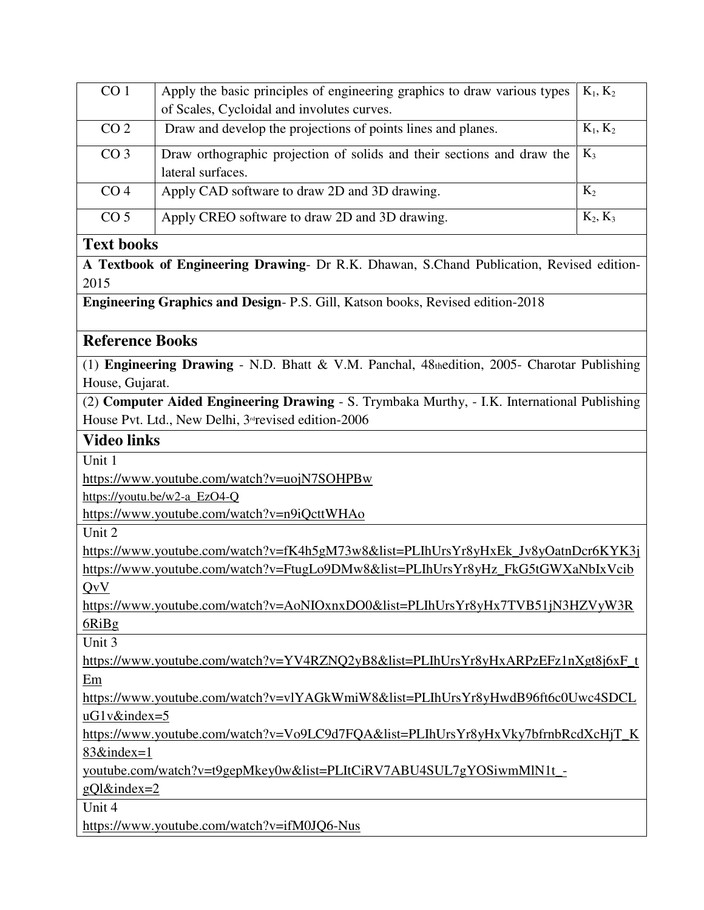| CO <sub>1</sub>                                                                                    | Apply the basic principles of engineering graphics to draw various types<br>$K_1, K_2$       |  |  |  |  |  |  |
|----------------------------------------------------------------------------------------------------|----------------------------------------------------------------------------------------------|--|--|--|--|--|--|
|                                                                                                    | of Scales, Cycloidal and involutes curves.                                                   |  |  |  |  |  |  |
| CO <sub>2</sub>                                                                                    | $K_1, K_2$<br>Draw and develop the projections of points lines and planes.                   |  |  |  |  |  |  |
| CO <sub>3</sub>                                                                                    | Draw orthographic projection of solids and their sections and draw the<br>$K_3$              |  |  |  |  |  |  |
|                                                                                                    | lateral surfaces.                                                                            |  |  |  |  |  |  |
| CO <sub>4</sub>                                                                                    | Apply CAD software to draw 2D and 3D drawing.<br>$K_2$                                       |  |  |  |  |  |  |
| CO <sub>5</sub>                                                                                    | Apply CREO software to draw 2D and 3D drawing.<br>$K_2, K_3$                                 |  |  |  |  |  |  |
| <b>Text books</b>                                                                                  |                                                                                              |  |  |  |  |  |  |
| 2015                                                                                               | A Textbook of Engineering Drawing- Dr R.K. Dhawan, S.Chand Publication, Revised edition-     |  |  |  |  |  |  |
|                                                                                                    | <b>Engineering Graphics and Design-P.S. Gill, Katson books, Revised edition-2018</b>         |  |  |  |  |  |  |
| <b>Reference Books</b>                                                                             |                                                                                              |  |  |  |  |  |  |
|                                                                                                    | (1) Engineering Drawing - N.D. Bhatt & V.M. Panchal, 48thedition, 2005- Charotar Publishing  |  |  |  |  |  |  |
| House, Gujarat.                                                                                    |                                                                                              |  |  |  |  |  |  |
|                                                                                                    | (2) Computer Aided Engineering Drawing - S. Trymbaka Murthy, - I.K. International Publishing |  |  |  |  |  |  |
|                                                                                                    | House Pvt. Ltd., New Delhi, 3 <sup>rd</sup> revised edition-2006                             |  |  |  |  |  |  |
| <b>Video links</b>                                                                                 |                                                                                              |  |  |  |  |  |  |
| Unit 1                                                                                             |                                                                                              |  |  |  |  |  |  |
|                                                                                                    | https://www.youtube.com/watch?v=uojN7SOHPBw                                                  |  |  |  |  |  |  |
|                                                                                                    | https://youtu.be/w2-a_EzO4-Q                                                                 |  |  |  |  |  |  |
|                                                                                                    | https://www.youtube.com/watch?v=n9iQcttWHAo                                                  |  |  |  |  |  |  |
| Unit 2                                                                                             |                                                                                              |  |  |  |  |  |  |
|                                                                                                    | https://www.youtube.com/watch?v=fK4h5gM73w8&list=PLIhUrsYr8yHxEk_Jv8yOatnDcr6KYK3j           |  |  |  |  |  |  |
| https://www.youtube.com/watch?v=FtugLo9DMw8&list=PLIhUrsYr8yHz_FkG5tGWXaNbIxVcib                   |                                                                                              |  |  |  |  |  |  |
| QvV                                                                                                |                                                                                              |  |  |  |  |  |  |
| https://www.youtube.com/watch?v=AoNIOxnxDO0&list=PLIhUrsYr8yHx7TVB51jN3HZVyW3R                     |                                                                                              |  |  |  |  |  |  |
| 6RiBg                                                                                              |                                                                                              |  |  |  |  |  |  |
| Unit 3                                                                                             |                                                                                              |  |  |  |  |  |  |
| https://www.youtube.com/watch?v=YV4RZNQ2yB8&list=PLIhUrsYr8yHxARPzEFz1nXgt8j6xF_t                  |                                                                                              |  |  |  |  |  |  |
| Em                                                                                                 |                                                                                              |  |  |  |  |  |  |
| https://www.youtube.com/watch?v=vlYAGkWmiW8&list=PLIhUrsYr8yHwdB96ft6c0Uwc4SDCL<br>$uG1v\&index=5$ |                                                                                              |  |  |  |  |  |  |
| https://www.youtube.com/watch?v=Vo9LC9d7FQA&list=PLIhUrsYr8yHxVky7bfrnbRcdXcHjT_K                  |                                                                                              |  |  |  |  |  |  |
| 83&index=1                                                                                         |                                                                                              |  |  |  |  |  |  |
| youtube.com/watch?v=t9gepMkey0w&list=PLItCiRV7ABU4SUL7gYOSiwmMlN1t_-                               |                                                                                              |  |  |  |  |  |  |
| $gQ1\&index=2$                                                                                     |                                                                                              |  |  |  |  |  |  |
| Unit 4                                                                                             |                                                                                              |  |  |  |  |  |  |
| https://www.youtube.com/watch?v=ifM0JQ6-Nus                                                        |                                                                                              |  |  |  |  |  |  |
|                                                                                                    |                                                                                              |  |  |  |  |  |  |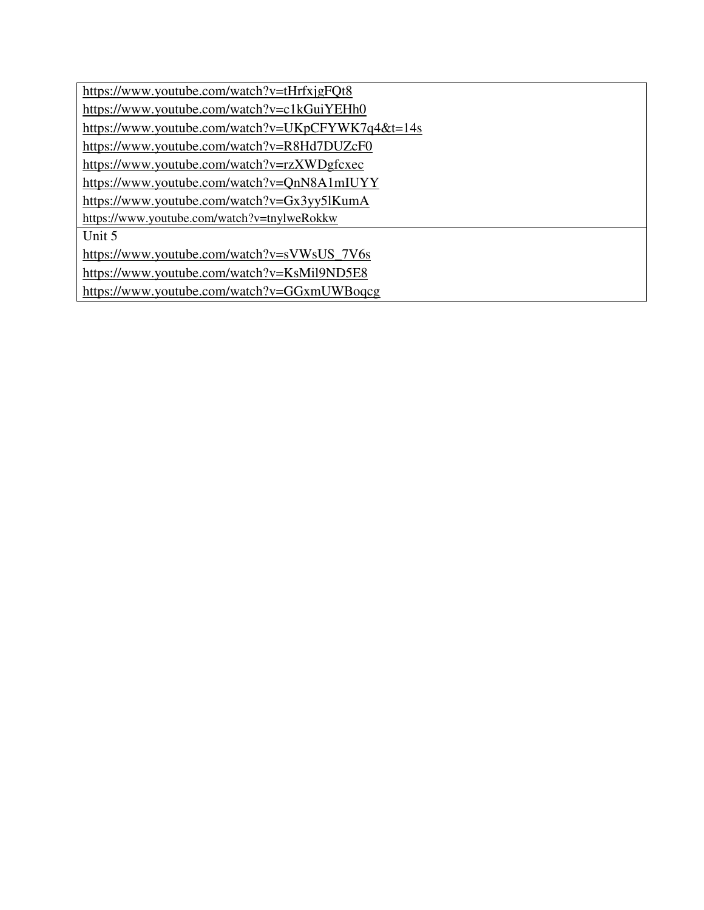| https://www.youtube.com/watch?v=tHrfxjgFQt8       |
|---------------------------------------------------|
| https://www.youtube.com/watch?v=c1kGuiYEHh0       |
| https://www.youtube.com/watch?v=UKpCFYWK7q4&t=14s |
| https://www.youtube.com/watch?v=R8Hd7DUZcF0       |
| https://www.youtube.com/watch?v=rzXWDgfcxec       |
| https://www.youtube.com/watch?v=QnN8A1mIUYY       |
| https://www.youtube.com/watch?v=Gx3yy5lKumA       |
| https://www.youtube.com/watch?v=tnylweRokkw       |
| Unit 5                                            |
| https://www.youtube.com/watch?v=sVWsUS_7V6s       |
| https://www.youtube.com/watch?v=KsMil9ND5E8       |
| https://www.youtube.com/watch?v=GGxmUWBoqcg       |